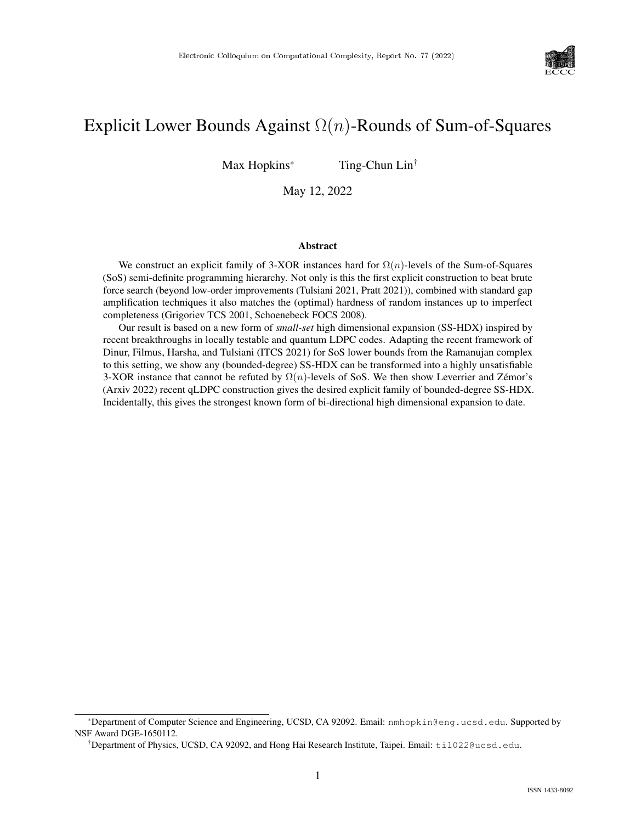

# Explicit Lower Bounds Against  $\Omega(n)$ -Rounds of Sum-of-Squares

Max Hopkins\* Ting-Chun Lin<sup>†</sup>

May 12, 2022

#### Abstract

We construct an explicit family of 3-XOR instances hard for  $\Omega(n)$ -levels of the Sum-of-Squares (SoS) semi-definite programming hierarchy. Not only is this the first explicit construction to beat brute force search (beyond low-order improvements (Tulsiani 2021, Pratt 2021)), combined with standard gap amplification techniques it also matches the (optimal) hardness of random instances up to imperfect completeness (Grigoriev TCS 2001, Schoenebeck FOCS 2008).

Our result is based on a new form of *small-set* high dimensional expansion (SS-HDX) inspired by recent breakthroughs in locally testable and quantum LDPC codes. Adapting the recent framework of Dinur, Filmus, Harsha, and Tulsiani (ITCS 2021) for SoS lower bounds from the Ramanujan complex to this setting, we show any (bounded-degree) SS-HDX can be transformed into a highly unsatisfiable 3-XOR instance that cannot be refuted by  $\Omega(n)$ -levels of SoS. We then show Leverrier and Zémor's (Arxiv 2022) recent qLDPC construction gives the desired explicit family of bounded-degree SS-HDX. Incidentally, this gives the strongest known form of bi-directional high dimensional expansion to date.

<sup>\*</sup>Department of Computer Science and Engineering, UCSD, CA 92092. Email: nmhopkin@eng.ucsd.edu. Supported by NSF Award DGE-1650112.

<sup>†</sup>Department of Physics, UCSD, CA 92092, and Hong Hai Research Institute, Taipei. Email: til022@ucsd.edu.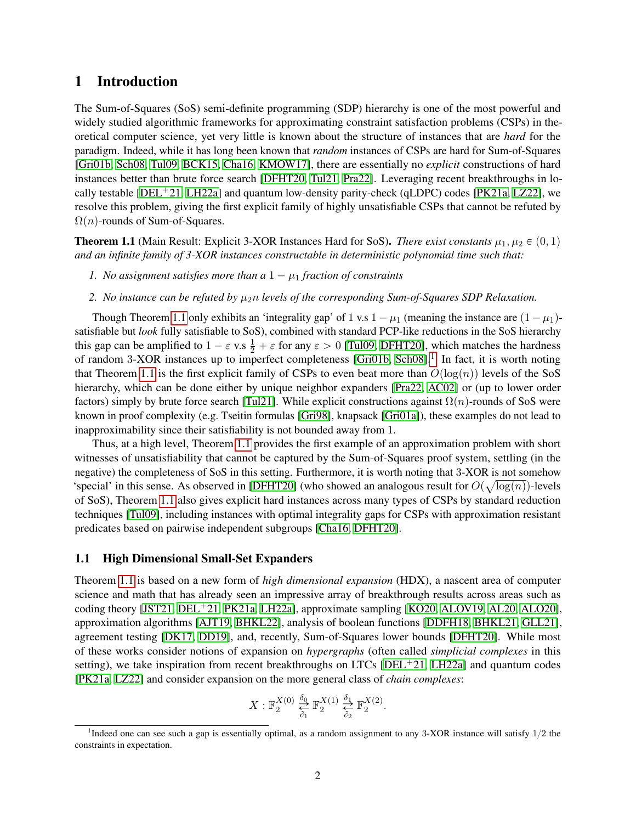### <span id="page-1-2"></span>1 Introduction

The Sum-of-Squares (SoS) semi-definite programming (SDP) hierarchy is one of the most powerful and widely studied algorithmic frameworks for approximating constraint satisfaction problems (CSPs) in theoretical computer science, yet very little is known about the structure of instances that are *hard* for the paradigm. Indeed, while it has long been known that *random* instances of CSPs are hard for Sum-of-Squares [\[Gri01b,](#page-37-0) [Sch08,](#page-39-0) [Tul09,](#page-39-1) [BCK15,](#page-35-0) [Cha16,](#page-36-0) [KMOW17\]](#page-38-0), there are essentially no *explicit* constructions of hard instances better than brute force search [\[DFHT20,](#page-37-1) [Tul21,](#page-39-2) [Pra22\]](#page-39-3). Leveraging recent breakthroughs in lo-cally testable [\[DEL](#page-36-1)<sup>+</sup>21, [LH22a\]](#page-39-4) and quantum low-density parity-check (qLDPC) codes [\[PK21a,](#page-39-5) [LZ22\]](#page-39-6), we resolve this problem, giving the first explicit family of highly unsatisfiable CSPs that cannot be refuted by  $\Omega(n)$ -rounds of Sum-of-Squares.

<span id="page-1-0"></span>**Theorem 1.1** (Main Result: Explicit 3-XOR Instances Hard for SoS). *There exist constants*  $\mu_1, \mu_2 \in (0, 1)$ *and an infinite family of 3-XOR instances constructable in deterministic polynomial time such that:*

- *1. No assignment satisfies more than a*  $1 \mu_1$  *fraction of constraints*
- 2. *No instance can be refuted by*  $\mu_2 n$  *levels of the corresponding Sum-of-Squares SDP Relaxation.*

Though Theorem [1.1](#page-1-0) only exhibits an 'integrality gap' of 1 v.s  $1 - \mu_1$  (meaning the instance are  $(1 - \mu_1)$ satisfiable but *look* fully satisfiable to SoS), combined with standard PCP-like reductions in the SoS hierarchy this gap can be amplified to  $1 - \varepsilon$  v.s  $\frac{1}{2} + \varepsilon$  for any  $\varepsilon > 0$  [\[Tul09,](#page-39-1) [DFHT20\]](#page-37-1), which matches the hardness of random 3-XOR instances up to imperfect completeness [\[Gri01b,](#page-37-0) [Sch08\]](#page-39-0).<sup>[1](#page-1-1)</sup> In fact, it is worth noting that Theorem [1.1](#page-1-0) is the first explicit family of CSPs to even beat more than  $O(log(n))$  levels of the SoS hierarchy, which can be done either by unique neighbor expanders [\[Pra22,](#page-39-3) [AC02\]](#page-35-1) or (up to lower order factors) simply by brute force search [\[Tul21\]](#page-39-2). While explicit constructions against  $\Omega(n)$ -rounds of SoS were known in proof complexity (e.g. Tseitin formulas [\[Gri98\]](#page-37-2), knapsack [\[Gri01a\]](#page-37-3)), these examples do not lead to inapproximability since their satisfiability is not bounded away from 1.

Thus, at a high level, Theorem [1.1](#page-1-0) provides the first example of an approximation problem with short witnesses of unsatisfiability that cannot be captured by the Sum-of-Squares proof system, settling (in the negative) the completeness of SoS in this setting. Furthermore, it is worth noting that 3-XOR is not somehow a 'special' in this sense. As observed in [\[DFHT20\]](#page-37-1) (who showed an analogous result for  $O(\sqrt{\log(n)})$ -levels of SoS), Theorem [1.1](#page-1-0) also gives explicit hard instances across many types of CSPs by standard reduction techniques [\[Tul09\]](#page-39-1), including instances with optimal integrality gaps for CSPs with approximation resistant predicates based on pairwise independent subgroups [\[Cha16,](#page-36-0) [DFHT20\]](#page-37-1).

#### 1.1 High Dimensional Small-Set Expanders

Theorem [1.1](#page-1-0) is based on a new form of *high dimensional expansion* (HDX), a nascent area of computer science and math that has already seen an impressive array of breakthrough results across areas such as coding theory [\[JST21,](#page-38-1) [DEL](#page-36-1)<sup>+</sup>21, [PK21a,](#page-39-5) [LH22a\]](#page-39-4), approximate sampling [\[KO20,](#page-38-2) [ALOV19,](#page-35-2) [AL20,](#page-35-3) [ALO20\]](#page-35-4), approximation algorithms [\[AJT19,](#page-35-5) [BHKL22\]](#page-36-2), analysis of boolean functions [\[DDFH18,](#page-36-3) [BHKL21,](#page-36-4) [GLL21\]](#page-37-4), agreement testing [\[DK17,](#page-37-5) [DD19\]](#page-36-5), and, recently, Sum-of-Squares lower bounds [\[DFHT20\]](#page-37-1). While most of these works consider notions of expansion on *hypergraphs* (often called *simplicial complexes* in this setting), we take inspiration from recent breakthroughs on LTCs [\[DEL](#page-36-1)<sup>+</sup>21, [LH22a\]](#page-39-4) and quantum codes [\[PK21a,](#page-39-5) [LZ22\]](#page-39-6) and consider expansion on the more general class of *chain complexes*:

$$
X: \mathbb{F}_2^{X(0)} \overset{\delta_0}{\underset{\delta_1}{\rightleftarrows}} \mathbb{F}_2^{X(1)} \overset{\delta_1}{\underset{\delta_2}{\rightleftarrows}} \mathbb{F}_2^{X(2)}.
$$

<span id="page-1-1"></span><sup>&</sup>lt;sup>1</sup>Indeed one can see such a gap is essentially optimal, as a random assignment to any 3-XOR instance will satisfy  $1/2$  the constraints in expectation.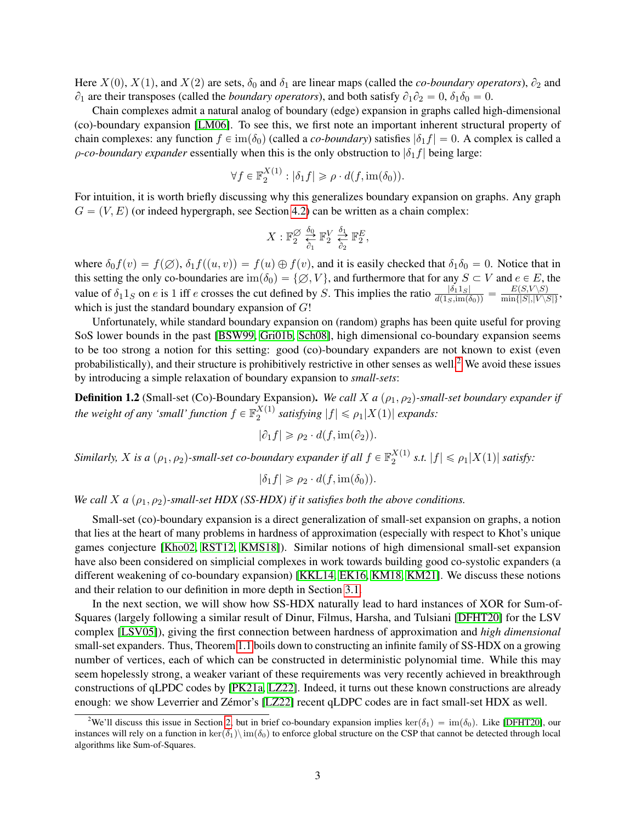Here  $X(0)$ ,  $X(1)$ , and  $X(2)$  are sets,  $\delta_0$  and  $\delta_1$  are linear maps (called the *co-boundary operators*),  $\partial_2$  and  $\partial_1$  are their transposes (called the *boundary operators*), and both satisfy  $\partial_1 \partial_2 = 0$ ,  $\delta_1 \delta_0 = 0$ .

Chain complexes admit a natural analog of boundary (edge) expansion in graphs called high-dimensional (co)-boundary expansion [\[LM06\]](#page-39-7). To see this, we first note an important inherent structural property of chain complexes: any function  $f \in im(\delta_0)$  (called a *co-boundary*) satisfies  $|\delta_1 f| = 0$ . A complex is called a *ρ-co-boundary expander* essentially when this is the only obstruction to  $|\delta_1 f|$  being large:

$$
\forall f \in \mathbb{F}_2^{X(1)} : |\delta_1 f| \geqslant \rho \cdot d(f, \text{im}(\delta_0)).
$$

For intuition, it is worth briefly discussing why this generalizes boundary expansion on graphs. Any graph  $G = (V, E)$  (or indeed hypergraph, see Section [4.2\)](#page-12-0) can be written as a chain complex:

$$
X: \mathbb{F}_2^{\varnothing} \underset{\partial_1}{\overset{\delta_0}{\rightleftarrows}} \mathbb{F}_2^V \underset{\partial_2}{\overset{\delta_1}{\rightleftarrows}} \mathbb{F}_2^E,
$$

where  $\delta_0 f(v) = f(\emptyset)$ ,  $\delta_1 f((u, v)) = f(u) \oplus f(v)$ , and it is easily checked that  $\delta_1 \delta_0 = 0$ . Notice that in this setting the only co-boundaries are  $\text{im}(\delta_0) = \{\emptyset, V\}$ , and furthermore that for any  $S \subset V$  and  $e \in E$ , the value of  $\delta_1 1_S$  on e is 1 iff e crosses the cut defined by S. This implies the ratio  $\frac{|\delta_1 1_S|}{d(1_S, im(\delta_0))} = \frac{E(S, V \setminus S)}{min\{|S|, |V \setminus S|\}}$ , which is just the standard boundary expansion of  $G!$ 

Unfortunately, while standard boundary expansion on (random) graphs has been quite useful for proving SoS lower bounds in the past [\[BSW99,](#page-36-6) [Gri01b,](#page-37-0) [Sch08\]](#page-39-0), high dimensional co-boundary expansion seems to be too strong a notion for this setting: good (co)-boundary expanders are not known to exist (even probabilistically), and their structure is prohibitively restrictive in other senses as well.<sup>[2](#page-2-0)</sup> We avoid these issues by introducing a simple relaxation of boundary expansion to *small-sets*:

**Definition 1.2** (Small-set (Co)-Boundary Expansion). *We call X a*  $(\rho_1, \rho_2)$ -small-set boundary expander if the weight of any 'small' function  $f \in \mathbb{F}_2^{X(1)}$  $\frac{\Delta^{(1)}}{2}$  satisfying  $|f| \leq \rho_1 |X(1)|$  expands:

$$
|\partial_1 f| \ge \rho_2 \cdot d(f, \text{im}(\partial_2)).
$$

Similarly,  $X$  is a  $(\rho_1, \rho_2)$ -small-set co-boundary expander if all  $f \in \mathbb{F}_2^{X(1)}$  $\frac{\partial}{\partial x}$  *s.t.*  $|f| \leq \rho_1 |X(1)|$  *satisfy:* 

$$
|\delta_1 f| \geqslant \rho_2 \cdot d(f, \text{im}(\delta_0)).
$$

*We call X a*  $(\rho_1, \rho_2)$ -small-set HDX (SS-HDX) if it satisfies both the above conditions.

Small-set (co)-boundary expansion is a direct generalization of small-set expansion on graphs, a notion that lies at the heart of many problems in hardness of approximation (especially with respect to Khot's unique games conjecture [\[Kho02,](#page-38-3) [RST12,](#page-39-8) [KMS18\]](#page-38-4)). Similar notions of high dimensional small-set expansion have also been considered on simplicial complexes in work towards building good co-systolic expanders (a different weakening of co-boundary expansion) [\[KKL14,](#page-38-5) [EK16,](#page-37-6) [KM18,](#page-38-6) [KM21\]](#page-38-7). We discuss these notions and their relation to our definition in more depth in Section [3.1.](#page-10-0)

In the next section, we will show how SS-HDX naturally lead to hard instances of XOR for Sum-of-Squares (largely following a similar result of Dinur, Filmus, Harsha, and Tulsiani [\[DFHT20\]](#page-37-1) for the LSV complex [\[LSV05\]](#page-39-9)), giving the first connection between hardness of approximation and *high dimensional* small-set expanders. Thus, Theorem [1.1](#page-1-0) boils down to constructing an infinite family of SS-HDX on a growing number of vertices, each of which can be constructed in deterministic polynomial time. While this may seem hopelessly strong, a weaker variant of these requirements was very recently achieved in breakthrough constructions of qLPDC codes by [\[PK21a,](#page-39-5) [LZ22\]](#page-39-6). Indeed, it turns out these known constructions are already enough: we show Leverrier and Zémor's [\[LZ22\]](#page-39-6) recent qLDPC codes are in fact small-set HDX as well.

<span id="page-2-1"></span><span id="page-2-0"></span><sup>&</sup>lt;sup>2</sup>We'll discuss this issue in Section [2,](#page-3-0) but in brief co-boundary expansion implies ker $(\delta_1) = \text{im}(\delta_0)$ . Like [\[DFHT20\]](#page-37-1), our instances will rely on a function in  $\ker(\delta_1)\infty$  to enforce global structure on the CSP that cannot be detected through local algorithms like Sum-of-Squares.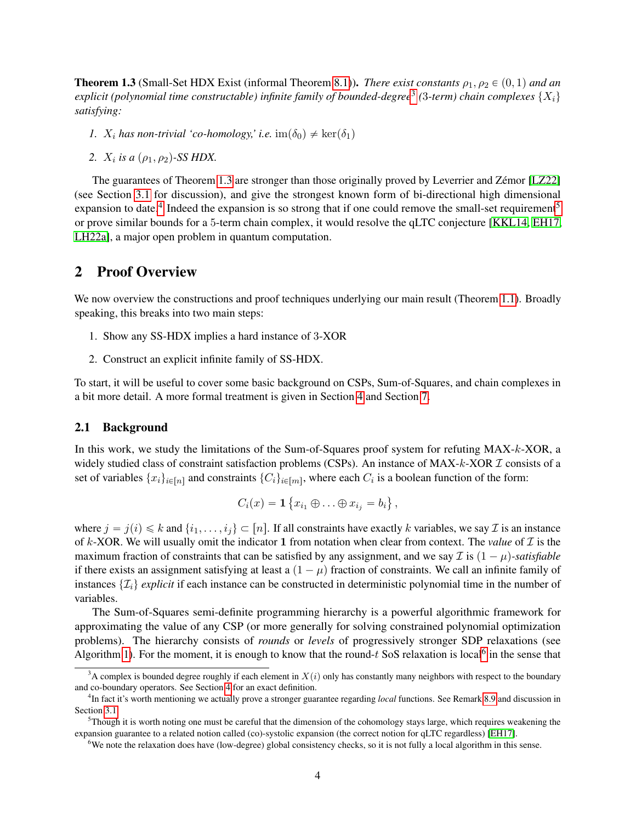**Theorem 1.3** (Small-Set HDX Exist (informal Theorem [8.1\)](#page-28-0)). *There exist constants*  $\rho_1, \rho_2 \in (0, 1)$  *and an* explicit (polynomial time constructable) infinite family of bounded-degree<sup>[3](#page-3-1)</sup> (3-term) chain complexes  $\{X_i\}$ *satisfying:*

- *1.*  $X_i$  has non-trivial 'co-homology,' i.e.  $\text{im}(\delta_0) \neq \text{ker}(\delta_1)$
- *2.*  $X_i$  is a  $(\rho_1, \rho_2)$ -SS HDX.

The guarantees of Theorem [1.3](#page-2-1) are stronger than those originally proved by Leverrier and Zémor [\[LZ22\]](#page-39-6) (see Section [3.1](#page-10-0) for discussion), and give the strongest known form of bi-directional high dimensional expansion to date.<sup>[4](#page-3-2)</sup> Indeed the expansion is so strong that if one could remove the small-set requirement<sup>[5](#page-3-3)</sup> or prove similar bounds for a 5-term chain complex, it would resolve the qLTC conjecture [\[KKL14,](#page-38-5) [EH17,](#page-37-7) [LH22a\]](#page-39-4), a major open problem in quantum computation.

# <span id="page-3-0"></span>2 Proof Overview

We now overview the constructions and proof techniques underlying our main result (Theorem [1.1\)](#page-1-0). Broadly speaking, this breaks into two main steps:

- 1. Show any SS-HDX implies a hard instance of 3-XOR
- 2. Construct an explicit infinite family of SS-HDX.

To start, it will be useful to cover some basic background on CSPs, Sum-of-Squares, and chain complexes in a bit more detail. A more formal treatment is given in Section [4](#page-11-0) and Section [7.](#page-23-0)

#### 2.1 Background

In this work, we study the limitations of the Sum-of-Squares proof system for refuting MAX-k-XOR, a widely studied class of constraint satisfaction problems (CSPs). An instance of  $MAX-k-XOR$   $\mathcal I$  consists of a set of variables  $\{x_i\}_{i \in [n]}$  and constraints  $\{C_i\}_{i \in [m]}$ , where each  $C_i$  is a boolean function of the form:

$$
C_i(x) = \mathbf{1}\left\{x_{i_1} \oplus \ldots \oplus x_{i_j} = b_i\right\},\,
$$

**(A)** 

␣

where  $j = j(i) \le k$  and  $\{i_1, \ldots, i_j\} \subset [n]$ . If all constraints have exactly k variables, we say  $\mathcal I$  is an instance of k-XOR. We will usually omit the indicator 1 from notation when clear from context. The *value* of  $I$  is the maximum fraction of constraints that can be satisfied by any assignment, and we say  $\mathcal I$  is  $(1 - \mu)$ -satisfiable if there exists an assignment satisfying at least a  $(1 - \mu)$  fraction of constraints. We call an infinite family of instances  $\{\mathcal{I}_i\}$  *explicit* if each instance can be constructed in deterministic polynomial time in the number of variables.

The Sum-of-Squares semi-definite programming hierarchy is a powerful algorithmic framework for approximating the value of any CSP (or more generally for solving constrained polynomial optimization problems). The hierarchy consists of *rounds* or *levels* of progressively stronger SDP relaxations (see Algorithm [1\)](#page-12-1). For the moment, it is enough to know that the round- $t$  SoS relaxation is local<sup>[6](#page-3-4)</sup> in the sense that

<span id="page-3-1"></span> $3A$  complex is bounded degree roughly if each element in  $X(i)$  only has constantly many neighbors with respect to the boundary and co-boundary operators. See Section [4](#page-11-0) for an exact definition.

<span id="page-3-2"></span><sup>4</sup> In fact it's worth mentioning we actually prove a stronger guarantee regarding *local* functions. See Remark [8.9](#page-34-0) and discussion in Section [3.1.](#page-10-0)

<span id="page-3-3"></span> $5$ Though it is worth noting one must be careful that the dimension of the cohomology stays large, which requires weakening the expansion guarantee to a related notion called (co)-systolic expansion (the correct notion for qLTC regardless) [\[EH17\]](#page-37-7).

<span id="page-3-4"></span><sup>&</sup>lt;sup>6</sup>We note the relaxation does have (low-degree) global consistency checks, so it is not fully a local algorithm in this sense.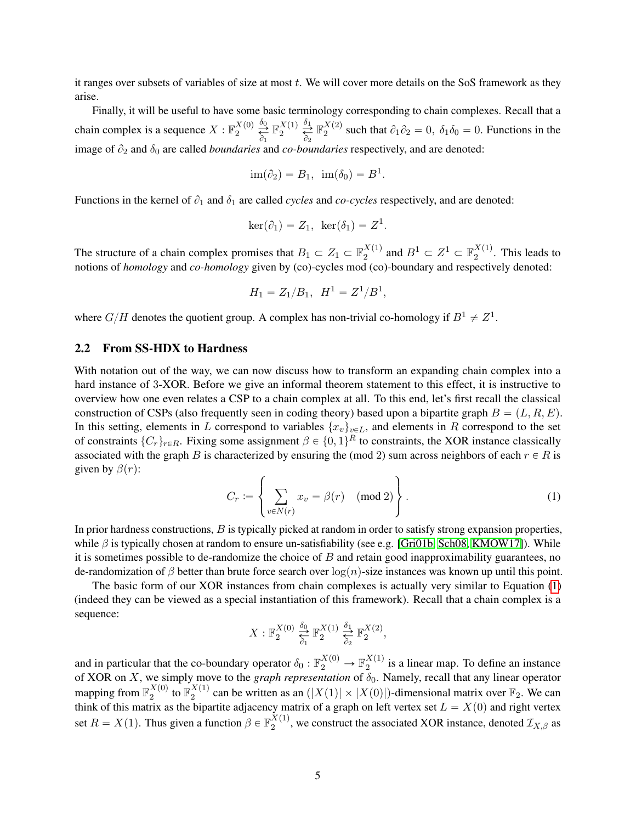it ranges over subsets of variables of size at most  $t$ . We will cover more details on the SoS framework as they arise.

Finally, it will be useful to have some basic terminology corresponding to chain complexes. Recall that a chain complex is a sequence  $X : \mathbb{F}_2^{X(0)}$  $\frac{X(0)}{2} \overset{\delta_0}{\underset{\partial_1}{\rightleftarrows}}$  $\mathbb{F}_2^{X(1)}$  $\frac{X(1)}{2} \overset{\delta_1}{\underset{\partial_2}{\rightleftharpoons}}$  $\mathbb{F}_2^{X(2)}$  $\lambda_2^{(2)}$  such that  $\partial_1 \partial_2 = 0$ ,  $\delta_1 \delta_0 = 0$ . Functions in the image of  $\partial_2$  and  $\delta_0$  are called *boundaries* and *co-boundaries* respectively, and are denoted:

$$
\text{im}(\partial_2) = B_1, \ \text{im}(\delta_0) = B^1
$$

.

Functions in the kernel of  $\partial_1$  and  $\delta_1$  are called *cycles* and *co-cycles* respectively, and are denoted:

$$
\ker(\partial_1) = Z_1, \ \ker(\delta_1) = Z^1.
$$

The structure of a chain complex promises that  $B_1 \subset Z_1 \subset \mathbb{F}_2^{X(1)}$  $_2^{X(1)}$  and  $B^1 \subset Z^1 \subset \mathbb{F}_2^{X(1)}$  $\frac{\lambda}{2}$ <sup>(1)</sup>. This leads to notions of *homology* and *co-homology* given by (co)-cycles mod (co)-boundary and respectively denoted:

$$
H_1 = Z_1/B_1, \ \ H^1 = Z^1/B^1,
$$

where  $G/H$  denotes the quotient group. A complex has non-trivial co-homology if  $B^1 \neq Z^1$ .

#### 2.2 From SS-HDX to Hardness

With notation out of the way, we can now discuss how to transform an expanding chain complex into a hard instance of 3-XOR. Before we give an informal theorem statement to this effect, it is instructive to overview how one even relates a CSP to a chain complex at all. To this end, let's first recall the classical construction of CSPs (also frequently seen in coding theory) based upon a bipartite graph  $B = (L, R, E)$ . In this setting, elements in L correspond to variables  $\{x_v\}_{v \in L}$ , and elements in R correspond to the set of constraints  $\{C_r\}_{r \in R}$ . Fixing some assignment  $\beta \in \{0, 1\}^R$  to constraints, the XOR instance classically associated with the graph B is characterized by ensuring the (mod 2) sum across neighbors of each  $r \in R$  is given by  $\beta(r)$ :

<span id="page-4-0"></span>
$$
C_r := \left\{ \sum_{v \in N(r)} x_v = \beta(r) \pmod{2} \right\}.
$$
 (1)

In prior hardness constructions,  $B$  is typically picked at random in order to satisfy strong expansion properties, while  $\beta$  is typically chosen at random to ensure un-satisfiability (see e.g. [\[Gri01b,](#page-37-0) [Sch08,](#page-39-0) [KMOW17\]](#page-38-0)). While it is sometimes possible to de-randomize the choice of  $B$  and retain good inapproximability guarantees, no de-randomization of  $\beta$  better than brute force search over  $\log(n)$ -size instances was known up until this point.

The basic form of our XOR instances from chain complexes is actually very similar to Equation [\(1\)](#page-4-0) (indeed they can be viewed as a special instantiation of this framework). Recall that a chain complex is a sequence:

$$
X: \mathbb{F}_2^{X(0)} \overset{\delta_0}{\underset{\delta_1}{\rightleftarrows}} \mathbb{F}_2^{X(1)} \overset{\delta_1}{\underset{\delta_2}{\rightleftarrows}} \mathbb{F}_2^{X(2)},
$$

and in particular that the co-boundary operator  $\delta_0 : \mathbb{F}_2^{X(0)} \to \mathbb{F}_2^{X(1)}$  $\frac{\lambda}{2}$ <sup>(1)</sup> is a linear map. To define an instance of XOR on X, we simply move to the *graph representation* of  $\delta_0$ . Namely, recall that any linear operator mapping from  $\mathbb{F}_2^{X(0)}$  $_2^{X(0)}$  to  $\mathbb{F}_2^{X(1)}$  $\frac{X(1)}{2}$  can be written as an  $(|X(1)| \times |X(0)|)$ -dimensional matrix over  $\mathbb{F}_2$ . We can think of this matrix as the bipartite adjacency matrix of a graph on left vertex set  $L = X(0)$  and right vertex set  $R = X(1)$ . Thus given a function  $\beta \in \mathbb{F}_2^{X(1)}$  $Z_2^{(1)}$ , we construct the associated XOR instance, denoted  $\mathcal{I}_{X,\beta}$  as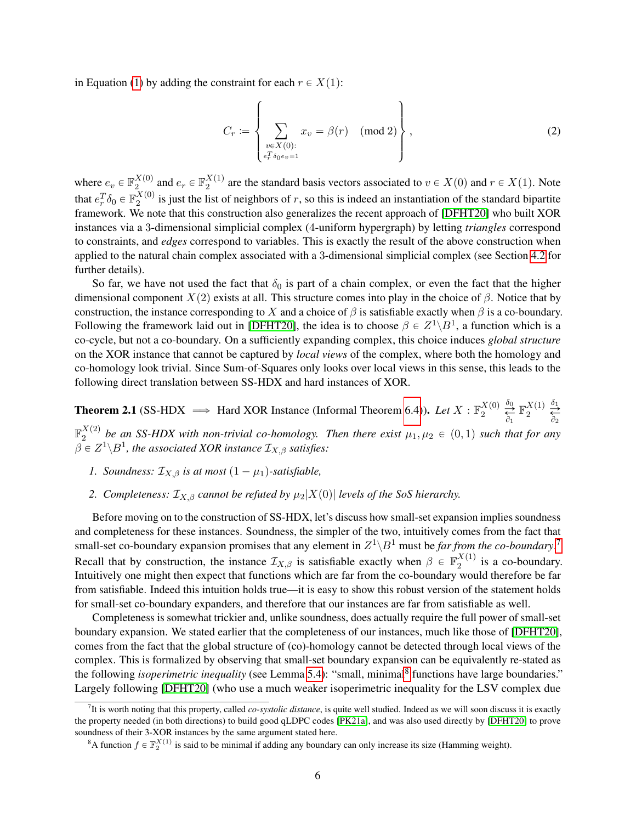in Equation [\(1\)](#page-4-0) by adding the constraint for each  $r \in X(1)$ :

<span id="page-5-2"></span>
$$
C_r := \left\{ \sum_{\substack{v \in X(0):\\ c_r^T \delta_0 e v = 1}} x_v = \beta(r) \pmod{2} \right\},\tag{2}
$$

where  $e_v \in \mathbb{F}_2^{X(0)}$  $\mathbf{X}(0)$  and  $e_r \in \mathbb{F}_2^{X(1)}$  $a_2^{(1)}$  are the standard basis vectors associated to  $v \in X(0)$  and  $r \in X(1)$ . Note that  $e_r^T \delta_0 \in \mathbb{F}_2^{X(0)}$  $\frac{\lambda^{(0)}}{2}$  is just the list of neighbors of r, so this is indeed an instantiation of the standard bipartite framework. We note that this construction also generalizes the recent approach of [\[DFHT20\]](#page-37-1) who built XOR instances via a 3-dimensional simplicial complex (4-uniform hypergraph) by letting *triangles* correspond to constraints, and *edges* correspond to variables. This is exactly the result of the above construction when applied to the natural chain complex associated with a 3-dimensional simplicial complex (see Section [4.2](#page-12-0) for further details).

So far, we have not used the fact that  $\delta_0$  is part of a chain complex, or even the fact that the higher dimensional component  $X(2)$  exists at all. This structure comes into play in the choice of β. Notice that by construction, the instance corresponding to X and a choice of  $\beta$  is satisfiable exactly when  $\beta$  is a co-boundary. Following the framework laid out in [\[DFHT20\]](#page-37-1), the idea is to choose  $\beta \in Z^1 \backslash B^1$ , a function which is a co-cycle, but not a co-boundary. On a sufficiently expanding complex, this choice induces *global structure* on the XOR instance that cannot be captured by *local views* of the complex, where both the homology and co-homology look trivial. Since Sum-of-Squares only looks over local views in this sense, this leads to the following direct translation between SS-HDX and hard instances of XOR.

<span id="page-5-3"></span>**Theorem 2.1** (SS-HDX  $\implies$  Hard XOR Instance (Informal Theorem [6.4\)](#page-18-0)). *Let*  $X : \mathbb{F}_2^{X(0)}$  $\frac{X(0)}{2} \overset{\delta_0}{\underset{\Delta}{\rightleftharpoons}} \mathbb{F}_2^{X(1)}$  $\partial_1$   $\partial_2$  $\frac{X(1)}{2} \overset{\delta_1}{\underset{\Delta}{\rightleftarrows}}$  $\mathbb{F}_p^{X(2)}$  $_2^{A(2)}$  be an SS-HDX with non-trivial co-homology. Then there exist  $\mu_1, \mu_2 \in (0, 1)$  such that for any  $\beta \in Z^{1}\backslash B^{1}$ , the associated XOR instance  $\mathcal{I}_{X,\beta}$  satisfies:

- *1. Soundness:*  $\mathcal{I}_{X,\beta}$  *is at most*  $(1 \mu_1)$ *-satisfiable,*
- 2. *Completeness:*  $\mathcal{I}_{X,\beta}$  *cannot be refuted by*  $\mu_2|X(0)|$  *levels of the SoS hierarchy.*

Before moving on to the construction of SS-HDX, let's discuss how small-set expansion implies soundness and completeness for these instances. Soundness, the simpler of the two, intuitively comes from the fact that small-set co-boundary expansion promises that any element in  $Z^1 \backslash B^1$  must be *far from the co-boundary*.<sup>[7](#page-5-0)</sup> Recall that by construction, the instance  $\mathcal{I}_{X,\beta}$  is satisfiable exactly when  $\beta \in \mathbb{F}_2^{X(1)}$  $\frac{a}{2}$  is a co-boundary. Intuitively one might then expect that functions which are far from the co-boundary would therefore be far from satisfiable. Indeed this intuition holds true—it is easy to show this robust version of the statement holds for small-set co-boundary expanders, and therefore that our instances are far from satisfiable as well.

Completeness is somewhat trickier and, unlike soundness, does actually require the full power of small-set boundary expansion. We stated earlier that the completeness of our instances, much like those of [\[DFHT20\]](#page-37-1), comes from the fact that the global structure of (co)-homology cannot be detected through local views of the complex. This is formalized by observing that small-set boundary expansion can be equivalently re-stated as the following *isoperimetric inequality* (see Lemma [5.4\)](#page-16-0): "small, minimal<sup>[8](#page-5-1)</sup> functions have large boundaries." Largely following [\[DFHT20\]](#page-37-1) (who use a much weaker isoperimetric inequality for the LSV complex due

<span id="page-5-0"></span><sup>7</sup> It is worth noting that this property, called *co-systolic distance*, is quite well studied. Indeed as we will soon discuss it is exactly the property needed (in both directions) to build good qLDPC codes [\[PK21a\]](#page-39-5), and was also used directly by [\[DFHT20\]](#page-37-1) to prove soundness of their 3-XOR instances by the same argument stated here.

<span id="page-5-1"></span><sup>&</sup>lt;sup>8</sup>A function  $f \in \mathbb{F}_2^{X(1)}$  is said to be minimal if adding any boundary can only increase its size (Hamming weight).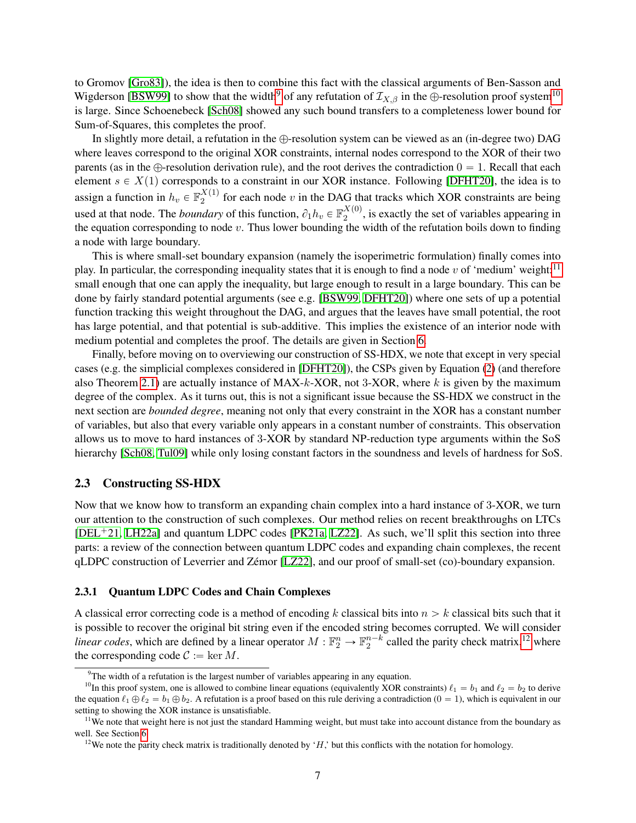to Gromov [\[Gro83\]](#page-37-8)), the idea is then to combine this fact with the classical arguments of Ben-Sasson and Wigderson [\[BSW99\]](#page-36-6) to show that the width<sup>[9](#page-6-0)</sup> of any refutation of  $\mathcal{I}_{X,\beta}$  in the  $\oplus$ -resolution proof system<sup>[10](#page-6-1)</sup> is large. Since Schoenebeck [\[Sch08\]](#page-39-0) showed any such bound transfers to a completeness lower bound for Sum-of-Squares, this completes the proof.

In slightly more detail, a refutation in the  $\bigoplus$ -resolution system can be viewed as an (in-degree two) DAG where leaves correspond to the original XOR constraints, internal nodes correspond to the XOR of their two parents (as in the  $\bigoplus$ -resolution derivation rule), and the root derives the contradiction  $0 = 1$ . Recall that each element  $s \in X(1)$  corresponds to a constraint in our XOR instance. Following [\[DFHT20\]](#page-37-1), the idea is to assign a function in  $h_v \in \mathbb{F}_2^{X(1)}$  $\frac{2^{(1)}}{2}$  for each node v in the DAG that tracks which XOR constraints are being used at that node. The *boundary* of this function,  $\partial_1 h_v \in \mathbb{F}_2^{X(0)}$  $2^{(0)}$ , is exactly the set of variables appearing in the equation corresponding to node  $v$ . Thus lower bounding the width of the refutation boils down to finding a node with large boundary.

This is where small-set boundary expansion (namely the isoperimetric formulation) finally comes into play. In particular, the corresponding inequality states that it is enough to find a node v of 'medium' weight:<sup>[11](#page-6-2)</sup> small enough that one can apply the inequality, but large enough to result in a large boundary. This can be done by fairly standard potential arguments (see e.g. [\[BSW99,](#page-36-6) [DFHT20\]](#page-37-1)) where one sets of up a potential function tracking this weight throughout the DAG, and argues that the leaves have small potential, the root has large potential, and that potential is sub-additive. This implies the existence of an interior node with medium potential and completes the proof. The details are given in Section [6.](#page-17-0)

Finally, before moving on to overviewing our construction of SS-HDX, we note that except in very special cases (e.g. the simplicial complexes considered in [\[DFHT20\]](#page-37-1)), the CSPs given by Equation [\(2\)](#page-5-2) (and therefore also Theorem [2.1\)](#page-5-3) are actually instance of  $MAX-k-XOR$ , not 3-XOR, where k is given by the maximum degree of the complex. As it turns out, this is not a significant issue because the SS-HDX we construct in the next section are *bounded degree*, meaning not only that every constraint in the XOR has a constant number of variables, but also that every variable only appears in a constant number of constraints. This observation allows us to move to hard instances of 3-XOR by standard NP-reduction type arguments within the SoS hierarchy [\[Sch08,](#page-39-0) [Tul09\]](#page-39-1) while only losing constant factors in the soundness and levels of hardness for SoS.

#### 2.3 Constructing SS-HDX

Now that we know how to transform an expanding chain complex into a hard instance of 3-XOR, we turn our attention to the construction of such complexes. Our method relies on recent breakthroughs on LTCs  $[DEL+21, LH22a]$  $[DEL+21, LH22a]$  $[DEL+21, LH22a]$  and quantum LDPC codes  $[PK21a, LZ22]$  $[PK21a, LZ22]$  $[PK21a, LZ22]$ . As such, we'll split this section into three parts: a review of the connection between quantum LDPC codes and expanding chain complexes, the recent qLDPC construction of Leverrier and Zémor [\[LZ22\]](#page-39-6), and our proof of small-set (co)-boundary expansion.

#### <span id="page-6-4"></span>2.3.1 Quantum LDPC Codes and Chain Complexes

A classical error correcting code is a method of encoding k classical bits into  $n > k$  classical bits such that it is possible to recover the original bit string even if the encoded string becomes corrupted. We will consider *linear codes*, which are defined by a linear operator  $M : \mathbb{F}_2^n \to \mathbb{F}_2^{n-k}$  called the parity check matrix,<sup>[12](#page-6-3)</sup> where the corresponding code  $C := \ker M$ .

<span id="page-6-1"></span><span id="page-6-0"></span> $9$ The width of a refutation is the largest number of variables appearing in any equation.

<sup>&</sup>lt;sup>10</sup>In this proof system, one is allowed to combine linear equations (equivalently XOR constraints)  $\ell_1 = b_1$  and  $\ell_2 = b_2$  to derive the equation  $\ell_1 \oplus \ell_2 = b_1 \oplus b_2$ . A refutation is a proof based on this rule deriving a contradiction  $(0 = 1)$ , which is equivalent in our setting to showing the XOR instance is unsatisfiable.

<span id="page-6-2"></span> $11$ We note that weight here is not just the standard Hamming weight, but must take into account distance from the boundary as well. See Section [6.](#page-17-0)

<span id="page-6-3"></span><sup>&</sup>lt;sup>12</sup>We note the parity check matrix is traditionally denoted by 'H,' but this conflicts with the notation for homology.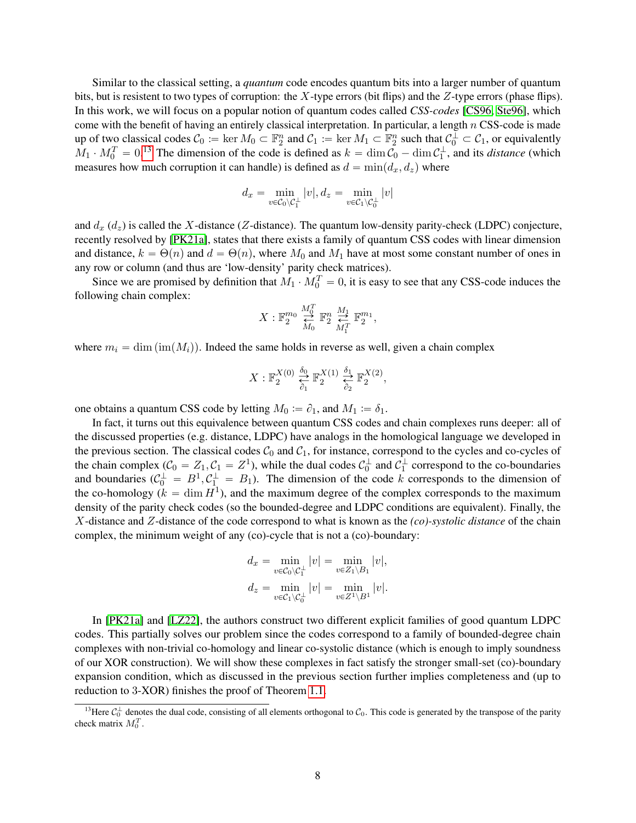Similar to the classical setting, a *quantum* code encodes quantum bits into a larger number of quantum bits, but is resistent to two types of corruption: the X-type errors (bit flips) and the Z-type errors (phase flips). In this work, we will focus on a popular notion of quantum codes called *CSS-codes* [\[CS96,](#page-36-7) [Ste96\]](#page-39-10), which come with the benefit of having an entirely classical interpretation. In particular, a length  $n$  CSS-code is made up of two classical codes  $C_0 := \ker M_0 \subset \mathbb{F}_2^n$  and  $C_1 := \ker M_1 \subset \mathbb{F}_2^n$  such that  $C_0^{\perp} \subset C_1$ , or equivalently  $M_1 \cdot M_0^T = 0$ .<sup>[13](#page-7-0)</sup> The dimension of the code is defined as  $k = \dim C_0 - \dim C_1^{\perp}$ , and its *distance* (which measures how much corruption it can handle) is defined as  $d = \min(d_x, d_z)$  where

$$
d_x = \min_{v \in \mathcal{C}_0 \backslash \mathcal{C}_1^\perp} |v|, d_z = \min_{v \in \mathcal{C}_1 \backslash \mathcal{C}_0^\perp} |v|
$$

and  $d_x$  ( $d_z$ ) is called the X-distance (Z-distance). The quantum low-density parity-check (LDPC) conjecture, recently resolved by [\[PK21a\]](#page-39-5), states that there exists a family of quantum CSS codes with linear dimension and distance,  $k = \Theta(n)$  and  $d = \Theta(n)$ , where  $M_0$  and  $M_1$  have at most some constant number of ones in any row or column (and thus are 'low-density' parity check matrices).

Since we are promised by definition that  $M_1 \cdot M_0^T = 0$ , it is easy to see that any CSS-code induces the following chain complex:

$$
X: \mathbb{F}_2^{m_0} \overset{M_0^T}{\underset{M_0}{\rightleftarrows}} \mathbb{F}_2^n \overset{M_1}{\underset{M_1^T}{\rightleftarrows}} \mathbb{F}_2^{m_1},
$$

where  $m_i = \dim(\text{im}(M_i))$ . Indeed the same holds in reverse as well, given a chain complex

$$
X: \mathbb{F}_2^{X(0)} \overset{\delta_0}{\underset{\delta_1}{\rightleftarrows}} \mathbb{F}_2^{X(1)} \overset{\delta_1}{\underset{\delta_2}{\rightleftarrows}} \mathbb{F}_2^{X(2)},
$$

one obtains a quantum CSS code by letting  $M_0 := \partial_1$ , and  $M_1 := \delta_1$ .

In fact, it turns out this equivalence between quantum CSS codes and chain complexes runs deeper: all of the discussed properties (e.g. distance, LDPC) have analogs in the homological language we developed in the previous section. The classical codes  $C_0$  and  $C_1$ , for instance, correspond to the cycles and co-cycles of the chain complex  $(C_0 = Z_1, C_1 = Z^1)$ , while the dual codes  $C_0^{\perp}$  and  $C_1^{\perp}$  correspond to the co-boundaries and boundaries  $(C_0^{\perp} = B^1, C_1^{\perp} = B_1)$ . The dimension of the code k corresponds to the dimension of the co-homology ( $k = \dim H^1$ ), and the maximum degree of the complex corresponds to the maximum density of the parity check codes (so the bounded-degree and LDPC conditions are equivalent). Finally, the X-distance and Z-distance of the code correspond to what is known as the *(co)-systolic distance* of the chain complex, the minimum weight of any (co)-cycle that is not a (co)-boundary:

$$
d_x = \min_{v \in \mathcal{C}_0 \setminus \mathcal{C}_1^{\perp}} |v| = \min_{v \in Z_1 \setminus B_1} |v|,
$$
  

$$
d_z = \min_{v \in \mathcal{C}_1 \setminus \mathcal{C}_0^{\perp}} |v| = \min_{v \in Z_1 \setminus B_1} |v|.
$$

In [\[PK21a\]](#page-39-5) and [\[LZ22\]](#page-39-6), the authors construct two different explicit families of good quantum LDPC codes. This partially solves our problem since the codes correspond to a family of bounded-degree chain complexes with non-trivial co-homology and linear co-systolic distance (which is enough to imply soundness of our XOR construction). We will show these complexes in fact satisfy the stronger small-set (co)-boundary expansion condition, which as discussed in the previous section further implies completeness and (up to reduction to 3-XOR) finishes the proof of Theorem [1.1.](#page-1-0)

<span id="page-7-0"></span><sup>&</sup>lt;sup>13</sup>Here  $C_0^{\perp}$  denotes the dual code, consisting of all elements orthogonal to  $C_0$ . This code is generated by the transpose of the parity check matrix  $M_0^T$ .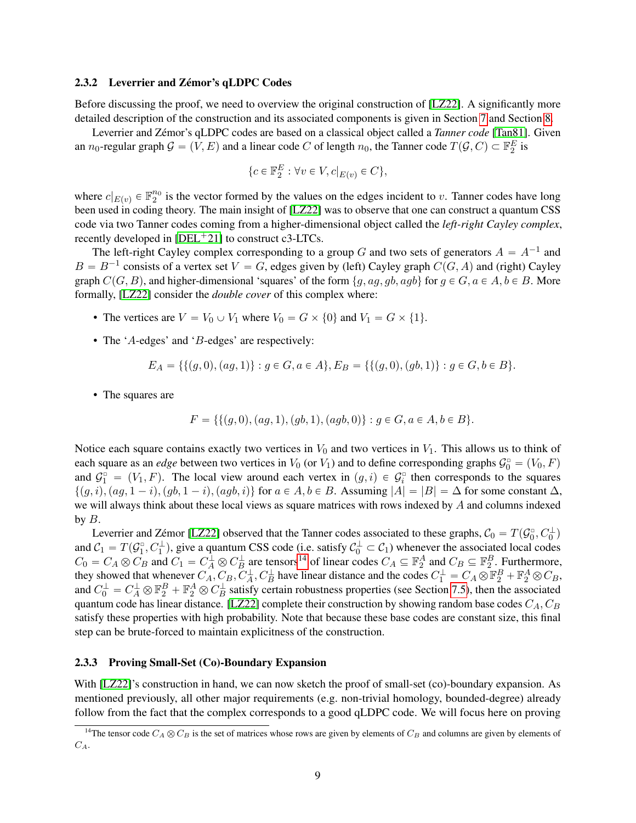#### 2.3.2 Leverrier and Zémor's qLDPC Codes

Before discussing the proof, we need to overview the original construction of [\[LZ22\]](#page-39-6). A significantly more detailed description of the construction and its associated components is given in Section [7](#page-23-0) and Section [8.](#page-28-1)

Leverrier and Zémor's qLDPC codes are based on a classical object called a *Tanner code* [\[Tan81\]](#page-39-11). Given an  $n_0$ -regular graph  $\mathcal{G} = (V, E)$  and a linear code C of length  $n_0$ , the Tanner code  $T(\mathcal{G}, C) \subset \mathbb{F}_2^E$  is

$$
\{c \in \mathbb{F}_2^E : \forall v \in V, c|_{E(v)} \in C\},\
$$

where  $c|_{E(v)} \in \mathbb{F}_2^{n_0}$  is the vector formed by the values on the edges incident to v. Tanner codes have long been used in coding theory. The main insight of [\[LZ22\]](#page-39-6) was to observe that one can construct a quantum CSS code via two Tanner codes coming from a higher-dimensional object called the *left-right Cayley complex*, recently developed in  $[DEL<sup>+</sup>21]$  $[DEL<sup>+</sup>21]$  to construct c3-LTCs.

The left-right Cayley complex corresponding to a group G and two sets of generators  $A = A^{-1}$  and  $B = B^{-1}$  consists of a vertex set  $V = G$ , edges given by (left) Cayley graph  $C(G, A)$  and (right) Cayley graph  $C(G, B)$ , and higher-dimensional 'squares' of the form  $\{g, ag, gb, agb\}$  for  $g \in G, a \in A, b \in B$ . More formally, [\[LZ22\]](#page-39-6) consider the *double cover* of this complex where:

- The vertices are  $V = V_0 \cup V_1$  where  $V_0 = G \times \{0\}$  and  $V_1 = G \times \{1\}.$
- The 'A-edges' and 'B-edges' are respectively:

$$
E_A = \{ \{ (g, 0), (ag, 1) \} : g \in G, a \in A \}, E_B = \{ \{ (g, 0), (gb, 1) \} : g \in G, b \in B \}.
$$

• The squares are

$$
F = \{ \{ (g, 0), (ag, 1), (gb, 1), (agb, 0) \} : g \in G, a \in A, b \in B \}.
$$

Notice each square contains exactly two vertices in  $V_0$  and two vertices in  $V_1$ . This allows us to think of each square as an *edge* between two vertices in  $V_0$  (or  $V_1$ ) and to define corresponding graphs  $\mathcal{G}_0 = (V_0, F)$ and  $\mathcal{G}_1^{\circ} = (V_1, F)$ . The local view around each vertex in  $(g, i) \in \mathcal{G}_i^{\circ}$  then corresponds to the squares  $\{(g, i), (ag, 1 - i), (gb, 1 - i), (agb, i)\}\$  for  $a \in A, b \in B$ . Assuming  $|A| = |B| = \Delta$  for some constant  $\Delta$ , we will always think about these local views as square matrices with rows indexed by  $A$  and columns indexed by  $B$ .

Leverrier and Zémor [\[LZ22\]](#page-39-6) observed that the Tanner codes associated to these graphs,  $C_0 = T(\mathcal{G}_0^{\square}, C_0^{\square})$ and  $C_1 = T(\mathcal{G}_1^{\square}, C_1^{\perp})$ , give a quantum CSS code (i.e. satisfy  $\mathcal{C}_0^{\perp} \subset \mathcal{C}_1$ ) whenever the associated local codes  $C_0 = C_A \otimes C_B$  and  $C_1 = C_A^{\perp} \otimes C_B^{\perp}$  are tensors<sup>[14](#page-8-0)</sup> of linear codes  $C_A \subseteq \mathbb{F}_2^A$  and  $C_B \subseteq \mathbb{F}_2^B$ . Furthermore, they showed that whenever  $C_A$ ,  $C_B$ ,  $C_A^{\perp}$ ,  $C_B^{\perp}$  have linear distance and the codes  $C_1^{\perp} = C_A \otimes \mathbb{F}_2^B + \mathbb{F}_2^A \otimes C_B$ , and  $C_0^{\perp} = C_A^{\perp} \otimes \mathbb{F}_2^B + \mathbb{F}_2^A \otimes C_B^{\perp}$  satisfy certain robustness properties (see Section [7.5\)](#page-26-0), then the associated quantum code has linear distance. [\[LZ22\]](#page-39-6) complete their construction by showing random base codes  $C_A$ ,  $C_B$ satisfy these properties with high probability. Note that because these base codes are constant size, this final step can be brute-forced to maintain explicitness of the construction.

#### 2.3.3 Proving Small-Set (Co)-Boundary Expansion

With [\[LZ22\]](#page-39-6)'s construction in hand, we can now sketch the proof of small-set (co)-boundary expansion. As mentioned previously, all other major requirements (e.g. non-trivial homology, bounded-degree) already follow from the fact that the complex corresponds to a good qLDPC code. We will focus here on proving

<span id="page-8-0"></span><sup>&</sup>lt;sup>14</sup>The tensor code  $C_A \otimes C_B$  is the set of matrices whose rows are given by elements of  $C_B$  and columns are given by elements of  $C_A$ .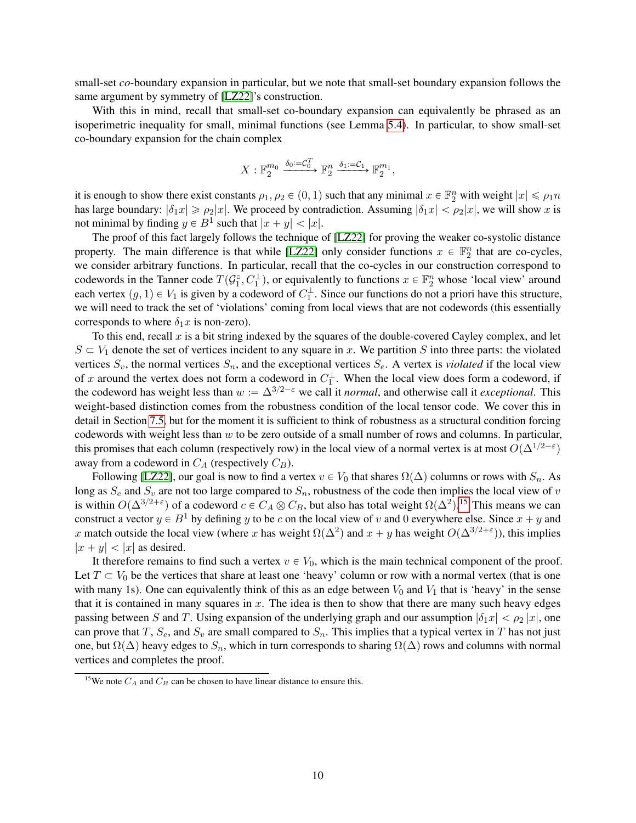small-set *co*-boundary expansion in particular, but we note that small-set boundary expansion follows the same argument by symmetry of [\[LZ22\]](#page-39-6)'s construction.

With this in mind, recall that small-set co-boundary expansion can equivalently be phrased as an isoperimetric inequality for small, minimal functions (see Lemma [5.4\)](#page-16-0). In particular, to show small-set co-boundary expansion for the chain complex

$$
X: \mathbb{F}_2^{m_0} \xrightarrow{\delta_0:=\mathcal{C}_0^T} \mathbb{F}_2^n \xrightarrow{\delta_1:=\mathcal{C}_1} \mathbb{F}_2^{m_1},
$$

it is enough to show there exist constants  $\rho_1, \rho_2 \in (0, 1)$  such that any minimal  $x \in \mathbb{F}_2^n$  with weight  $|x| \le \rho_1 n$ has large boundary:  $|\delta_1 x| \ge \rho_2 |x|$ . We proceed by contradiction. Assuming  $|\delta_1 x| < \rho_2 |x|$ , we will show x is not minimal by finding  $y \in B^1$  such that  $|x + y| < |x|$ .

The proof of this fact largely follows the technique of [\[LZ22\]](#page-39-6) for proving the weaker co-systolic distance property. The main difference is that while [\[LZ22\]](#page-39-6) only consider functions  $x \in \mathbb{F}_2^n$  that are co-cycles, we consider arbitrary functions. In particular, recall that the co-cycles in our construction correspond to codewords in the Tanner code  $T(\mathcal{G}_1^{\square}, C_1^{\perp})$ , or equivalently to functions  $x \in \mathbb{F}_2^n$  whose 'local view' around each vertex  $(g, 1) \in V_1$  is given by a codeword of  $C_1^{\perp}$ . Since our functions do not a priori have this structure, we will need to track the set of 'violations' coming from local views that are not codewords (this essentially corresponds to where  $\delta_1 x$  is non-zero).

To this end, recall  $x$  is a bit string indexed by the squares of the double-covered Cayley complex, and let  $S \subset V_1$  denote the set of vertices incident to any square in x. We partition S into three parts: the violated vertices  $S_v$ , the normal vertices  $S_n$ , and the exceptional vertices  $S_e$ . A vertex is *violated* if the local view of x around the vertex does not form a codeword in  $C_1^{\perp}$ . When the local view does form a codeword, if the codeword has weight less than  $w := \Delta^{3/2-\epsilon}$  we call it *normal*, and otherwise call it *exceptional*. This weight-based distinction comes from the robustness condition of the local tensor code. We cover this in detail in Section [7.5,](#page-26-0) but for the moment it is sufficient to think of robustness as a structural condition forcing codewords with weight less than  $w$  to be zero outside of a small number of rows and columns. In particular, this promises that each column (respectively row) in the local view of a normal vertex is at most  $O(\Delta^{1/2-\epsilon})$ away from a codeword in  $C_A$  (respectively  $C_B$ ).

Following [\[LZ22\]](#page-39-6), our goal is now to find a vertex  $v \in V_0$  that shares  $\Omega(\Delta)$  columns or rows with  $S_n$ . As long as  $S_e$  and  $S_v$  are not too large compared to  $S_n$ , robustness of the code then implies the local view of v is within  $O(\Delta^{3/2+\epsilon})$  of a codeword  $c \in C_A \otimes C_B$ , but also has total weight  $\Omega(\Delta^2)$ .<sup>[15](#page-9-0)</sup> This means we can construct a vector  $y \in B^1$  by defining y to be c on the local view of v and 0 everywhere else. Since  $x + y$  and x match outside the local view (where x has weight  $\Omega(\Delta^2)$  and  $x + y$  has weight  $O(\Delta^{3/2+\epsilon})$ ), this implies  $|x + y| < |x|$  as desired.

It therefore remains to find such a vertex  $v \in V_0$ , which is the main technical component of the proof. Let  $T \subset V_0$  be the vertices that share at least one 'heavy' column or row with a normal vertex (that is one with many 1s). One can equivalently think of this as an edge between  $V_0$  and  $V_1$  that is 'heavy' in the sense that it is contained in many squares in  $x$ . The idea is then to show that there are many such heavy edges passing between S and T. Using expansion of the underlying graph and our assumption  $|\delta_1 x| < \rho_2 |x|$ , one can prove that T,  $S_e$ , and  $S_v$  are small compared to  $S_n$ . This implies that a typical vertex in T has not just one, but  $\Omega(\Delta)$  heavy edges to  $S_n$ , which in turn corresponds to sharing  $\Omega(\Delta)$  rows and columns with normal vertices and completes the proof.

<span id="page-9-0"></span><sup>&</sup>lt;sup>15</sup>We note  $C_A$  and  $C_B$  can be chosen to have linear distance to ensure this.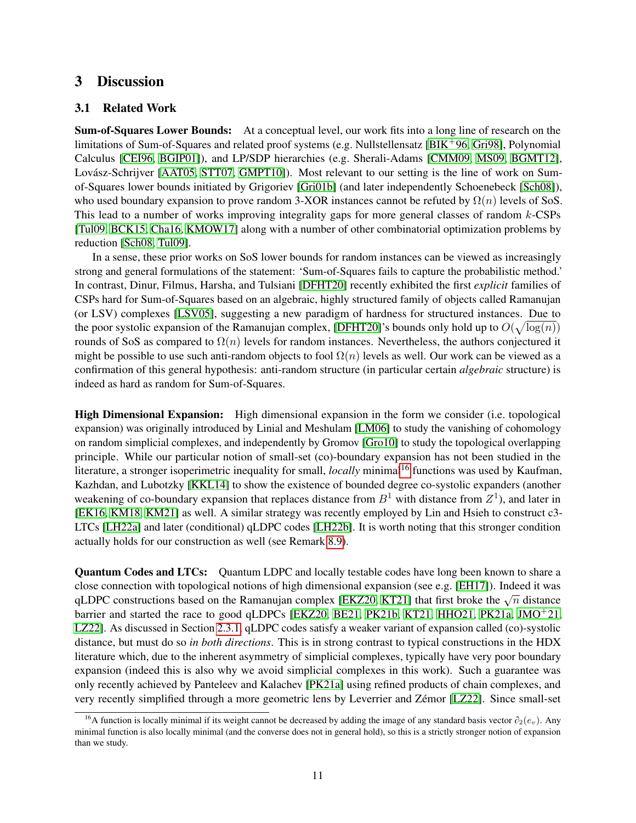### 3 Discussion

#### <span id="page-10-0"></span>3.1 Related Work

Sum-of-Squares Lower Bounds: At a conceptual level, our work fits into a long line of research on the limitations of Sum-of-Squares and related proof systems (e.g. Nullstellensatz  $[BIK^+96, Gri98]$  $[BIK^+96, Gri98]$  $[BIK^+96, Gri98]$ , Polynomial Calculus [\[CEI96,](#page-36-9) [BGIP01\]](#page-36-10)), and LP/SDP hierarchies (e.g. Sherali-Adams [\[CMM09,](#page-36-11) [MS09,](#page-39-12) [BGMT12\]](#page-36-12), Lovász-Schrijver [\[AAT05,](#page-35-6) [STT07,](#page-39-13) [GMPT10\]](#page-37-9)). Most relevant to our setting is the line of work on Sumof-Squares lower bounds initiated by Grigoriev [\[Gri01b\]](#page-37-0) (and later independently Schoenebeck [\[Sch08\]](#page-39-0)), who used boundary expansion to prove random 3-XOR instances cannot be refuted by  $\Omega(n)$  levels of SoS. This lead to a number of works improving integrality gaps for more general classes of random k-CSPs [\[Tul09,](#page-39-1) [BCK15,](#page-35-0) [Cha16,](#page-36-0) [KMOW17\]](#page-38-0) along with a number of other combinatorial optimization problems by reduction [\[Sch08,](#page-39-0) [Tul09\]](#page-39-1).

In a sense, these prior works on SoS lower bounds for random instances can be viewed as increasingly strong and general formulations of the statement: 'Sum-of-Squares fails to capture the probabilistic method.' In contrast, Dinur, Filmus, Harsha, and Tulsiani [\[DFHT20\]](#page-37-1) recently exhibited the first *explicit* families of CSPs hard for Sum-of-Squares based on an algebraic, highly structured family of objects called Ramanujan (or LSV) complexes [\[LSV05\]](#page-39-9), suggesting a new paradigm of hardness for structured instances. Due to the poor systolic expansion of the Ramanujan complex, [\[DFHT20\]](#page-37-1)'s bounds only hold up to  $O(\sqrt{\log(n)})$ rounds of SoS as compared to  $\Omega(n)$  levels for random instances. Nevertheless, the authors conjectured it might be possible to use such anti-random objects to fool  $\Omega(n)$  levels as well. Our work can be viewed as a confirmation of this general hypothesis: anti-random structure (in particular certain *algebraic* structure) is indeed as hard as random for Sum-of-Squares.

High Dimensional Expansion: High dimensional expansion in the form we consider (i.e. topological expansion) was originally introduced by Linial and Meshulam [\[LM06\]](#page-39-7) to study the vanishing of cohomology on random simplicial complexes, and independently by Gromov [\[Gro10\]](#page-38-8) to study the topological overlapping principle. While our particular notion of small-set (co)-boundary expansion has not been studied in the literature, a stronger isoperimetric inequality for small, *locally* minimal<sup>[16](#page-10-1)</sup> functions was used by Kaufman, Kazhdan, and Lubotzky [\[KKL14\]](#page-38-5) to show the existence of bounded degree co-systolic expanders (another weakening of co-boundary expansion that replaces distance from  $B^1$  with distance from  $Z^1$ ), and later in [\[EK16,](#page-37-6) [KM18,](#page-38-6) [KM21\]](#page-38-7) as well. A similar strategy was recently employed by Lin and Hsieh to construct c3- LTCs [\[LH22a\]](#page-39-4) and later (conditional) qLDPC codes [\[LH22b\]](#page-39-14). It is worth noting that this stronger condition actually holds for our construction as well (see Remark [8.9\)](#page-34-0).

Quantum Codes and LTCs: Quantum LDPC and locally testable codes have long been known to share a close connection with topological notions of high dimensional expansion (see e.g. [\[EH17\]](#page-37-7)). Indeed it was qLDPC constructions based on the Ramanujan complex [\[EKZ20,](#page-37-10) [KT21\]](#page-38-9) that first broke the  $\sqrt{n}$  distance barrier and started the race to good qLDPCs [\[EKZ20,](#page-37-10) [BE21,](#page-35-7) [PK21b,](#page-39-15) [KT21,](#page-38-9) [HHO21,](#page-38-10) [PK21a,](#page-39-5) [JMO](#page-38-11)<sup>+</sup>21, [LZ22\]](#page-39-6). As discussed in Section [2.3.1,](#page-6-4) qLDPC codes satisfy a weaker variant of expansion called (co)-systolic distance, but must do so *in both directions*. This is in strong contrast to typical constructions in the HDX literature which, due to the inherent asymmetry of simplicial complexes, typically have very poor boundary expansion (indeed this is also why we avoid simplicial complexes in this work). Such a guarantee was only recently achieved by Panteleev and Kalachev [\[PK21a\]](#page-39-5) using refined products of chain complexes, and very recently simplified through a more geometric lens by Leverrier and Zémor [\[LZ22\]](#page-39-6). Since small-set

<span id="page-10-1"></span><sup>&</sup>lt;sup>16</sup>A function is locally minimal if its weight cannot be decreased by adding the image of any standard basis vector  $\partial_2(e_v)$ . Any minimal function is also locally minimal (and the converse does not in general hold), so this is a strictly stronger notion of expansion than we study.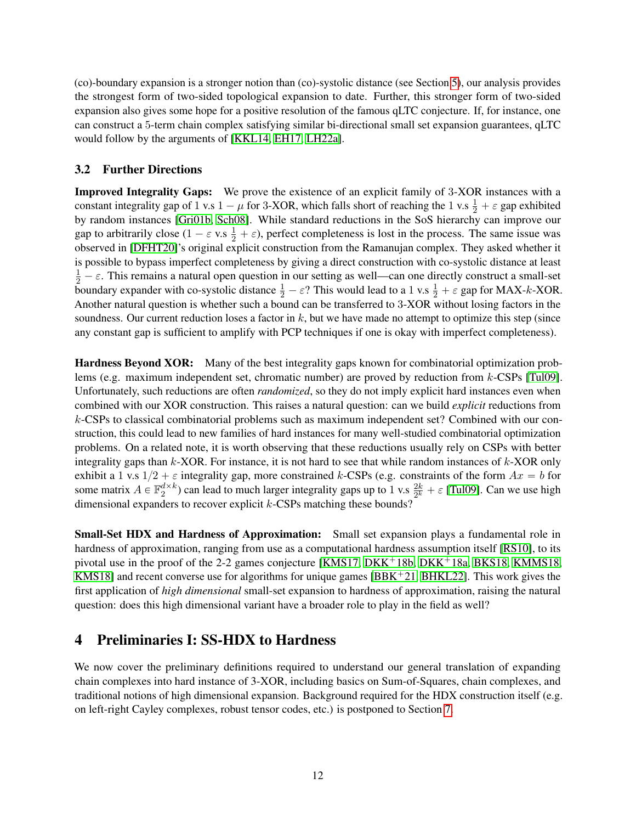(co)-boundary expansion is a stronger notion than (co)-systolic distance (see Section [5\)](#page-15-0), our analysis provides the strongest form of two-sided topological expansion to date. Further, this stronger form of two-sided expansion also gives some hope for a positive resolution of the famous qLTC conjecture. If, for instance, one can construct a 5-term chain complex satisfying similar bi-directional small set expansion guarantees, qLTC would follow by the arguments of [\[KKL14,](#page-38-5) [EH17,](#page-37-7) [LH22a\]](#page-39-4).

### 3.2 Further Directions

Improved Integrality Gaps: We prove the existence of an explicit family of 3-XOR instances with a constant integrality gap of 1 v.s  $1 - \mu$  for 3-XOR, which falls short of reaching the 1 v.s  $\frac{1}{2} + \varepsilon$  gap exhibited by random instances [\[Gri01b,](#page-37-0) [Sch08\]](#page-39-0). While standard reductions in the SoS hierarchy can improve our gap to arbitrarily close  $(1 - \varepsilon \text{ v.s } \frac{1}{2} + \varepsilon)$ , perfect completeness is lost in the process. The same issue was observed in [\[DFHT20\]](#page-37-1)'s original explicit construction from the Ramanujan complex. They asked whether it is possible to bypass imperfect completeness by giving a direct construction with co-systolic distance at least  $\frac{1}{2} - \varepsilon$ . This remains a natural open question in our setting as well—can one directly construct a small-set boundary expander with co-systolic distance  $\frac{1}{2} - \varepsilon$ ? This would lead to a 1 v.s  $\frac{1}{2} + \varepsilon$  gap for MAX-k-XOR. Another natural question is whether such a bound can be transferred to 3-XOR without losing factors in the soundness. Our current reduction loses a factor in  $k$ , but we have made no attempt to optimize this step (since any constant gap is sufficient to amplify with PCP techniques if one is okay with imperfect completeness).

Hardness Beyond XOR: Many of the best integrality gaps known for combinatorial optimization problems (e.g. maximum independent set, chromatic number) are proved by reduction from k-CSPs [\[Tul09\]](#page-39-1). Unfortunately, such reductions are often *randomized*, so they do not imply explicit hard instances even when combined with our XOR construction. This raises a natural question: can we build *explicit* reductions from k-CSPs to classical combinatorial problems such as maximum independent set? Combined with our construction, this could lead to new families of hard instances for many well-studied combinatorial optimization problems. On a related note, it is worth observing that these reductions usually rely on CSPs with better integrality gaps than  $k$ -XOR. For instance, it is not hard to see that while random instances of  $k$ -XOR only exhibit a 1 v.s  $1/2 + \varepsilon$  integrality gap, more constrained k-CSPs (e.g. constraints of the form  $Ax = b$  for some matrix  $A \in \mathbb{F}_2^{d \times k}$ ) can lead to much larger integrality gaps up to 1 v.s  $\frac{2k}{2^k} + \varepsilon$  [\[Tul09\]](#page-39-1). Can we use high dimensional expanders to recover explicit  $k$ -CSPs matching these bounds?

Small-Set HDX and Hardness of Approximation: Small set expansion plays a fundamental role in hardness of approximation, ranging from use as a computational hardness assumption itself [\[RS10\]](#page-39-16), to its pivotal use in the proof of the 2-2 games conjecture [\[KMS17,](#page-38-12) [DKK](#page-37-12)<sup>+</sup>18b, DKK<sup>+</sup>18a, [BKS18,](#page-36-13) [KMMS18,](#page-38-13) [KMS18\]](#page-38-4) and recent converse use for algorithms for unique games  $[BBK<sup>+</sup>21, BHKL22]$  $[BBK<sup>+</sup>21, BHKL22]$  $[BBK<sup>+</sup>21, BHKL22]$ . This work gives the first application of *high dimensional* small-set expansion to hardness of approximation, raising the natural question: does this high dimensional variant have a broader role to play in the field as well?

# <span id="page-11-0"></span>4 Preliminaries I: SS-HDX to Hardness

We now cover the preliminary definitions required to understand our general translation of expanding chain complexes into hard instance of 3-XOR, including basics on Sum-of-Squares, chain complexes, and traditional notions of high dimensional expansion. Background required for the HDX construction itself (e.g. on left-right Cayley complexes, robust tensor codes, etc.) is postponed to Section [7.](#page-23-0)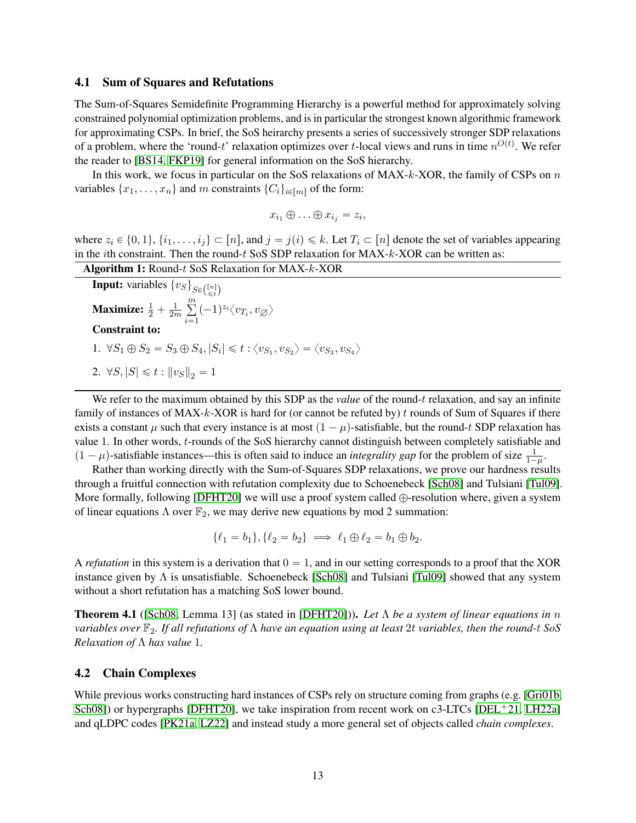#### 4.1 Sum of Squares and Refutations

The Sum-of-Squares Semidefinite Programming Hierarchy is a powerful method for approximately solving constrained polynomial optimization problems, and is in particular the strongest known algorithmic framework for approximating CSPs. In brief, the SoS heirarchy presents a series of successively stronger SDP relaxations of a problem, where the 'round-t' relaxation optimizes over t-local views and runs in time  $n^{O(t)}$ . We refer the reader to [\[BS14,](#page-36-14) [FKP19\]](#page-37-13) for general information on the SoS hierarchy.

In this work, we focus in particular on the SoS relaxations of  $MAX-k-XOR$ , the family of CSPs on n variables  $\{x_1, \ldots, x_n\}$  and m constraints  $\{C_i\}_{i \in [m]}$  of the form:

$$
x_{i_1} \oplus \ldots \oplus x_{i_j} = z_i,
$$

where  $z_i \in \{0, 1\}, \{i_1, \ldots, i_j\} \subset [n]$ , and  $j = j(i) \leq k$ . Let  $T_i \subset [n]$  denote the set of variables appearing in the *i*th constraint. Then the round-t SoS SDP relaxation for  $MAX-k-XOR$  can be written as:

|  | <b>Algorithm 1:</b> Round- $t$ SoS Relaxation for MAX- $k$ -XOR |
|--|-----------------------------------------------------------------|
|--|-----------------------------------------------------------------|

**Input:** variables  $\{v_S\}_{S \in \binom{[n]}{\leq t}}$ Maximize:  $\frac{1}{2} + \frac{1}{2n}$ 2m  $\dot{}$  $i=1$  $(-1)^{z_i}\langle v_{T_i}, v_{\emptyset}\rangle$ Constraint to: 1.  $\forall S_1 \oplus S_2 = S_3 \oplus S_4, |S_i| \leq t : \langle v_{S_1}, v_{S_2} \rangle = \langle v_{S_3}, v_{S_4} \rangle$ 2.  $\forall S, |S| \leq t : ||v_S||_2 = 1$ 

<span id="page-12-1"></span>We refer to the maximum obtained by this SDP as the *value* of the round-t relaxation, and say an infinite family of instances of  $MAX-k-XOR$  is hard for (or cannot be refuted by) t rounds of Sum of Squares if there exists a constant  $\mu$  such that every instance is at most  $(1 - \mu)$ -satisfiable, but the round-t SDP relaxation has value 1. In other words, t-rounds of the SoS hierarchy cannot distinguish between completely satisfiable and  $(1 - \mu)$ -satisfiable instances—this is often said to induce an *integrality gap* for the problem of size  $\frac{1}{1-\mu}$ .

Rather than working directly with the Sum-of-Squares SDP relaxations, we prove our hardness results through a fruitful connection with refutation complexity due to Schoenebeck [\[Sch08\]](#page-39-0) and Tulsiani [\[Tul09\]](#page-39-1). More formally, following [\[DFHT20\]](#page-37-1) we will use a proof system called  $\bigoplus$ -resolution where, given a system of linear equations  $\Lambda$  over  $\mathbb{F}_2$ , we may derive new equations by mod 2 summation:

$$
\{\ell_1 = b_1\}, \{\ell_2 = b_2\} \implies \ell_1 \oplus \ell_2 = b_1 \oplus b_2.
$$

A *refutation* in this system is a derivation that  $0 = 1$ , and in our setting corresponds to a proof that the XOR instance given by  $\Lambda$  is unsatisfiable. Schoenebeck [\[Sch08\]](#page-39-0) and Tulsiani [\[Tul09\]](#page-39-1) showed that any system without a short refutation has a matching SoS lower bound.

<span id="page-12-2"></span>Theorem 4.1 ([\[Sch08,](#page-39-0) Lemma 13] (as stated in [\[DFHT20\]](#page-37-1))). *Let* Λ *be a system of linear equations in* n *variables over* F2*. If all refutations of* Λ *have an equation using at least* 2t *variables, then the round-*t *SoS Relaxation of* Λ *has value* 1*.*

#### <span id="page-12-0"></span>4.2 Chain Complexes

While previous works constructing hard instances of CSPs rely on structure coming from graphs (e.g. [\[Gri01b,](#page-37-0) [Sch08\]](#page-39-0)) or hypergraphs [\[DFHT20\]](#page-37-1), we take inspiration from recent work on c3-LTCs [\[DEL](#page-36-1)<sup>+</sup>21, [LH22a\]](#page-39-4) and qLDPC codes [\[PK21a,](#page-39-5) [LZ22\]](#page-39-6) and instead study a more general set of objects called *chain complexes*.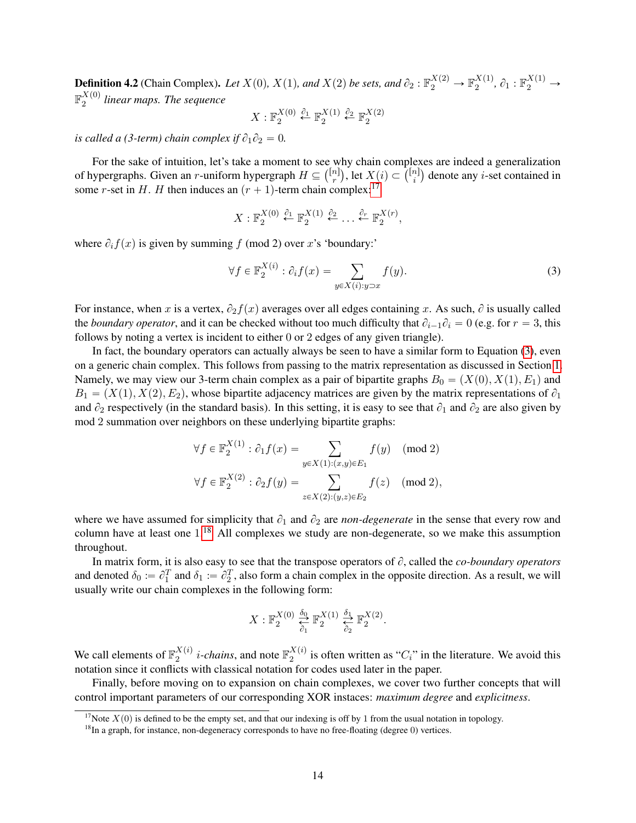**Definition 4.2** (Chain Complex). Let  $X(0)$ ,  $X(1)$ , and  $X(2)$  be sets, and  $\partial_2 : \mathbb{F}_2^{X(2)} \to \mathbb{F}_2^{X(1)}$  $_{2}^{X(1)}, \partial_1 : \mathbb{F}_2^{X(1)} \rightarrow$  $\mathbb{F}_p^{X(0)}$  $\frac{\lambda^{(0)}}{2}$  linear maps. The sequence

$$
X: \mathbb{F}_2^{X(0)} \stackrel{\partial_1}{\leftarrow} \mathbb{F}_2^{X(1)} \stackrel{\partial_2}{\leftarrow} \mathbb{F}_2^{X(2)}
$$

*is called a (3-term) chain complex if*  $\partial_1 \partial_2 = 0$ *.* 

For the sake of intuition, let's take a moment to see why chain complexes are indeed a generalization For the sake of intuition, let's take a moment to see why chain complexes are indeed a generalization of hypergraphs. Given an *r*-uniform hypergraph  $H \subseteq \binom{[n]}{r}$ , let  $X(i) \subset \binom{[n]}{i}$  denote any *i*-set contained in some *r*-set in H. H then induces an  $(r + 1)$ -term chain complex:<sup>[17](#page-13-0)</sup>

$$
X: \mathbb{F}_2^{X(0)} \stackrel{\partial_1}{\leftarrow} \mathbb{F}_2^{X(1)} \stackrel{\partial_2}{\leftarrow} \dots \stackrel{\partial_r}{\leftarrow} \mathbb{F}_2^{X(r)},
$$

where  $\partial_i f(x)$  is given by summing f (mod 2) over x's 'boundary:'

<span id="page-13-1"></span>
$$
\forall f \in \mathbb{F}_2^{X(i)} : \partial_i f(x) = \sum_{y \in X(i): y \supset x} f(y). \tag{3}
$$

For instance, when x is a vertex,  $\partial_2 f(x)$  averages over all edges containing x. As such,  $\partial$  is usually called the *boundary operator*, and it can be checked without too much difficulty that  $\partial_{i-1}\partial_i = 0$  (e.g. for  $r = 3$ , this follows by noting a vertex is incident to either 0 or 2 edges of any given triangle).

In fact, the boundary operators can actually always be seen to have a similar form to Equation [\(3\)](#page-13-1), even on a generic chain complex. This follows from passing to the matrix representation as discussed in Section [1.](#page-1-2) Namely, we may view our 3-term chain complex as a pair of bipartite graphs  $B_0 = (X(0), X(1), E_1)$  and  $B_1 = (X(1), X(2), E_2)$ , whose bipartite adjacency matrices are given by the matrix representations of  $\partial_1$ and  $\partial_2$  respectively (in the standard basis). In this setting, it is easy to see that  $\partial_1$  and  $\partial_2$  are also given by mod 2 summation over neighbors on these underlying bipartite graphs:

$$
\forall f \in \mathbb{F}_2^{X(1)} : \partial_1 f(x) = \sum_{y \in X(1) : (x,y) \in E_1} f(y) \pmod{2}
$$
  

$$
\forall f \in \mathbb{F}_2^{X(2)} : \partial_2 f(y) = \sum_{z \in X(2) : (y,z) \in E_2} f(z) \pmod{2},
$$

where we have assumed for simplicity that  $\partial_1$  and  $\partial_2$  are *non-degenerate* in the sense that every row and column have at least one  $1<sup>18</sup>$  $1<sup>18</sup>$  $1<sup>18</sup>$  All complexes we study are non-degenerate, so we make this assumption throughout.

In matrix form, it is also easy to see that the transpose operators of  $\partial$ , called the *co-boundary operators* and denoted  $\delta_0 := \partial_1^T$  and  $\delta_1 := \partial_2^T$ , also form a chain complex in the opposite direction. As a result, we will usually write our chain complexes in the following form:

$$
X: \mathbb{F}_2^{X(0)} \overset{\delta_0}{\underset{\delta_1}{\rightleftarrows}} \mathbb{F}_2^{X(1)} \overset{\delta_1}{\underset{\delta_2}{\rightleftarrows}} \mathbb{F}_2^{X(2)}.
$$

We call elements of  $\mathbb{F}_2^{X(i)}$  $_2^{X(i)}$  *i*-*chains*, and note  $\mathbb{F}_2^{X(i)}$  $\frac{\Delta^{(i)}}{2}$  is often written as "C<sub>i</sub>" in the literature. We avoid this notation since it conflicts with classical notation for codes used later in the paper.

Finally, before moving on to expansion on chain complexes, we cover two further concepts that will control important parameters of our corresponding XOR instaces: *maximum degree* and *explicitness*.

<span id="page-13-0"></span><sup>&</sup>lt;sup>17</sup>Note  $X(0)$  is defined to be the empty set, and that our indexing is off by 1 from the usual notation in topology.

<span id="page-13-2"></span> $18$ In a graph, for instance, non-degeneracy corresponds to have no free-floating (degree 0) vertices.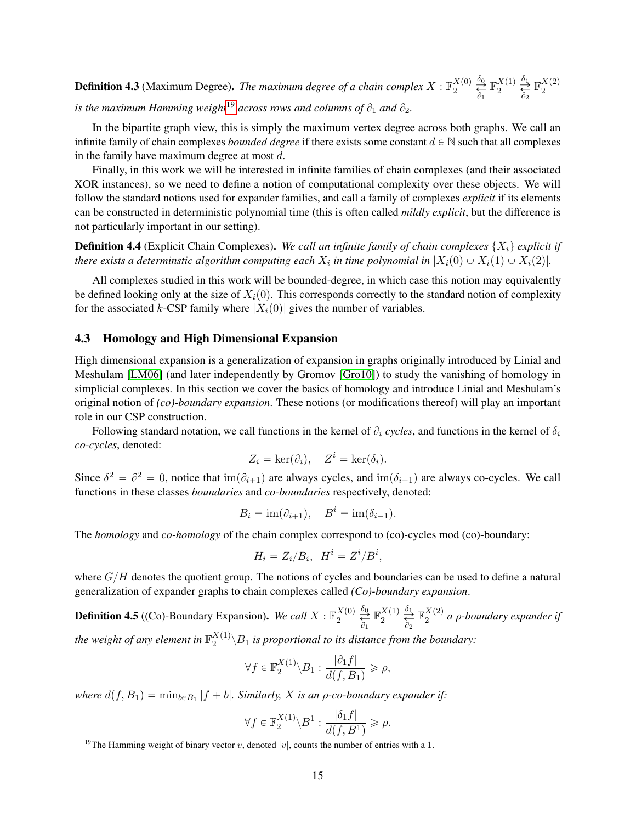**Definition 4.3** (Maximum Degree). *The maximum degree of a chain complex*  $X : \mathbb{F}_2^{X(0)}$  $\frac{X(0)}{2} \overset{\delta_0}{\underset{\partial_1}{\rightleftarrows}}$  $\mathbb{F}_p^{X(1)}$  $\frac{X(1)}{2} \overset{\delta_1}{\underset{\delta_2}{\rightleftharpoons}}$  $\mathbb{F}_p^{X(2)}$ 2 *is the maximum Hamming weight*<sup>[19](#page-14-0)</sup> *across rows and columns of*  $\partial_1$  *and*  $\partial_2$ *.* 

In the bipartite graph view, this is simply the maximum vertex degree across both graphs. We call an infinite family of chain complexes *bounded degree* if there exists some constant  $d \in \mathbb{N}$  such that all complexes in the family have maximum degree at most  $d$ .

Finally, in this work we will be interested in infinite families of chain complexes (and their associated XOR instances), so we need to define a notion of computational complexity over these objects. We will follow the standard notions used for expander families, and call a family of complexes *explicit* if its elements can be constructed in deterministic polynomial time (this is often called *mildly explicit*, but the difference is not particularly important in our setting).

**Definition 4.4** (Explicit Chain Complexes). *We call an infinite family of chain complexes*  $\{X_i\}$  *explicit if* there exists a determinstic algorithm computing each  $X_i$  in time polynomial in  $|X_i(0) \cup X_i(1) \cup X_i(2)|$ .

All complexes studied in this work will be bounded-degree, in which case this notion may equivalently be defined looking only at the size of  $X_i(0)$ . This corresponds correctly to the standard notion of complexity for the associated k-CSP family where  $|X_i(0)|$  gives the number of variables.

#### 4.3 Homology and High Dimensional Expansion

High dimensional expansion is a generalization of expansion in graphs originally introduced by Linial and Meshulam [\[LM06\]](#page-39-7) (and later independently by Gromov [\[Gro10\]](#page-38-8)) to study the vanishing of homology in simplicial complexes. In this section we cover the basics of homology and introduce Linial and Meshulam's original notion of *(co)-boundary expansion*. These notions (or modifications thereof) will play an important role in our CSP construction.

Following standard notation, we call functions in the kernel of  $\partial_i$  cycles, and functions in the kernel of  $\delta_i$ *co-cycles*, denoted:

$$
Z_i = \ker(\partial_i), \quad Z^i = \ker(\delta_i).
$$

Since  $\delta^2 = \partial^2 = 0$ , notice that  $\text{im}(\partial_{i+1})$  are always cycles, and  $\text{im}(\delta_{i-1})$  are always co-cycles. We call functions in these classes *boundaries* and *co-boundaries* respectively, denoted:

$$
B_i = \operatorname{im}(\partial_{i+1}), \quad B^i = \operatorname{im}(\delta_{i-1}).
$$

The *homology* and *co-homology* of the chain complex correspond to (co)-cycles mod (co)-boundary:

$$
H_i = Z_i/B_i, \quad H^i = Z^i/B^i,
$$

where  $G/H$  denotes the quotient group. The notions of cycles and boundaries can be used to define a natural generalization of expander graphs to chain complexes called *(Co)-boundary expansion*.

**Definition 4.5** ((Co)-Boundary Expansion). *We call*  $X : \mathbb{F}_2^{X(0)}$  $\frac{X(0)}{2} \overset{\delta_0}{\underset{\partial_1}{\rightleftarrows}}$  $\mathbb{F}_p^{X(1)}$  $\frac{X(1)}{2} \overset{\delta_1}{\underset{\partial_2}{\rightleftharpoons}}$  $\mathbb{F}_p^{X(2)}$  $a^{(2)}_2$  a  $\rho$ -boundary expander if the weight of any element in  $\mathbb{F}_2^{X(1)}$  $\binom{2}{2}$  is proportional to its distance from the boundary:

$$
\forall f \in \mathbb{F}_2^{X(1)} \backslash B_1 : \frac{|\partial_1 f|}{d(f, B_1)} \geqslant \rho,
$$

*where*  $d(f, B_1) = \min_{b \in B_1} |f + b|$ *. Similarly, X is an*  $\rho$ *-co-boundary expander if:* 

$$
\forall f \in \mathbb{F}_2^{X(1)} \backslash B^1 : \frac{|\delta_1 f|}{d(f,B^1)} \geqslant \rho.
$$

<span id="page-14-0"></span><sup>&</sup>lt;sup>19</sup>The Hamming weight of binary vector v, denoted  $|v|$ , counts the number of entries with a 1.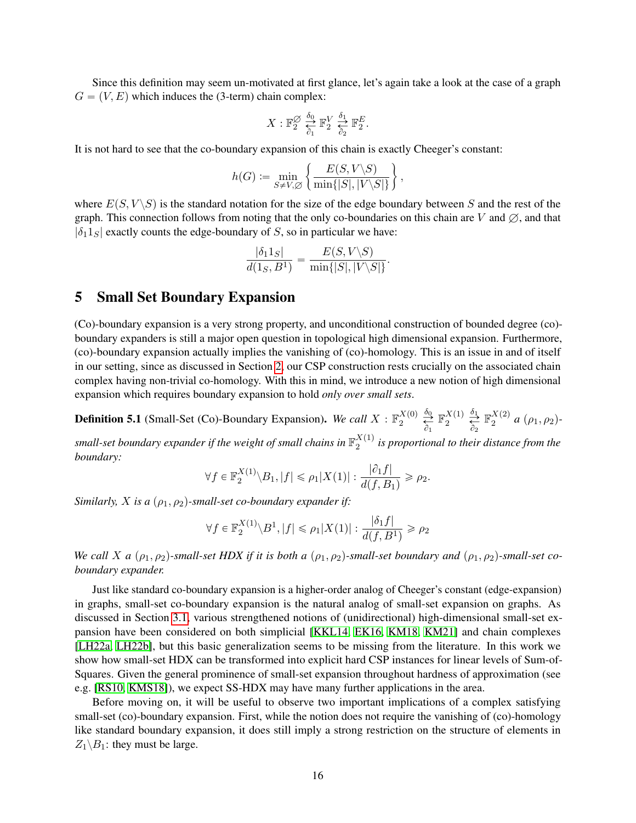Since this definition may seem un-motivated at first glance, let's again take a look at the case of a graph  $G = (V, E)$  which induces the (3-term) chain complex:

$$
X: \mathbb{F}_2^{\varnothing} \underset{\partial_1}{\overset{\delta_0}{\rightleftarrows}} \mathbb{F}_2^V \underset{\partial_2}{\overset{\delta_1}{\rightleftarrows}} \mathbb{F}_2^E.
$$

It is not hard to see that the co-boundary expansion of this chain is exactly Cheeger's constant:

$$
h(G) \coloneqq \min_{S \neq V, \varnothing} \left\{ \frac{E(S, V \backslash S)}{\min\{|S|, |V \backslash S|\}} \right\},
$$

where  $E(S, V \setminus S)$  is the standard notation for the size of the edge boundary between S and the rest of the graph. This connection follows from noting that the only co-boundaries on this chain are V and  $\emptyset$ , and that  $|\delta_1 1_S|$  exactly counts the edge-boundary of S, so in particular we have:

$$
\frac{|\delta_1 1_S|}{d(1_S, B^1)} = \frac{E(S, V \setminus S)}{\min\{|S|, |V \setminus S|\}}.
$$

### <span id="page-15-0"></span>5 Small Set Boundary Expansion

(Co)-boundary expansion is a very strong property, and unconditional construction of bounded degree (co) boundary expanders is still a major open question in topological high dimensional expansion. Furthermore, (co)-boundary expansion actually implies the vanishing of (co)-homology. This is an issue in and of itself in our setting, since as discussed in Section [2,](#page-3-0) our CSP construction rests crucially on the associated chain complex having non-trivial co-homology. With this in mind, we introduce a new notion of high dimensional expansion which requires boundary expansion to hold *only over small sets*.

**Definition 5.1** (Small-Set (Co)-Boundary Expansion). *We call*  $X : \mathbb{F}_2^{X(0)}$  $\frac{X(0)}{2}$   $\frac{\delta_0}{\delta_1}$  $\mathbb{F}_p^{X(1)}$  $\frac{X(1)}{2} \overset{\delta_1}{\underset{\delta_2}{\rightleftharpoons}}$  $\mathbb{F}_p^{X(2)}$  $a^{(2)}$  a  $(\rho_1, \rho_2)$ -

small-set boundary expander if the weight of small chains in  $\mathbb{F}_2^{X(1)}$  $\frac{\Delta(1)}{2}$  is proportional to their distance from the *boundary:*

$$
\forall f \in \mathbb{F}_2^{X(1)} \backslash B_1, |f| \leqslant \rho_1 |X(1)| : \frac{|\partial_1 f|}{d(f, B_1)} \geqslant \rho_2.
$$

*Similarly, X is a*  $(\rho_1, \rho_2)$ -small-set co-boundary expander if:

$$
\forall f \in \mathbb{F}_2^{X(1)} \setminus B^1, |f| \le \rho_1 |X(1)| : \frac{|\delta_1 f|}{d(f, B^1)} \ge \rho_2
$$

*We call X a*  $(\rho_1, \rho_2)$ -small-set HDX if it is both a  $(\rho_1, \rho_2)$ -small-set boundary and  $(\rho_1, \rho_2)$ -small-set co*boundary expander.*

Just like standard co-boundary expansion is a higher-order analog of Cheeger's constant (edge-expansion) in graphs, small-set co-boundary expansion is the natural analog of small-set expansion on graphs. As discussed in Section [3.1,](#page-10-0) various strengthened notions of (unidirectional) high-dimensional small-set expansion have been considered on both simplicial [\[KKL14,](#page-38-5) [EK16,](#page-37-6) [KM18,](#page-38-6) [KM21\]](#page-38-7) and chain complexes [\[LH22a,](#page-39-4) [LH22b\]](#page-39-14), but this basic generalization seems to be missing from the literature. In this work we show how small-set HDX can be transformed into explicit hard CSP instances for linear levels of Sum-of-Squares. Given the general prominence of small-set expansion throughout hardness of approximation (see e.g. [\[RS10,](#page-39-16) [KMS18\]](#page-38-4)), we expect SS-HDX may have many further applications in the area.

<span id="page-15-1"></span>Before moving on, it will be useful to observe two important implications of a complex satisfying small-set (co)-boundary expansion. First, while the notion does not require the vanishing of (co)-homology like standard boundary expansion, it does still imply a strong restriction on the structure of elements in  $Z_1 \backslash B_1$ : they must be large.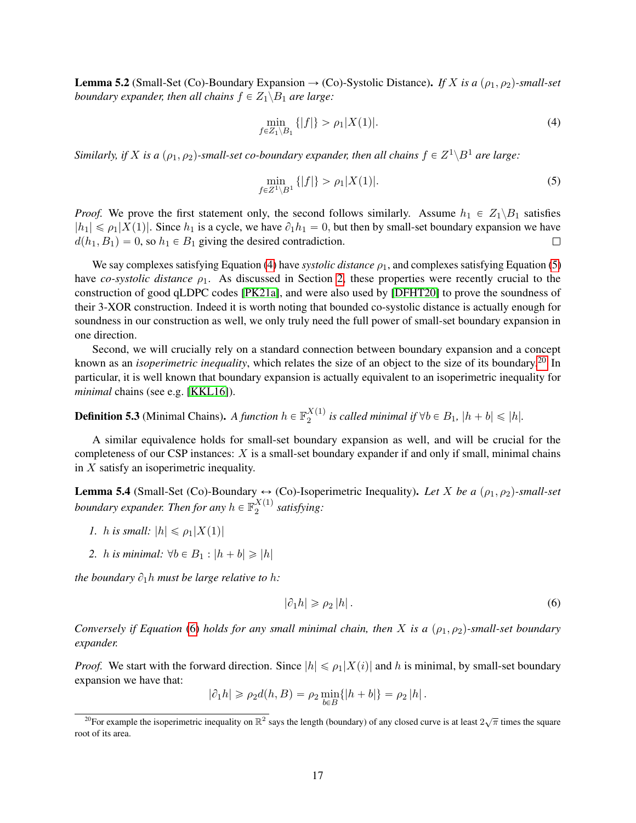**Lemma 5.2** (Small-Set (Co)-Boundary Expansion  $\rightarrow$  (Co)-Systolic Distance). *If* X is a ( $\rho_1, \rho_2$ )-small-set *boundary expander, then all chains*  $f \in Z_1 \backslash B_1$  *are large:* 

<span id="page-16-1"></span>
$$
\min_{f \in Z_1 \setminus B_1} \{|f|\} > \rho_1 |X(1)|. \tag{4}
$$

Similarly, if X is a  $(\rho_1, \rho_2)$ -small-set co-boundary expander, then all chains  $f \in Z^1 \backslash B^1$  are large:

<span id="page-16-2"></span>
$$
\min_{f \in Z^1 \setminus B^1} \{|f|\} > \rho_1 |X(1)|. \tag{5}
$$

*Proof.* We prove the first statement only, the second follows similarly. Assume  $h_1 \in Z_1 \backslash B_1$  satisfies  $|h_1| \leq \rho_1|X(1)|$ . Since  $h_1$  is a cycle, we have  $\partial_1h_1 = 0$ , but then by small-set boundary expansion we have  $d(h_1, B_1) = 0$ , so  $h_1 \in B_1$  giving the desired contradiction.  $\Box$ 

We say complexes satisfying Equation [\(4\)](#page-16-1) have *systolic distance*  $\rho_1$ , and complexes satisfying Equation [\(5\)](#page-16-2) have *co-systolic distance ρ*<sub>1</sub>. As discussed in Section [2,](#page-3-0) these properties were recently crucial to the construction of good qLDPC codes [\[PK21a\]](#page-39-5), and were also used by [\[DFHT20\]](#page-37-1) to prove the soundness of their 3-XOR construction. Indeed it is worth noting that bounded co-systolic distance is actually enough for soundness in our construction as well, we only truly need the full power of small-set boundary expansion in one direction.

Second, we will crucially rely on a standard connection between boundary expansion and a concept known as an *isoperimetric inequality*, which relates the size of an object to the size of its boundary.[20](#page-16-3) In particular, it is well known that boundary expansion is actually equivalent to an isoperimetric inequality for *minimal* chains (see e.g. [\[KKL16\]](#page-38-14)).

**Definition 5.3** (Minimal Chains). A function  $h \in \mathbb{F}_2^{X(1)}$  $\sum_{2}^{A(1)}$  is called minimal if  $\forall b \in B_1$ ,  $|h + b| \leq |h|$ *.* 

A similar equivalence holds for small-set boundary expansion as well, and will be crucial for the completeness of our CSP instances:  $X$  is a small-set boundary expander if and only if small, minimal chains in  $X$  satisfy an isoperimetric inequality.

<span id="page-16-0"></span>**Lemma 5.4** (Small-Set (Co)-Boundary  $\leftrightarrow$  (Co)-Isoperimetric Inequality). Let X be a  $(\rho_1, \rho_2)$ -small-set boundary expander. Then for any  $h \in \mathbb{F}_2^{X(1)}$ 2 *satisfying:*

- *1. h is small:*  $|h| \leq \rho_1|X(1)|$
- 2. *h is minimal:*  $\forall b \in B_1 : |h + b| \geq |h|$

*the boundary*  $\partial_1 h$  *must be large relative to h:* 

<span id="page-16-4"></span>
$$
|\partial_1 h| \ge \rho_2 |h| \,. \tag{6}
$$

*Conversely if Equation* [\(6\)](#page-16-4) *holds for any small minimal chain, then* X *is a*  $(\rho_1, \rho_2)$ -small-set boundary *expander.*

*Proof.* We start with the forward direction. Since  $|h| \leq \rho_1 |X(i)|$  and h is minimal, by small-set boundary expansion we have that:

 $|\partial_1 h| \ge \rho_2 d(h, B) = \rho_2 \min_{b \in B} \{|h + b|\} = \rho_2 |h|.$ 

<span id="page-16-3"></span><sup>&</sup>lt;sup>20</sup>For example the isoperimetric inequality on  $\mathbb{R}^2$  says the length (boundary) of any closed curve is at least  $2\sqrt{\pi}$  times the square root of its area.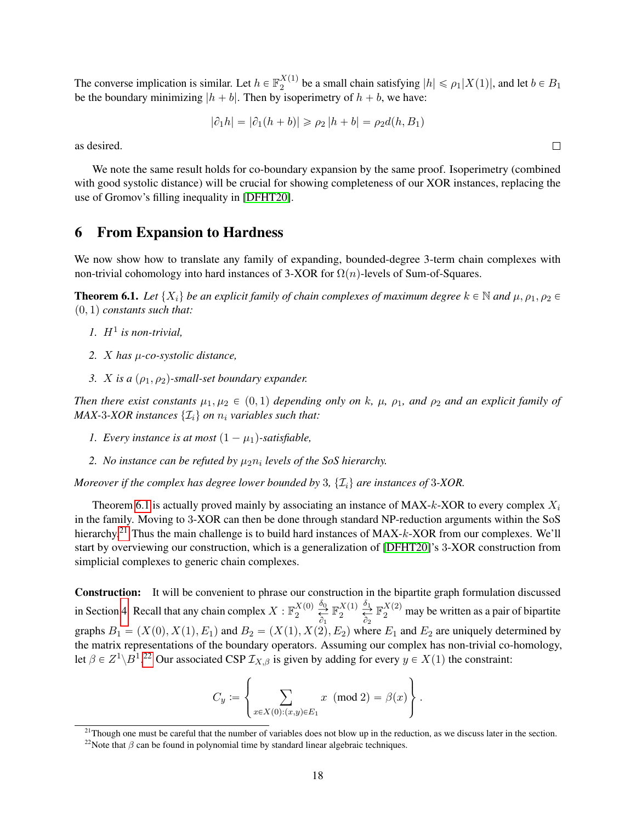The converse implication is similar. Let  $h \in \mathbb{F}_2^{X(1)}$  $\mathbb{Z}_2^{(1)}$  be a small chain satisfying  $|h| \leq \rho_1 |X(1)|$ , and let  $b \in B_1$ be the boundary minimizing  $|h + b|$ . Then by isoperimetry of  $h + b$ , we have:

$$
|\partial_1 h| = |\partial_1 (h + b)| \ge \rho_2 |h + b| = \rho_2 d(h, B_1)
$$

as desired.

We note the same result holds for co-boundary expansion by the same proof. Isoperimetry (combined with good systolic distance) will be crucial for showing completeness of our XOR instances, replacing the use of Gromov's filling inequality in [\[DFHT20\]](#page-37-1).

### <span id="page-17-0"></span>6 From Expansion to Hardness

We now show how to translate any family of expanding, bounded-degree 3-term chain complexes with non-trivial cohomology into hard instances of 3-XOR for  $\Omega(n)$ -levels of Sum-of-Squares.

<span id="page-17-1"></span>**Theorem 6.1.** *Let*  $\{X_i\}$  *be an explicit family of chain complexes of maximum degree*  $k \in \mathbb{N}$  *and*  $\mu$ ,  $\rho_1$ ,  $\rho_2 \in$  $(0, 1)$  *constants such that:* 

- 1.  $H^1$  is non-trivial,
- *2.* X *has* µ*-co-systolic distance,*
- *3. X is a*  $(\rho_1, \rho_2)$ -small-set boundary expander.

*Then there exist constants*  $\mu_1, \mu_2 \in (0, 1)$  *depending only on* k*,*  $\mu$ ,  $\rho_1$ *, and*  $\rho_2$  *and an explicit family of MAX-3-XOR instances*  $\{\mathcal{I}_i\}$  *on*  $n_i$  *variables such that:* 

- *1. Every instance is at most*  $(1 \mu_1)$ -satisfiable,
- 2. *No instance can be refuted by*  $\mu_2 n_i$  *levels of the SoS hierarchy.*

*Moreover if the complex has degree lower bounded by* 3,  $\{I_i\}$  *are instances of* 3-XOR.

Theorem [6.1](#page-17-1) is actually proved mainly by associating an instance of MAX- $k$ -XOR to every complex  $X_i$ in the family. Moving to 3-XOR can then be done through standard NP-reduction arguments within the SoS hierarchy.<sup>[21](#page-17-2)</sup> Thus the main challenge is to build hard instances of MAX- $k$ -XOR from our complexes. We'll start by overviewing our construction, which is a generalization of [\[DFHT20\]](#page-37-1)'s 3-XOR construction from simplicial complexes to generic chain complexes.

Construction: It will be convenient to phrase our construction in the bipartite graph formulation discussed in Section [4.](#page-11-0) Recall that any chain complex  $X : \mathbb{F}_2^{X(0)}$  $\frac{X(0)}{2} \overset{\delta_0}{\underset{\partial_1}{\rightleftarrows}}$  $\mathbb{F}_p^{X(1)}$  $\frac{X(1)}{2} \overset{\delta_1}{\underset{\delta_2}{\rightleftharpoons}}$  $\mathbb{F}_2^{X(2)}$  may be written as a pair of bipartite graphs  $B_1 = (X(0), X(1), E_1)$  and  $B_2 = (X(1), X(2), E_2)$  where  $E_1$  and  $E_2$  are uniquely determined by the matrix representations of the boundary operators. Assuming our complex has non-trivial co-homology, let  $\beta \in Z^1 \backslash B^1$ .<sup>[22](#page-17-3)</sup> Our associated CSP  $\mathcal{I}_{X,\beta}$  is given by adding for every  $y \in X(1)$  the constraint:

$$
C_y := \left\{ \sum_{x \in X(0): (x,y) \in E_1} x \pmod{2} = \beta(x) \right\}.
$$

 $\Box$ 

<span id="page-17-2"></span><sup>&</sup>lt;sup>21</sup>Though one must be careful that the number of variables does not blow up in the reduction, as we discuss later in the section.

<span id="page-17-3"></span><sup>&</sup>lt;sup>22</sup>Note that  $\beta$  can be found in polynomial time by standard linear algebraic techniques.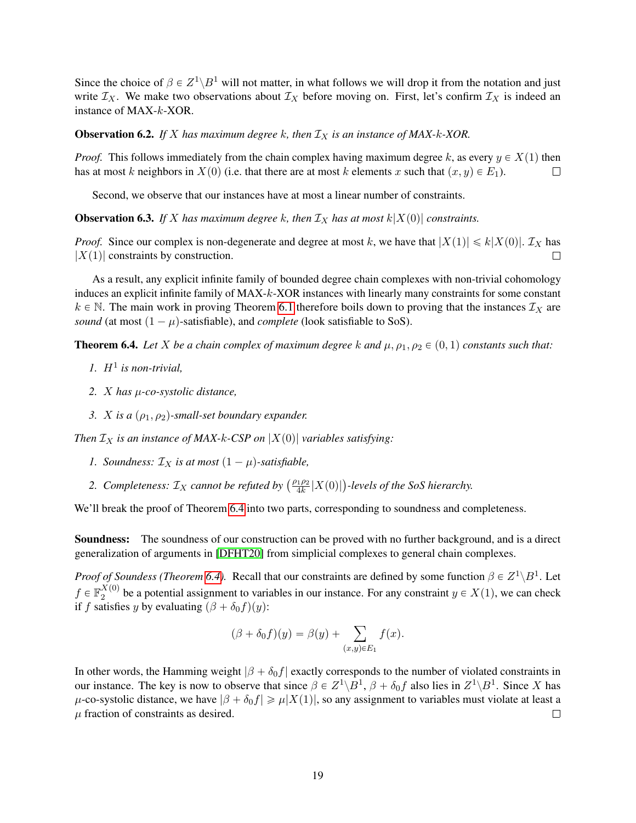Since the choice of  $\beta \in Z^1 \backslash B^1$  will not matter, in what follows we will drop it from the notation and just write  $\mathcal{I}_X$ . We make two observations about  $\mathcal{I}_X$  before moving on. First, let's confirm  $\mathcal{I}_X$  is indeed an instance of MAX-k-XOR.

**Observation 6.2.** *If* X has maximum degree k, then  $\mathcal{I}_X$  is an instance of MAX-k-XOR.

*Proof.* This follows immediately from the chain complex having maximum degree k, as every  $y \in X(1)$  then has at most k neighbors in  $X(0)$  (i.e. that there are at most k elements x such that  $(x, y) \in E_1$ ).  $\Box$ 

Second, we observe that our instances have at most a linear number of constraints.

**Observation 6.3.** If X has maximum degree k, then  $\mathcal{I}_X$  has at most  $k|X(0)|$  constraints.

*Proof.* Since our complex is non-degenerate and degree at most k, we have that  $|X(1)| \le k|X(0)|$ .  $\mathcal{I}_X$  has  $|X(1)|$  constraints by construction.

As a result, any explicit infinite family of bounded degree chain complexes with non-trivial cohomology induces an explicit infinite family of MAX-k-XOR instances with linearly many constraints for some constant  $k \in \mathbb{N}$ . The main work in proving Theorem [6.1](#page-17-1) therefore boils down to proving that the instances  $\mathcal{I}_X$  are *sound* (at most  $(1 - \mu)$ -satisfiable), and *complete* (look satisfiable to SoS).

<span id="page-18-0"></span>**Theorem 6.4.** Let X be a chain complex of maximum degree k and  $\mu$ ,  $\rho_1$ ,  $\rho_2 \in (0,1)$  constants such that:

- 1.  $H^1$  is non-trivial,
- *2.* X *has* µ*-co-systolic distance,*
- *3. X is a*  $(\rho_1, \rho_2)$ -small-set boundary expander.

*Then*  $\mathcal{I}_X$  *is an instance of MAX-k-CSP on*  $|X(0)|$  *variables satisfying:* 

- *1. Soundness:*  $\mathcal{I}_X$  *is at most*  $(1 \mu)$ *-satisfiable,*
- **2.** *Completeness:*  $\mathcal{I}_X$  *cannot be refuted by*  $\left(\frac{\rho_1 \rho_2}{4k}\right)$  $\frac{d_{1}^{1}\rho_{2}}{4k}|X(0)|\big)$ -levels of the SoS hierarchy.

We'll break the proof of Theorem [6.4](#page-18-0) into two parts, corresponding to soundness and completeness.

Soundness: The soundness of our construction can be proved with no further background, and is a direct generalization of arguments in [\[DFHT20\]](#page-37-1) from simplicial complexes to general chain complexes.

*Proof of Soundess (Theorem [6.4\)](#page-18-0).* Recall that our constraints are defined by some function  $\beta \in Z^1 \backslash B^1$ . Let  $f \in \mathbb{F}_2^{X(0)}$  $2^{(0)}$  be a potential assignment to variables in our instance. For any constraint  $y \in X(1)$ , we can check if f satisfies y by evaluating  $(\beta + \delta_0 f)(y)$ :

$$
(\beta + \delta_0 f)(y) = \beta(y) + \sum_{(x,y)\in E_1} f(x).
$$

In other words, the Hamming weight  $|\beta + \delta_0 f|$  exactly corresponds to the number of violated constraints in our instance. The key is now to observe that since  $\beta \in Z^1 \backslash B^1$ ,  $\beta + \delta_0 f$  also lies in  $Z^1 \backslash B^1$ . Since X has  $\mu$ -co-systolic distance, we have  $|\beta + \delta_0 f| \ge \mu |X(1)|$ , so any assignment to variables must violate at least a  $\mu$  fraction of constraints as desired.  $\Box$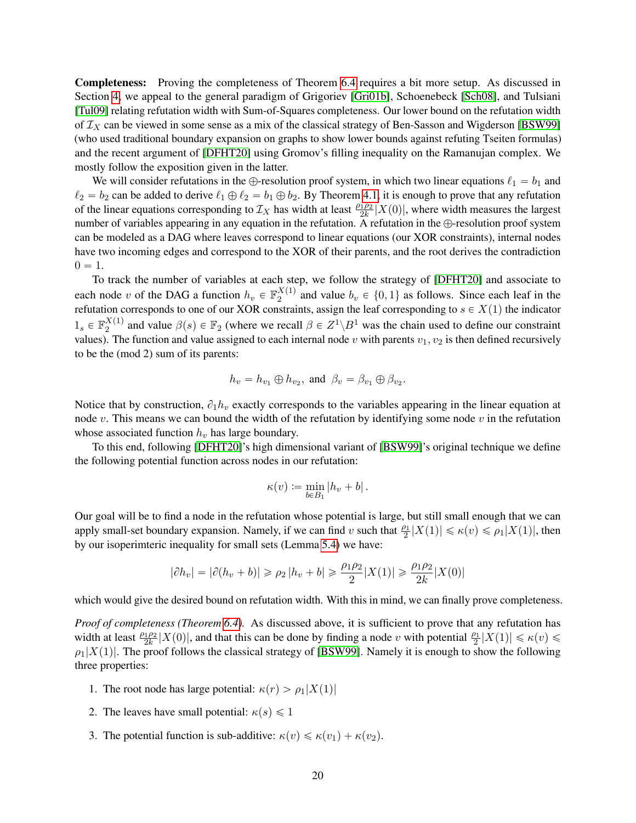Completeness: Proving the completeness of Theorem [6.4](#page-18-0) requires a bit more setup. As discussed in Section [4,](#page-11-0) we appeal to the general paradigm of Grigoriev [\[Gri01b\]](#page-37-0), Schoenebeck [\[Sch08\]](#page-39-0), and Tulsiani [\[Tul09\]](#page-39-1) relating refutation width with Sum-of-Squares completeness. Our lower bound on the refutation width of  $\mathcal{I}_X$  can be viewed in some sense as a mix of the classical strategy of Ben-Sasson and Wigderson [\[BSW99\]](#page-36-6) (who used traditional boundary expansion on graphs to show lower bounds against refuting Tseiten formulas) and the recent argument of [\[DFHT20\]](#page-37-1) using Gromov's filling inequality on the Ramanujan complex. We mostly follow the exposition given in the latter.

We will consider refutations in the  $\oplus$ -resolution proof system, in which two linear equations  $\ell_1 = b_1$  and  $\ell_2 = b_2$  can be added to derive  $\ell_1 \oplus \ell_2 = b_1 \oplus b_2$ . By Theorem [4.1,](#page-12-2) it is enough to prove that any refutation of the linear equations corresponding to  $\mathcal{I}_X$  has width at least  $\frac{\rho_1 \rho_2}{2k}|X(0)|$ , where width measures the largest number of variables appearing in any equation in the refutation. A refutation in the  $\bigoplus$ -resolution proof system can be modeled as a DAG where leaves correspond to linear equations (our XOR constraints), internal nodes have two incoming edges and correspond to the XOR of their parents, and the root derives the contradiction  $0 = 1.$ 

To track the number of variables at each step, we follow the strategy of [\[DFHT20\]](#page-37-1) and associate to each node v of the DAG a function  $h_v \in \mathbb{F}_2^{X(1)}$  $a_2^{A(1)}$  and value  $b_v \in \{0, 1\}$  as follows. Since each leaf in the refutation corresponds to one of our XOR constraints, assign the leaf corresponding to  $s \in X(1)$  the indicator  $1_s \in \mathbb{F}_2^{X(1)}$  $_2^{X(1)}$  and value  $\beta(s) \in \mathbb{F}_2$  (where we recall  $\beta \in Z^1 \backslash B^1$  was the chain used to define our constraint values). The function and value assigned to each internal node v with parents  $v_1, v_2$  is then defined recursively to be the (mod 2) sum of its parents:

$$
h_v = h_{v_1} \oplus h_{v_2}
$$
, and  $\beta_v = \beta_{v_1} \oplus \beta_{v_2}$ .

Notice that by construction,  $\partial_1 h_v$  exactly corresponds to the variables appearing in the linear equation at node v. This means we can bound the width of the refutation by identifying some node v in the refutation whose associated function  $h<sub>v</sub>$  has large boundary.

To this end, following [\[DFHT20\]](#page-37-1)'s high dimensional variant of [\[BSW99\]](#page-36-6)'s original technique we define the following potential function across nodes in our refutation:

$$
\kappa(v) \coloneqq \min_{b \in B_1} |h_v + b|.
$$

Our goal will be to find a node in the refutation whose potential is large, but still small enough that we can apply small-set boundary expansion. Namely, if we can find v such that  $\frac{\rho_1}{2}|X(1)| \le \kappa(v) \le \rho_1|X(1)|$ , then by our isoperimteric inequality for small sets (Lemma [5.4\)](#page-16-0) we have:

$$
|\partial h_v| = |\partial (h_v + b)| \ge \rho_2 |h_v + b| \ge \frac{\rho_1 \rho_2}{2} |X(1)| \ge \frac{\rho_1 \rho_2}{2k} |X(0)|
$$

which would give the desired bound on refutation width. With this in mind, we can finally prove completeness.

*Proof of completeness (Theorem [6.4\)](#page-18-0).* As discussed above, it is sufficient to prove that any refutation has width at least  $\frac{\rho_1 \rho_2}{2k} |X(0)|$ , and that this can be done by finding a node v with potential  $\frac{\rho_1}{2}|X(1)| \le \kappa(v) \le$  $\rho_1|X(1)|$ . The proof follows the classical strategy of [\[BSW99\]](#page-36-6). Namely it is enough to show the following three properties:

- 1. The root node has large potential:  $\kappa(r) > \rho_1|X(1)|$
- 2. The leaves have small potential:  $\kappa(s) \leq 1$
- 3. The potential function is sub-additive:  $\kappa(v) \leq \kappa(v_1) + \kappa(v_2)$ .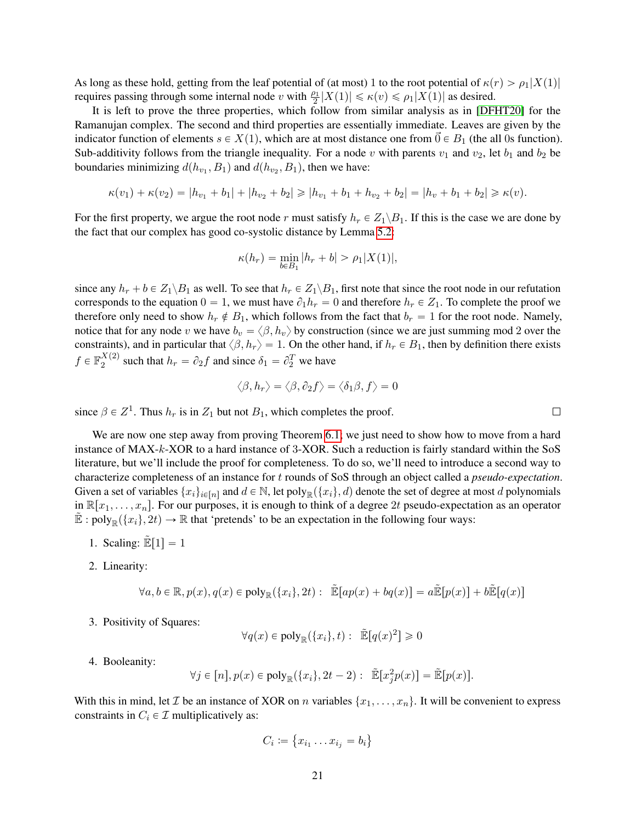As long as these hold, getting from the leaf potential of (at most) 1 to the root potential of  $\kappa(r) > \rho_1|X(1)|$ requires passing through some internal node v with  $\frac{\rho_1}{2}|X(1)| \le \kappa(v) \le \rho_1 |X(1)|$  as desired.

It is left to prove the three properties, which follow from similar analysis as in [\[DFHT20\]](#page-37-1) for the Ramanujan complex. The second and third properties are essentially immediate. Leaves are given by the indicator function of elements  $s \in X(1)$ , which are at most distance one from  $\vec{0} \in B_1$  (the all 0s function). Sub-additivity follows from the triangle inequality. For a node v with parents  $v_1$  and  $v_2$ , let  $b_1$  and  $b_2$  be boundaries minimizing  $d(h_{v_1}, B_1)$  and  $d(h_{v_2}, B_1)$ , then we have:

$$
\kappa(v_1) + \kappa(v_2) = |h_{v_1} + b_1| + |h_{v_2} + b_2| \ge |h_{v_1} + b_1 + h_{v_2} + b_2| = |h_v + b_1 + b_2| \ge \kappa(v).
$$

For the first property, we argue the root node r must satisfy  $h_r \in Z_1 \backslash B_1$ . If this is the case we are done by the fact that our complex has good co-systolic distance by Lemma [5.2:](#page-15-1)

$$
\kappa(h_r) = \min_{b \in B_1} |h_r + b| > \rho_1 |X(1)|,
$$

since any  $h_r + b \in Z_1 \backslash B_1$  as well. To see that  $h_r \in Z_1 \backslash B_1$ , first note that since the root node in our refutation corresponds to the equation  $0 = 1$ , we must have  $\partial_1 h_r = 0$  and therefore  $h_r \in Z_1$ . To complete the proof we therefore only need to show  $h_r \notin B_1$ , which follows from the fact that  $b_r = 1$  for the root node. Namely, notice that for any node v we have  $b_v = \langle \beta, h_v \rangle$  by construction (since we are just summing mod 2 over the constraints), and in particular that  $\langle \beta, h_r \rangle = 1$ . On the other hand, if  $h_r \in B_1$ , then by definition there exists  $f \in \mathbb{F}_2^{X(2)}$  $\lambda^{(2)}_{2}$  such that  $h_r = \partial_2 f$  and since  $\delta_1 = \partial_2^T$  we have

$$
\langle \beta, h_r \rangle = \langle \beta, \partial_2 f \rangle = \langle \delta_1 \beta, f \rangle = 0
$$

since  $\beta \in \mathbb{Z}^1$ . Thus  $h_r$  is in  $\mathbb{Z}_1$  but not  $B_1$ , which completes the proof.

We are now one step away from proving Theorem [6.1;](#page-17-1) we just need to show how to move from a hard instance of MAX-k-XOR to a hard instance of 3-XOR. Such a reduction is fairly standard within the SoS literature, but we'll include the proof for completeness. To do so, we'll need to introduce a second way to characterize completeness of an instance for t rounds of SoS through an object called a *pseudo-expectation*. Given a set of variables  $\{x_i\}_{i\in[n]}$  and  $d \in \mathbb{N}$ , let poly $\mathbb{R}(\{x_i\}, d)$  denote the set of degree at most d polynomials in  $\mathbb{R}[x_1, \ldots, x_n]$ . For our purposes, it is enough to think of a degree 2t pseudo-expectation as an operator  $\mathbb{E}: \text{poly}_{\mathbb{R}}(\{x_i\}, 2t) \to \mathbb{R}$  that 'pretends' to be an expectation in the following four ways:

- 1. Scaling:  $\mathbb{E}[1] = 1$
- 2. Linearity:

$$
\forall a, b \in \mathbb{R}, p(x), q(x) \in \text{poly}_{\mathbb{R}}(\{x_i\}, 2t) : \ \tilde{\mathbb{E}}[ap(x) + bq(x)] = a\tilde{\mathbb{E}}[p(x)] + b\tilde{\mathbb{E}}[q(x)]
$$

3. Positivity of Squares:

$$
\forall q(x) \in \text{poly}_{\mathbb{R}}(\{x_i\}, t): \ \tilde{\mathbb{E}}[q(x)^2] \geq 0
$$

4. Booleanity:

$$
\forall j \in [n], p(x) \in \text{poly}_{\mathbb{R}}(\{x_i\}, 2t - 2) : \ \tilde{\mathbb{E}}[x_j^2 p(x)] = \tilde{\mathbb{E}}[p(x)].
$$

With this in mind, let *T* be an instance of XOR on *n* variables  $\{x_1, \ldots, x_n\}$ . It will be convenient to express constraints in  $C_i \in \mathcal{I}$  multiplicatively as:

$$
C_i \coloneqq \{x_{i_1} \dots x_{i_j} = b_i\}
$$

 $\Box$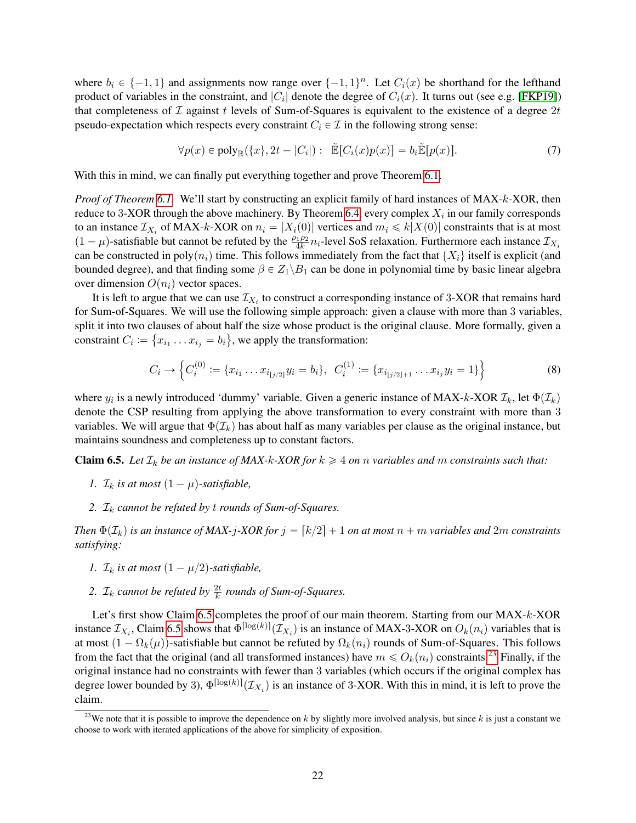where  $b_i \in \{-1, 1\}$  and assignments now range over  $\{-1, 1\}^n$ . Let  $C_i(x)$  be shorthand for the lefthand product of variables in the constraint, and  $|C_i|$  denote the degree of  $C_i(x)$ . It turns out (see e.g. [\[FKP19\]](#page-37-13)) that completeness of  $\mathcal I$  against t levels of Sum-of-Squares is equivalent to the existence of a degree  $2t$ pseudo-expectation which respects every constraint  $C_i \in \mathcal{I}$  in the following strong sense:

<span id="page-21-2"></span>
$$
\forall p(x) \in \text{poly}_{\mathbb{R}}(\{x\}, 2t - |C_i|) : \quad \tilde{\mathbb{E}}[C_i(x)p(x)] = b_i \tilde{\mathbb{E}}[p(x)]. \tag{7}
$$

With this in mind, we can finally put everything together and prove Theorem [6.1.](#page-17-1)

*Proof of Theorem [6.1.](#page-17-1)* We'll start by constructing an explicit family of hard instances of MAX-k-XOR, then reduce to 3-XOR through the above machinery. By Theorem [6.4,](#page-18-0) every complex  $X_i$  in our family corresponds to an instance  $\mathcal{I}_{X_i}$  of MAX-k-XOR on  $n_i = |X_i(0)|$  vertices and  $m_i \leq k|X(0)|$  constraints that is at most  $(1 - \mu)$ -satisfiable but cannot be refuted by the  $\frac{\rho_1 \rho_2}{4k} n_i$ -level SoS relaxation. Furthermore each instance  $\mathcal{I}_{X_i}$ can be constructed in poly $(n_i)$  time. This follows immediately from the fact that  $\{X_i\}$  itself is explicit (and bounded degree), and that finding some  $\beta \in Z_1 \backslash B_1$  can be done in polynomial time by basic linear algebra over dimension  $O(n_i)$  vector spaces.

It is left to argue that we can use  $\mathcal{I}_{X_i}$  to construct a corresponding instance of 3-XOR that remains hard for Sum-of-Squares. We will use the following simple approach: given a clause with more than 3 variables, split it into two clauses of about half the size whose product is the original clause. More formally, given a constraint  $C_i := \{x_{i_1} \dots x_{i_j} = b_i\}$ , we apply the transformation:

<span id="page-21-3"></span>
$$
C_i \to \left\{ C_i^{(0)} := \{x_{i_1} \dots x_{i_{\lfloor j/2 \rfloor}} y_i = b_i \}, \ \ C_i^{(1)} := \{x_{i_{\lfloor j/2 \rfloor + 1}} \dots x_{i_j} y_i = 1 \} \right\}
$$
(8)

where  $y_i$  is a newly introduced 'dummy' variable. Given a generic instance of MAX-k-XOR  $\mathcal{I}_k$ , let  $\Phi(\mathcal{I}_k)$ denote the CSP resulting from applying the above transformation to every constraint with more than 3 variables. We will argue that  $\Phi(\mathcal{I}_k)$  has about half as many variables per clause as the original instance, but maintains soundness and completeness up to constant factors.

<span id="page-21-0"></span>**Claim 6.5.** *Let*  $\mathcal{I}_k$  *be an instance of MAX-k-XOR for*  $k \geq 4$  *on n variables and m constraints such that:* 

- *1.*  $\mathcal{I}_k$  *is at most*  $(1 \mu)$ -satisfiable,
- 2.  $\mathcal{I}_k$  *cannot be refuted by t rounds of Sum-of-Squares.*

*Then*  $\Phi(\mathcal{I}_k)$  *is an instance of MAX-j-XOR for*  $j = [k/2] + 1$  *on at most*  $n + m$  *variables and* 2m *constraints satisfying:*

- *1.*  $\mathcal{I}_k$  *is at most*  $(1 \mu/2)$ -satisfiable,
- 2.  $\mathcal{I}_k$  *cannot be refuted by*  $\frac{2t}{k}$  *rounds of Sum-of-Squares.*

Let's first show Claim [6.5](#page-21-0) completes the proof of our main theorem. Starting from our MAX-k-XOR instance  $\mathcal{I}_{X_i}$ , Claim [6.5](#page-21-0) shows that  $\Phi^{\lceil \log(k) \rceil}(\mathcal{I}_{X_i})$  is an instance of MAX-3-XOR on  $O_k(n_i)$  variables that is at most  $(1 - \Omega_k(\mu))$ -satisfiable but cannot be refuted by  $\Omega_k(n_i)$  rounds of Sum-of-Squares. This follows from the fact that the original (and all transformed instances) have  $m \leq O_k(n_i)$  constraints.<sup>[23](#page-21-1)</sup> Finally, if the original instance had no constraints with fewer than 3 variables (which occurs if the original complex has degree lower bounded by 3),  $\Phi^{\lceil \log(k) \rceil}(\mathcal{I}_{X_i})$  is an instance of 3-XOR. With this in mind, it is left to prove the claim.

<span id="page-21-1"></span><sup>&</sup>lt;sup>23</sup>We note that it is possible to improve the dependence on k by slightly more involved analysis, but since k is just a constant we choose to work with iterated applications of the above for simplicity of exposition.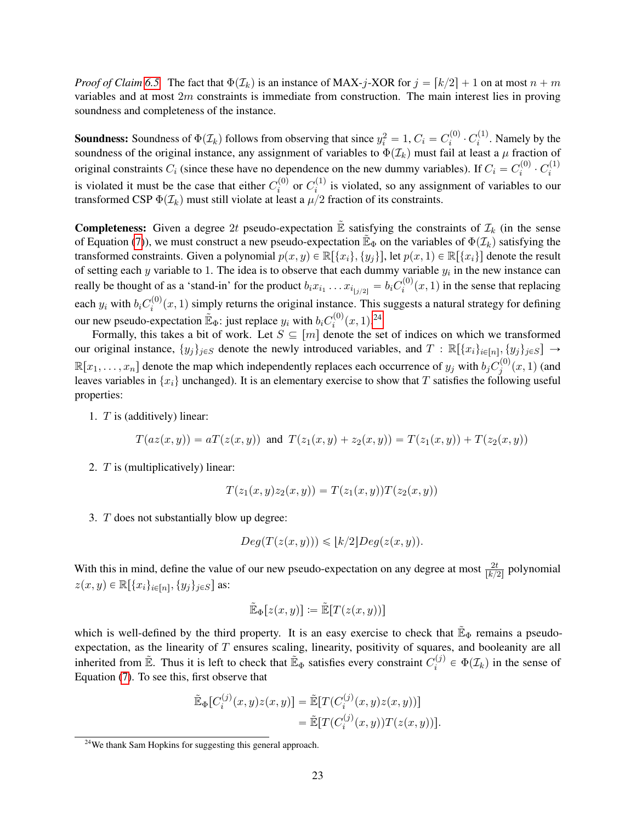*Proof of Claim* [6.5.](#page-21-0) The fact that  $\Phi(\mathcal{I}_k)$  is an instance of MAX-j-XOR for  $j = [k/2] + 1$  on at most  $n + m$ variables and at most  $2m$  constraints is immediate from construction. The main interest lies in proving soundness and completeness of the instance.

**Soundness:** Soundness of  $\Phi(\mathcal{I}_k)$  follows from observing that since  $y_i^2 = 1$ ,  $C_i = C_i^{(0)}$  $\stackrel{_{\scriptscriptstyle (l)}\scriptscriptstyle (l)}{\scriptscriptstyle i}$   $\cdot$   $C_i^{(1)}$  $i^{(1)}$ . Namely by the soundness of the original instance, any assignment of variables to  $\Phi(\mathcal{I}_k)$  must fail at least a  $\mu$  fraction of original constraints  $C_i$  (since these have no dependence on the new dummy variables). If  $C_i = C_i^{(0)}$  $\overline{C}_i^{(0)}\cdot C_i^{(1)}$ i is violated it must be the case that either  $C_i^{(0)}$  $\sigma_i^{(0)}$  or  $C_i^{(1)}$  $i^{(1)}$  is violated, so any assignment of variables to our transformed CSP  $\Phi(\mathcal{I}_k)$  must still violate at least a  $\mu/2$  fraction of its constraints.

**Completeness:** Given a degree 2t pseudo-expectation  $\tilde{E}$  satisfying the constraints of  $\mathcal{I}_k$  (in the sense of Equation [\(7\)](#page-21-2)), we must construct a new pseudo-expectation  $\mathbb{E}_{\Phi}$  on the variables of  $\Phi(\mathcal{I}_k)$  satisfying the transformed constraints. Given a polynomial  $p(x, y) \in \mathbb{R}[\{x_i\}, \{y_i\}]$ , let  $p(x, 1) \in \mathbb{R}[\{x_i\}]$  denote the result of setting each y variable to 1. The idea is to observe that each dummy variable  $y_i$  in the new instance can really be thought of as a 'stand-in' for the product  $b_i x_{i_1} \dots x_{i_{\lfloor j/2 \rfloor}} = b_i C_i^{(0)}$  $i^{(0)}(x, 1)$  in the sense that replacing each  $y_i$  with  $b_i C_i^{(0)}$  $\sum_{i=1}^{(n)} (x, 1)$  simply returns the original instance. This suggests a natural strategy for defining our new pseudo-expectation  $\mathbb{E}_{\Phi}$ : just replace  $y_i$  with  $b_i C_i^{(0)}$  $j_i^{(0)}(x,1).^{24}$  $j_i^{(0)}(x,1).^{24}$  $j_i^{(0)}(x,1).^{24}$ 

Formally, this takes a bit of work. Let  $S \subseteq [m]$  denote the set of indices on which we transformed our original instance,  $\{y_j\}_{j\in S}$  denote the newly introduced variables, and  $T : \mathbb{R}[\{x_i\}_{i\in[n]}, \{y_j\}_{j\in S}] \rightarrow$  $\mathbb{R}[x_1,\ldots,x_n]$  denote the map which independently replaces each occurrence of  $y_j$  with  $b_j C_j^{(0)}$  $j^{(0)}(x, 1)$  (and leaves variables in  $\{x_i\}$  unchanged). It is an elementary exercise to show that T satisfies the following useful properties:

1. T is (additively) linear:

$$
T(az(x,y)) = aT(z(x,y)) \text{ and } T(z_1(x,y) + z_2(x,y)) = T(z_1(x,y)) + T(z_2(x,y))
$$

2. T is (multiplicatively) linear:

$$
T(z_1(x, y)z_2(x, y)) = T(z_1(x, y))T(z_2(x, y))
$$

3. T does not substantially blow up degree:

$$
Deg(T(z(x,y))) \leqslant \lfloor k/2 \rfloor Deg(z(x,y)).
$$

With this in mind, define the value of our new pseudo-expectation on any degree at most  $\frac{2t}{\lfloor k/2 \rfloor}$  polynomial  $z(x, y) \in \mathbb{R}[\{x_i\}_{i \in [n]}, \{y_j\}_{j \in S}]$  as:

$$
\widetilde{\mathbb{E}}_{\Phi}[z(x,y)] := \widetilde{\mathbb{E}}[T(z(x,y))]
$$

which is well-defined by the third property. It is an easy exercise to check that  $\mathbb{E}_{\Phi}$  remains a pseudoexpectation, as the linearity of T ensures scaling, linearity, positivity of squares, and booleanity are all inherited from  $\mathbb{E}$ . Thus it is left to check that  $\mathbb{E}_{\Phi}$  satisfies every constraint  $C_i^{(j)}$  $e^{(0)} \in \Phi(\mathcal{I}_k)$  in the sense of Equation [\(7\)](#page-21-2). To see this, first observe that

$$
\tilde{\mathbb{E}}_{\Phi}[C_i^{(j)}(x,y)z(x,y)] = \tilde{\mathbb{E}}[T(C_i^{(j)}(x,y)z(x,y))]
$$
  
= 
$$
\tilde{\mathbb{E}}[T(C_i^{(j)}(x,y))T(z(x,y))].
$$

<span id="page-22-0"></span> $24$ We thank Sam Hopkins for suggesting this general approach.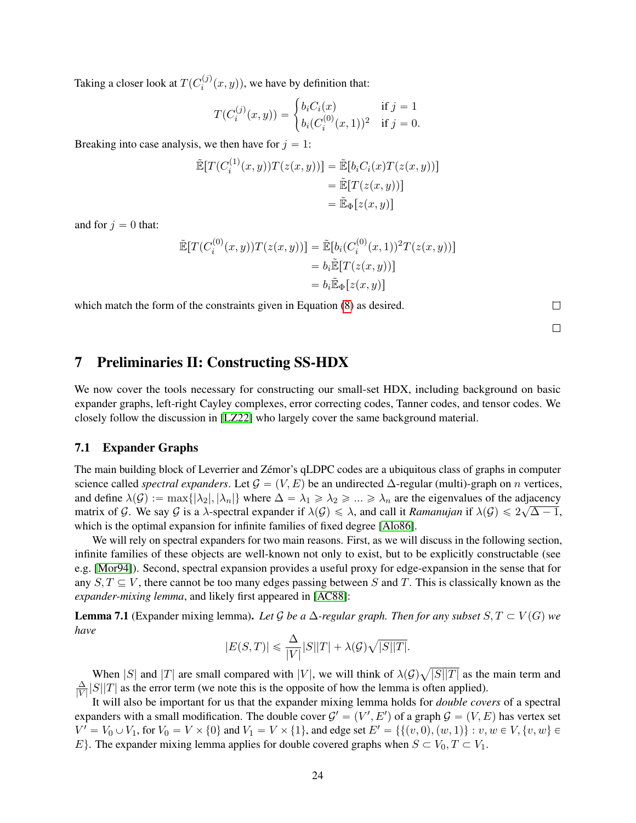Taking a closer look at  $T(C_i^{(j)})$  $\hat{f}_i^{(J)}(x, y)$ , we have by definition that:

$$
T(C_i^{(j)}(x, y)) = \begin{cases} b_i C_i(x) & \text{if } j = 1\\ b_i (C_i^{(0)}(x, 1))^2 & \text{if } j = 0. \end{cases}
$$

Breaking into case analysis, we then have for  $j = 1$ :

$$
\tilde{\mathbb{E}}[T(C_i^{(1)}(x,y))T(z(x,y))] = \tilde{\mathbb{E}}[b_i C_i(x)T(z(x,y))]
$$
  

$$
= \tilde{\mathbb{E}}[T(z(x,y))]
$$
  

$$
= \tilde{\mathbb{E}}_{\Phi}[z(x,y)]
$$

and for  $j = 0$  that:

$$
\tilde{\mathbb{E}}[T(C_i^{(0)}(x,y))T(z(x,y))] = \tilde{\mathbb{E}}[b_i(C_i^{(0)}(x,1))^2T(z(x,y))]
$$
  

$$
= b_i\tilde{\mathbb{E}}[T(z(x,y))]
$$
  

$$
= b_i\tilde{\mathbb{E}}_{\Phi}[z(x,y)]
$$

which match the form of the constraints given in Equation [\(8\)](#page-21-3) as desired.

 $\Box$  $\Box$ 

### <span id="page-23-0"></span>7 Preliminaries II: Constructing SS-HDX

We now cover the tools necessary for constructing our small-set HDX, including background on basic expander graphs, left-right Cayley complexes, error correcting codes, Tanner codes, and tensor codes. We closely follow the discussion in [\[LZ22\]](#page-39-6) who largely cover the same background material.

#### 7.1 Expander Graphs

The main building block of Leverrier and Zémor's qLDPC codes are a ubiquitous class of graphs in computer science called *spectral expanders*. Let  $\mathcal{G} = (V, E)$  be an undirected  $\Delta$ -regular (multi)-graph on *n* vertices, and define  $\lambda(G) := \max\{|\lambda_2|, |\lambda_n|\}$  where  $\Delta = \lambda_1 \ge \lambda_2 \ge ... \ge \lambda_n$  are the eigenvalues of the adjacency matrix of G. We say G is a  $\lambda$ -spectral expander if  $\lambda(G) \leq \lambda$ , and call it *Ramanujan* if  $\lambda(G) \leq 2\sqrt{\Delta - 1}$ , which is the optimal expansion for infinite families of fixed degree [\[Alo86\]](#page-35-9).

We will rely on spectral expanders for two main reasons. First, as we will discuss in the following section, infinite families of these objects are well-known not only to exist, but to be explicitly constructable (see e.g. [\[Mor94\]](#page-39-17)). Second, spectral expansion provides a useful proxy for edge-expansion in the sense that for any  $S, T \subseteq V$ , there cannot be too many edges passing between S and T. This is classically known as the *expander-mixing lemma*, and likely first appeared in [\[AC88\]](#page-35-10):

**Lemma 7.1** (Expander mixing lemma). Let G be a  $\Delta$ -regular graph. Then for any subset  $S, T \subset V(G)$  we *have*

$$
|E(S,T)| \leq \frac{\Delta}{|V|} |S||T| + \lambda(\mathcal{G})\sqrt{|S||T|}.
$$

When |S| and |T| are small compared with |V|, we will think of  $\lambda(\mathcal{G})$  $|S||T|$  as the main term and ∆  $\frac{\Delta}{|V|} |S||T|$  as the error term (we note this is the opposite of how the lemma is often applied).

It will also be important for us that the expander mixing lemma holds for *double covers* of a spectral expanders with a small modification. The double cover  $\mathcal{G}' = (V', E')$  of a graph  $\mathcal{G} = (V, E)$  has vertex set  $V' = V_0 \cup V_1$ , for  $V_0 = V \times \{0\}$  and  $V_1 = V \times \{1\}$ , and edge set  $E' = \{\{(v, 0), (w, 1)\} : v, w \in V, \{v, w\} \in V_1\}$ E. The expander mixing lemma applies for double covered graphs when  $S \subset V_0, T \subset V_1$ .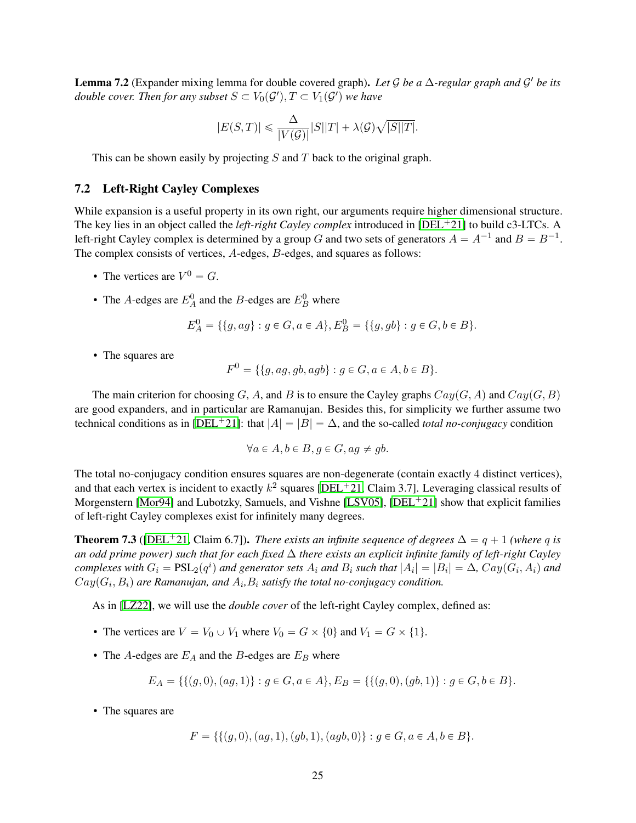Lemma 7.2 (Expander mixing lemma for double covered graph). *Let* G *be a* ∆*-regular graph and* G <sup>1</sup> *be its double cover. Then for any subset*  $S \subset V_0(\mathcal{G}'), T \subset V_1(\mathcal{G}')$  we have

$$
|E(S,T)|\leqslant \frac{\Delta}{|V(\mathcal{G})|}|S||T|+\lambda(\mathcal{G})\sqrt{|S||T|}.
$$

This can be shown easily by projecting S and T back to the original graph.

#### 7.2 Left-Right Cayley Complexes

While expansion is a useful property in its own right, our arguments require higher dimensional structure. The key lies in an object called the *left-right Cayley complex* introduced in [\[DEL](#page-36-1)<sup>+</sup>21] to build c3-LTCs. A left-right Cayley complex is determined by a group G and two sets of generators  $A = A^{-1}$  and  $B = B^{-1}$ . The complex consists of vertices, A-edges, B-edges, and squares as follows:

- The vertices are  $V^0 = G$ .
- The A-edges are  $E_A^0$  and the B-edges are  $E_B^0$  where

$$
E_A^0 = \{ \{g, ag\} : g \in G, a \in A \}, E_B^0 = \{ \{g, gb\} : g \in G, b \in B \}.
$$

• The squares are

$$
F^{0} = \{ \{g, ag, gb, agb\} : g \in G, a \in A, b \in B \}.
$$

The main criterion for choosing G, A, and B is to ensure the Cayley graphs  $Cay(G, A)$  and  $Cay(G, B)$ are good expanders, and in particular are Ramanujan. Besides this, for simplicity we further assume two technical conditions as in [\[DEL](#page-36-1)<sup>+</sup>21]: that  $|A| = |B| = \Delta$ , and the so-called *total no-conjugacy* condition

$$
\forall a \in A, b \in B, g \in G, ag \neq gb.
$$

The total no-conjugacy condition ensures squares are non-degenerate (contain exactly 4 distinct vertices), and that each vertex is incident to exactly  $k^2$  squares [\[DEL](#page-36-1)<sup>+</sup>21, Claim 3.7]. Leveraging classical results of Morgenstern [\[Mor94\]](#page-39-17) and Lubotzky, Samuels, and Vishne [\[LSV05\]](#page-39-9), [\[DEL](#page-36-1)<sup>+</sup>21] show that explicit families of left-right Cayley complexes exist for infinitely many degrees.

<span id="page-24-0"></span>**Theorem 7.3** ([\[DEL](#page-36-1)<sup>+</sup>21, Claim 6.7]). *There exists an infinite sequence of degrees*  $\Delta = q + 1$  *(where q is an odd prime power) such that for each fixed* ∆ *there exists an explicit infinite family of left-right Cayley*  $complexes$  with  $G_i = \text{PSL}_2(q^i)$  and generator sets  $A_i$  and  $B_i$  such that  $|A_i| = |B_i| = \Delta$ ,  $Cay(G_i, A_i)$  and  $Cay(G_i, B_i)$  are Ramanujan, and  $A_i, B_i$  satisfy the total no-conjugacy condition.

As in [\[LZ22\]](#page-39-6), we will use the *double cover* of the left-right Cayley complex, defined as:

- The vertices are  $V = V_0 \cup V_1$  where  $V_0 = G \times \{0\}$  and  $V_1 = G \times \{1\}.$
- The A-edges are  $E_A$  and the B-edges are  $E_B$  where

$$
E_A = \{ \{ (g, 0), (ag, 1) \} : g \in G, a \in A \}, E_B = \{ \{ (g, 0), (gb, 1) \} : g \in G, b \in B \}.
$$

• The squares are

$$
F = \{ \{ (g, 0), (ag, 1), (gb, 1), (agb, 0) \} : g \in G, a \in A, b \in B \}.
$$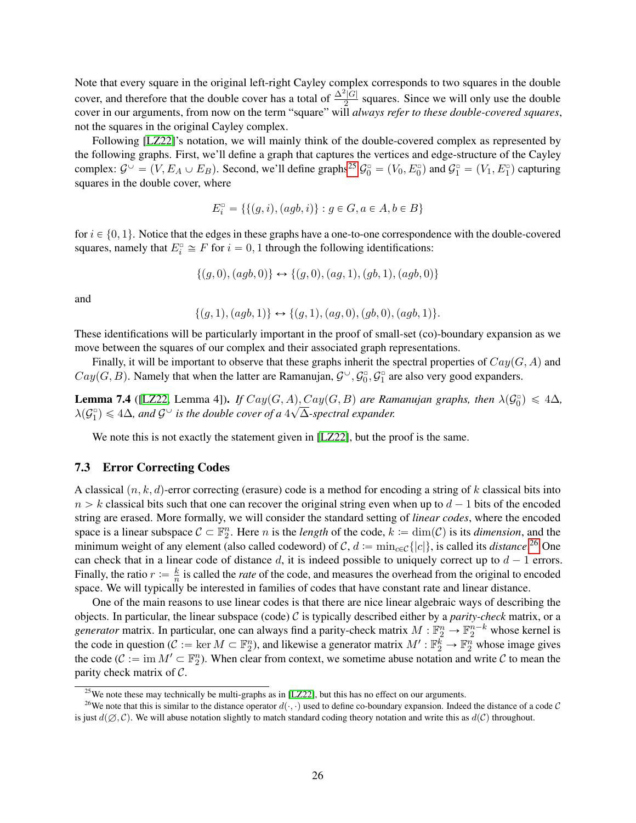Note that every square in the original left-right Cayley complex corresponds to two squares in the double cover, and therefore that the double cover has a total of  $\frac{\Delta^2|\overline{G}|}{2}$  $\frac{1}{2}$  squares. Since we will only use the double cover in our arguments, from now on the term "square" will *always refer to these double-covered squares*, not the squares in the original Cayley complex.

Following [\[LZ22\]](#page-39-6)'s notation, we will mainly think of the double-covered complex as represented by the following graphs. First, we'll define a graph that captures the vertices and edge-structure of the Cayley complex:  $\mathcal{G}^{\cup} = (V, E_A \cup E_B)$ . Second, we'll define graphs<sup>[25](#page-25-0)</sup>  $\mathcal{G}_0^{\circ} = (V_0, E_0^{\circ})$  and  $\mathcal{G}_1^{\circ} = (V_1, E_1^{\circ})$  capturing squares in the double cover, where

$$
E_i^{\text{\tiny\it{T}}}=\{\{(g,i),(agb,i)\}:g\in G,a\in A,b\in B\}
$$

for  $i \in \{0, 1\}$ . Notice that the edges in these graphs have a one-to-one correspondence with the double-covered squares, namely that  $E_i^{\circ} \cong F$  for  $i = 0, 1$  through the following identifications:

$$
\{(g,0), (agb,0)\} \leftrightarrow \{(g,0), (ag,1), (gb,1), (agb,0)\}
$$

and

$$
\{(g,1),(agb,1)\}\leftrightarrow\{(g,1),(ag,0),(gb,0),(agb,1)\}.
$$

These identifications will be particularly important in the proof of small-set (co)-boundary expansion as we move between the squares of our complex and their associated graph representations.

Finally, it will be important to observe that these graphs inherit the spectral properties of  $Cay(G, A)$  and  $Cay(G, B)$ . Namely that when the latter are Ramanujan,  $\mathcal{G}^{\cup}, \mathcal{G}_0^{\circ}, \mathcal{G}_1^{\circ}$  are also very good expanders.

**Lemma 7.4** ([\[LZ22,](#page-39-6) Lemma 4]). *If*  $Cay(G, A), Cay(G, B)$  *are Ramanujan graphs, then*  $\lambda(G_0^{\circ}) \leq 4\Delta$ *,*  $\lambda(\mathcal{G}_1^{\circ}) \leq 4\Delta$ , and  $\mathcal{G}^{\circ}$  is the double cover of a  $4\sqrt{\Delta}$ -spectral expander.

We note this is not exactly the statement given in [\[LZ22\]](#page-39-6), but the proof is the same.

#### 7.3 Error Correcting Codes

A classical  $(n, k, d)$ -error correcting (erasure) code is a method for encoding a string of k classical bits into  $n > k$  classical bits such that one can recover the original string even when up to  $d - 1$  bits of the encoded string are erased. More formally, we will consider the standard setting of *linear codes*, where the encoded space is a linear subspace  $C \subset \mathbb{F}_2^n$ . Here *n* is the *length* of the code,  $k := \dim(\mathcal{C})$  is its *dimension*, and the minimum weight of any element (also called codeword) of  $C, d := \min_{c \in C} \{|c|\}$ , is called its *distance*.<sup>[26](#page-25-1)</sup> One can check that in a linear code of distance d, it is indeed possible to uniquely correct up to  $d - 1$  errors. Finally, the ratio  $r := \frac{k}{n}$  $\frac{k}{n}$  is called the *rate* of the code, and measures the overhead from the original to encoded space. We will typically be interested in families of codes that have constant rate and linear distance.

One of the main reasons to use linear codes is that there are nice linear algebraic ways of describing the objects. In particular, the linear subspace (code) C is typically described either by a *parity-check* matrix, or a *generator* matrix. In particular, one can always find a parity-check matrix  $M : \mathbb{F}_2^n \to \mathbb{F}_2^{n-k}$  whose kernel is the code in question ( $C := \text{ker } M \subset \mathbb{F}_2^n$ ), and likewise a generator matrix  $M' : \mathbb{F}_2^k \to \mathbb{F}_2^n$  whose image gives the code  $(C := \text{im } M' \subset \mathbb{F}_2^n)$ . When clear from context, we sometime abuse notation and write C to mean the parity check matrix of C.

<span id="page-25-1"></span><span id="page-25-0"></span> $25$ We note these may technically be multi-graphs as in [\[LZ22\]](#page-39-6), but this has no effect on our arguments.

<sup>&</sup>lt;sup>26</sup>We note that this is similar to the distance operator  $d(\cdot, \cdot)$  used to define co-boundary expansion. Indeed the distance of a code C is just  $d(\emptyset, \mathcal{C})$ . We will abuse notation slightly to match standard coding theory notation and write this as  $d(\mathcal{C})$  throughout.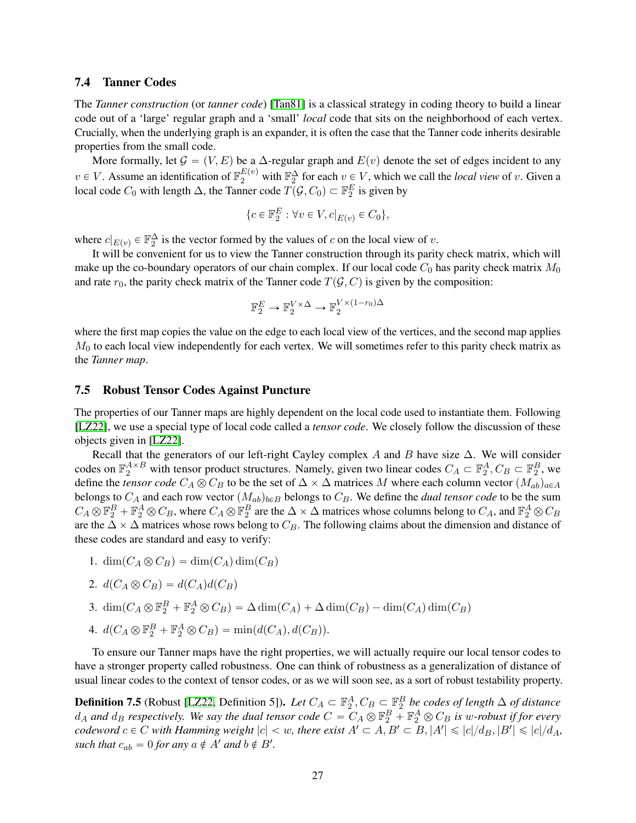#### 7.4 Tanner Codes

The *Tanner construction* (or *tanner code*) [\[Tan81\]](#page-39-11) is a classical strategy in coding theory to build a linear code out of a 'large' regular graph and a 'small' *local* code that sits on the neighborhood of each vertex. Crucially, when the underlying graph is an expander, it is often the case that the Tanner code inherits desirable properties from the small code.

More formally, let  $\mathcal{G} = (V, E)$  be a  $\Delta$ -regular graph and  $E(v)$  denote the set of edges incident to any  $v \in V$ . Assume an identification of  $\mathbb{F}_2^{E(v)}$  with  $\mathbb{F}_2^{\Delta}$  for each  $v \in V$ , which we call the *local view* of v. Given a local code  $C_0$  with length  $\Delta$ , the Tanner code  $\overline{T}(\mathcal{G}, C_0) \subset \mathbb{F}_2^E$  is given by

$$
\{c \in \mathbb{F}_2^E : \forall v \in V, c|_{E(v)} \in C_0\},\
$$

where  $c|_{E(v)} \in \mathbb{F}_2^{\Delta}$  is the vector formed by the values of c on the local view of v.

It will be convenient for us to view the Tanner construction through its parity check matrix, which will make up the co-boundary operators of our chain complex. If our local code  $C_0$  has parity check matrix  $M_0$ and rate  $r_0$ , the parity check matrix of the Tanner code  $T(\mathcal{G}, C)$  is given by the composition:

$$
\mathbb{F}_2^E\to\mathbb{F}_2^{V\times\Delta}\to\mathbb{F}_2^{V\times(1-r_0)\Delta}
$$

where the first map copies the value on the edge to each local view of the vertices, and the second map applies  $M<sub>0</sub>$  to each local view independently for each vertex. We will sometimes refer to this parity check matrix as the *Tanner map*.

#### <span id="page-26-0"></span>7.5 Robust Tensor Codes Against Puncture

The properties of our Tanner maps are highly dependent on the local code used to instantiate them. Following [\[LZ22\]](#page-39-6), we use a special type of local code called a *tensor code*. We closely follow the discussion of these objects given in [\[LZ22\]](#page-39-6).

Recall that the generators of our left-right Cayley complex A and B have size  $\Delta$ . We will consider codes on  $\mathbb{F}_2^{A\times B}$  with tensor product structures. Namely, given two linear codes  $C_A \subset \mathbb{F}_2^A$ ,  $C_B \subset \mathbb{F}_2^B$ , we define the *tensor code*  $C_A \otimes C_B$  to be the set of  $\Delta \times \Delta$  matrices M where each column vector  $(M_{ab})_{a \in A}$ belongs to  $C_A$  and each row vector  $(M_{ab})_{b \in B}$  belongs to  $C_B$ . We define the *dual tensor code* to be the sum  $C_A \otimes \mathbb{F}_2^B + \mathbb{F}_2^A \otimes C_B$ , where  $C_A \otimes \mathbb{F}_2^B$  are the  $\Delta \times \Delta$  matrices whose columns belong to  $C_A$ , and  $\mathbb{F}_2^A \otimes C_B$ are the  $\Delta \times \Delta$  matrices whose rows belong to  $C_B$ . The following claims about the dimension and distance of these codes are standard and easy to verify:

1.  $\dim(C_A \otimes C_B) = \dim(C_A) \dim(C_B)$ 

2. 
$$
d(C_A \otimes C_B) = d(C_A)d(C_B)
$$

3. 
$$
\dim(C_A \otimes \mathbb{F}_2^B + \mathbb{F}_2^A \otimes C_B) = \Delta \dim(C_A) + \Delta \dim(C_B) - \dim(C_A) \dim(C_B)
$$

4. 
$$
d(C_A \otimes \mathbb{F}_2^B + \mathbb{F}_2^A \otimes C_B) = \min(d(C_A), d(C_B)).
$$

To ensure our Tanner maps have the right properties, we will actually require our local tensor codes to have a stronger property called robustness. One can think of robustness as a generalization of distance of usual linear codes to the context of tensor codes, or as we will soon see, as a sort of robust testability property.

**Definition 7.5** (Robust [\[LZ22,](#page-39-6) Definition 5]). Let  $C_A \subset \mathbb{F}_2^A$ ,  $C_B \subset \mathbb{F}_2^B$  be codes of length  $\Delta$  of distance  $d_A$  and  $d_B$  respectively. We say the dual tensor code  $C = C_A \otimes \mathbb{F}_2^B + \mathbb{F}_2^A \otimes C_B$  is w-robust if for every  $codeword$   $c \in C$  with Hamming weight  $|c| < w$ , there exist  $A' \subset A, B' \subset B, |A'| \leqslant |c|/d_B, |B'| \leqslant |c|/d_A$ , such that  $c_{ab} = 0$  for any  $a \notin A'$  and  $b \notin B'$ .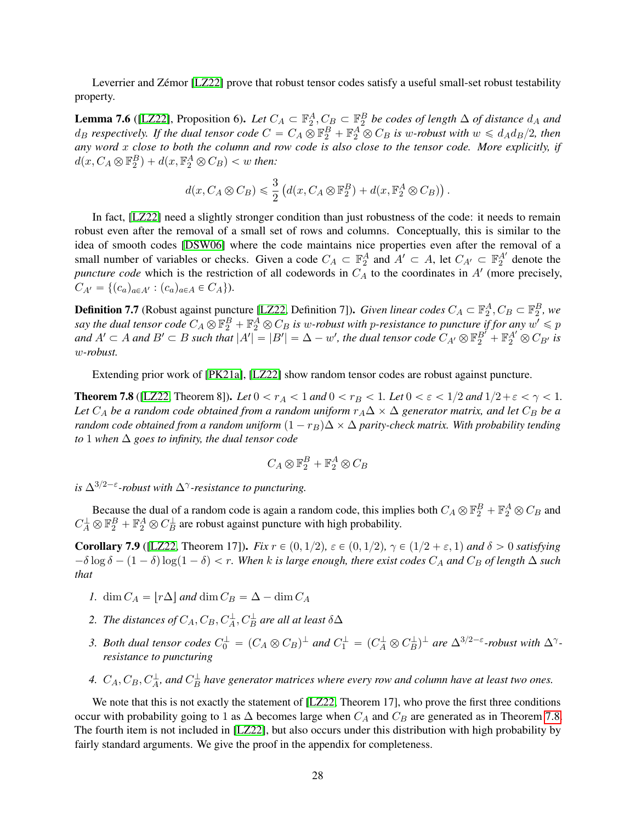Leverrier and Zémor [\[LZ22\]](#page-39-6) prove that robust tensor codes satisfy a useful small-set robust testability property.

<span id="page-27-2"></span>**Lemma 7.6** ([\[LZ22\]](#page-39-6), Proposition 6). Let  $C_A \subset \mathbb{F}_2^A$ ,  $C_B \subset \mathbb{F}_2^B$  be codes of length  $\Delta$  of distance  $d_A$  and  $d_B$  *respectively. If the dual tensor code*  $C = C_A \otimes \mathbb{F}_2^B + \mathbb{F}_2^A \otimes C_B$  *is w-robust with*  $w \le d_A d_B/2$ , then *any word* x *close to both the column and row code is also close to the tensor code. More explicitly, if*  $d(x, C_A \otimes \mathbb{F}_2^B) + d(x, \mathbb{F}_2^A \otimes C_B) < w$  then:

$$
d(x, C_A \otimes C_B) \leq \frac{3}{2} \left( d(x, C_A \otimes \mathbb{F}_2^B) + d(x, \mathbb{F}_2^A \otimes C_B) \right).
$$

In fact, [\[LZ22\]](#page-39-6) need a slightly stronger condition than just robustness of the code: it needs to remain robust even after the removal of a small set of rows and columns. Conceptually, this is similar to the idea of smooth codes [\[DSW06\]](#page-37-14) where the code maintains nice properties even after the removal of a small number of variables or checks. Given a code  $C_A \subset \mathbb{F}_2^A$  and  $A' \subset A$ , let  $C_{A'} \subset \mathbb{F}_2^{A'}$  denote the *puncture code* which is the restriction of all codewords in  $C_A$  to the coordinates in  $A'$  (more precisely,  $C_{A'} = \{(c_a)_{a \in A'} : (c_a)_{a \in A} \in C_A\}.$ 

**Definition 7.7** (Robust against puncture [\[LZ22,](#page-39-6) Definition 7]). *Given linear codes*  $C_A \subset \mathbb{F}_2^A$ ,  $C_B \subset \mathbb{F}_2^B$ , we say the dual tensor code  $C_A\otimes \mathbb F_2^B+\mathbb F_2^A\otimes C_B$  is w-robust with p-resistance to puncture if for any  $w'\leqslant p$ and  $A' \subset A$  and  $B' \subset B$  such that  $|A'| = |B'| = \Delta - w'$ , the dual tensor code  $C_{A'} \otimes \mathbb{F}_2^{B'} + \mathbb{F}_2^{A'} \otimes C_{B'}$  is w*-robust.*

Extending prior work of [\[PK21a\]](#page-39-5), [\[LZ22\]](#page-39-6) show random tensor codes are robust against puncture.

<span id="page-27-0"></span>**Theorem 7.8** ([\[LZ22,](#page-39-6) Theorem 8]). *Let*  $0 < r_A < 1$  *and*  $0 < r_B < 1$ . *Let*  $0 < \varepsilon < 1/2$  *and*  $1/2 + \varepsilon < \gamma < 1$ . *Let*  $C_A$  *be a random code obtained from a random uniform*  $r_A\Delta \times \Delta$  *generator matrix, and let*  $C_B$  *be a random code obtained from a random uniform*  $(1 - r_B)\Delta \times \Delta$  *parity-check matrix. With probability tending to* 1 *when*  $\Delta$  *goes to infinity, the dual tensor code* 

$$
C_A\otimes \mathbb{F}_2^B+\mathbb{F}_2^A\otimes C_B
$$

*is*  $\Delta^{3/2-\epsilon}$ -robust with  $\Delta^{\gamma}$ -resistance to puncturing.

Because the dual of a random code is again a random code, this implies both  $C_A \otimes \mathbb{F}_2^B + \mathbb{F}_2^A \otimes C_B$  and  $C_A^{\perp} \otimes \mathbb{F}_2^B + \mathbb{F}_2^A \otimes C_B^{\perp}$  are robust against puncture with high probability.

<span id="page-27-1"></span>**Corollary 7.9** ([\[LZ22,](#page-39-6) Theorem 17]). *Fix*  $r \in (0, 1/2)$ ,  $\varepsilon \in (0, 1/2)$ ,  $\gamma \in (1/2 + \varepsilon, 1)$  and  $\delta > 0$  satisfying  $-\delta \log \delta - (1 - \delta) \log(1 - \delta) < r$ . When k is large enough, there exist codes  $C_A$  and  $C_B$  of length  $\Delta$  such *that*

- *1.* dim  $C_A = |r\Delta|$  and dim  $C_B = \Delta \dim C_A$
- 2. The distances of  $C_A, C_B, C_A^{\perp}, C_B^{\perp}$  are all at least  $\delta \Delta$
- *3. Both dual tensor codes*  $C_0^{\perp} = (C_A \otimes C_B)^{\perp}$  *and*  $C_1^{\perp} = (C_A^{\perp} \otimes C_B^{\perp})^{\perp}$  *are*  $\Delta^{3/2-\epsilon}$ -*robust with*  $\Delta^{\gamma}$ *resistance to puncturing*
- 4.  $C_A, C_B, C_A^{\perp}$  and  $C_B^{\perp}$  have generator matrices where every row and column have at least two ones.

We note that this is not exactly the statement of [\[LZ22,](#page-39-6) Theorem 17], who prove the first three conditions occur with probability going to 1 as  $\Delta$  becomes large when  $C_A$  and  $C_B$  are generated as in Theorem [7.8.](#page-27-0) The fourth item is not included in [\[LZ22\]](#page-39-6), but also occurs under this distribution with high probability by fairly standard arguments. We give the proof in the appendix for completeness.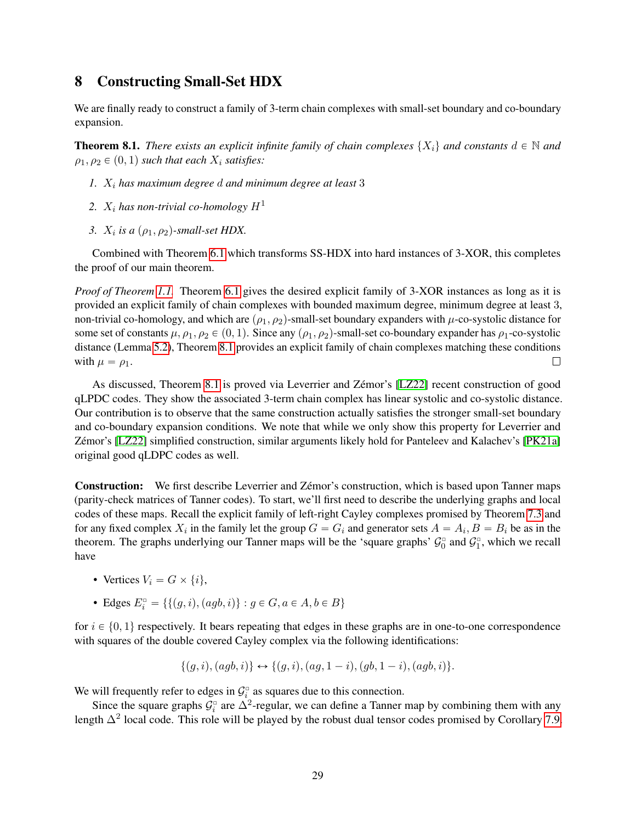# <span id="page-28-1"></span>8 Constructing Small-Set HDX

We are finally ready to construct a family of 3-term chain complexes with small-set boundary and co-boundary expansion.

<span id="page-28-0"></span>**Theorem 8.1.** *There exists an explicit infinite family of chain complexes*  $\{X_i\}$  *and constants*  $d \in \mathbb{N}$  *and*  $\rho_1, \rho_2 \in (0, 1)$  *such that each*  $X_i$  *satisfies:* 

- *1.* X<sup>i</sup> *has maximum degree* d *and minimum degree at least* 3
- 2.  $X_i$  has non-trivial co-homology  $H^1$
- *3.*  $X_i$  is a  $(\rho_1, \rho_2)$ -small-set HDX.

Combined with Theorem [6.1](#page-17-1) which transforms SS-HDX into hard instances of 3-XOR, this completes the proof of our main theorem.

*Proof of Theorem [1.1.](#page-1-0)* Theorem [6.1](#page-17-1) gives the desired explicit family of 3-XOR instances as long as it is provided an explicit family of chain complexes with bounded maximum degree, minimum degree at least 3, non-trivial co-homology, and which are  $(\rho_1, \rho_2)$ -small-set boundary expanders with  $\mu$ -co-systolic distance for some set of constants  $\mu$ ,  $\rho_1$ ,  $\rho_2 \in (0, 1)$ . Since any  $(\rho_1, \rho_2)$ -small-set co-boundary expander has  $\rho_1$ -co-systolic distance (Lemma [5.2\)](#page-15-1), Theorem [8.1](#page-28-0) provides an explicit family of chain complexes matching these conditions with  $\mu = \rho_1$ .  $\Box$ 

As discussed, Theorem [8.1](#page-28-0) is proved via Leverrier and Zémor's [\[LZ22\]](#page-39-6) recent construction of good qLPDC codes. They show the associated 3-term chain complex has linear systolic and co-systolic distance. Our contribution is to observe that the same construction actually satisfies the stronger small-set boundary and co-boundary expansion conditions. We note that while we only show this property for Leverrier and Zémor's [\[LZ22\]](#page-39-6) simplified construction, similar arguments likely hold for Panteleev and Kalachev's [\[PK21a\]](#page-39-5) original good qLDPC codes as well.

Construction: We first describe Leverrier and Zémor's construction, which is based upon Tanner maps (parity-check matrices of Tanner codes). To start, we'll first need to describe the underlying graphs and local codes of these maps. Recall the explicit family of left-right Cayley complexes promised by Theorem [7.3](#page-24-0) and for any fixed complex  $X_i$  in the family let the group  $G = G_i$  and generator sets  $A = A_i, B = B_i$  be as in the theorem. The graphs underlying our Tanner maps will be the 'square graphs'  $\mathcal{G}_0^{\circ}$  and  $\mathcal{G}_1^{\circ}$ , which we recall have

- Vertices  $V_i = G \times \{i\},\$
- Edges  $E_i^{\circ} = \{ \{ (g, i), (agb, i) \} : g \in G, a \in A, b \in B \}$

for  $i \in \{0, 1\}$  respectively. It bears repeating that edges in these graphs are in one-to-one correspondence with squares of the double covered Cayley complex via the following identifications:

$$
\{(g,i),(agb,i)\}\leftrightarrow\{(g,i),(ag,1-i),(gb,1-i),(agb,i)\}.
$$

We will frequently refer to edges in  $\mathcal{G}_{i}^{\square}$  as squares due to this connection.

Since the square graphs  $G_i^{\circ}$  are  $\Delta^2$ -regular, we can define a Tanner map by combining them with any length  $\Delta^2$  local code. This role will be played by the robust dual tensor codes promised by Corollary [7.9.](#page-27-1)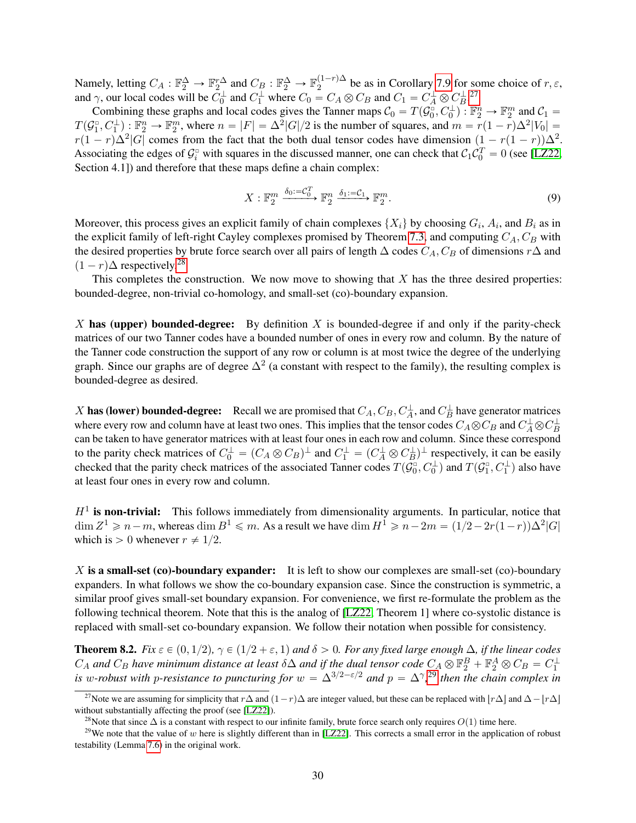Namely, letting  $C_A : \mathbb{F}_2^{\Delta} \to \mathbb{F}_2^{r\Delta}$  and  $C_B : \mathbb{F}_2^{\Delta} \to \mathbb{F}_2^{(1-r)\Delta}$  $\sum_{n=2}^{\infty}$  be as in Corollary [7.9](#page-27-1) for some choice of  $r, \varepsilon$ , and  $\gamma$ , our local codes will be  $C_0^{\perp}$  and  $C_1^{\perp}$  where  $C_0 = C_A \otimes C_B$  and  $C_1 = C_A^{\perp} \otimes C_B^{\perp}$ .<sup>[27](#page-29-0)</sup>

Combining these graphs and local codes gives the Tanner maps  $C_0 = T(\mathcal{G}_0^{\square}, C_0^{\perp})$ .  $\mathbb{F}_2^n \to \mathbb{F}_2^m$  and  $C_1 =$  $T(G_1^{\circ}, C_1^{\perp}): \mathbb{F}_2^n \to \mathbb{F}_2^m$ , where  $n = |F| = \Delta^2 |G|/2$  is the number of squares, and  $m = r(1 - r)\Delta^2 |V_0| =$  $r(1 - r)\Delta^2|G|$  comes from the fact that the both dual tensor codes have dimension  $(1 - r(1 - r))\Delta^2$ . Associating the edges of  $\mathcal{G}_i^{\circ}$  with squares in the discussed manner, one can check that  $\mathcal{C}_1\mathcal{C}_0^T = 0$  (see [\[LZ22,](#page-39-6) Section 4.1]) and therefore that these maps define a chain complex:

<span id="page-29-3"></span>
$$
X: \mathbb{F}_2^m \xrightarrow{\delta_0 := \mathcal{C}_0^T} \mathbb{F}_2^n \xrightarrow{\delta_1 := \mathcal{C}_1} \mathbb{F}_2^m.
$$
\n
$$
(9)
$$

Moreover, this process gives an explicit family of chain complexes  $\{X_i\}$  by choosing  $G_i$ ,  $A_i$ , and  $B_i$  as in the explicit family of left-right Cayley complexes promised by Theorem [7.3,](#page-24-0) and computing  $C_A$ ,  $C_B$  with the desired properties by brute force search over all pairs of length  $\Delta$  codes  $C_A$ ,  $C_B$  of dimensions  $r\Delta$  and  $(1 - r)\Delta$  respectively.<sup>[28](#page-29-1)</sup>

This completes the construction. We now move to showing that  $X$  has the three desired properties: bounded-degree, non-trivial co-homology, and small-set (co)-boundary expansion.

X has (upper) bounded-degree: By definition X is bounded-degree if and only if the parity-check matrices of our two Tanner codes have a bounded number of ones in every row and column. By the nature of the Tanner code construction the support of any row or column is at most twice the degree of the underlying graph. Since our graphs are of degree  $\Delta^2$  (a constant with respect to the family), the resulting complex is bounded-degree as desired.

X has (lower) bounded-degree: Recall we are promised that  $C_A$ ,  $C_B$ ,  $C_A^{\perp}$ , and  $C_B^{\perp}$  have generator matrices where every row and column have at least two ones. This implies that the tensor codes  $C_A \otimes C_B$  and  $C_A^{\perp} \otimes C_B^{\perp}$ can be taken to have generator matrices with at least four ones in each row and column. Since these correspond to the parity check matrices of  $C_0^{\perp} = (C_A \otimes C_B)^{\perp}$  and  $C_1^{\perp} = (C_A^{\perp} \otimes C_B^{\perp})^{\perp}$  respectively, it can be easily checked that the parity check matrices of the associated Tanner codes  $T(\mathcal{G}_0^{\square},C_0^{\bot})$  and  $T(\mathcal{G}_1^{\square},C_1^{\bot})$  also have at least four ones in every row and column.

 $H<sup>1</sup>$  is non-trivial: This follows immediately from dimensionality arguments. In particular, notice that  $\dim Z^1 \geqslant n-m$ , whereas  $\dim B^1 \leqslant m$ . As a result we have  $\dim H^1 \geqslant n-2m = (1/2-2r(1-r))\Delta^2|G|$ which is  $> 0$  whenever  $r \neq 1/2$ .

 $X$  is a small-set (co)-boundary expander: It is left to show our complexes are small-set (co)-boundary expanders. In what follows we show the co-boundary expansion case. Since the construction is symmetric, a similar proof gives small-set boundary expansion. For convenience, we first re-formulate the problem as the following technical theorem. Note that this is the analog of [\[LZ22,](#page-39-6) Theorem 1] where co-systolic distance is replaced with small-set co-boundary expansion. We follow their notation when possible for consistency.

<span id="page-29-4"></span>**Theorem 8.2.** *Fix*  $\varepsilon \in (0, 1/2)$ ,  $\gamma \in (1/2 + \varepsilon, 1)$  and  $\delta > 0$ . For any fixed large enough  $\Delta$ , if the linear codes  $C_A$  and  $C_B$  have minimum distance at least  $\delta\Delta$  and if the dual tensor code  $C_A \otimes \mathbb{F}_2^B + \mathbb{F}_2^A \otimes C_B = C_1^{\perp}$ <br>is w-robust with p-resistance to puncturing for  $w = \Delta^{3/2-\epsilon/2}$  and  $p = \Delta^{\gamma}$ ,<sup>[29](#page-29-2)</sup> then the chain c

<span id="page-29-0"></span><sup>&</sup>lt;sup>27</sup>Note we are assuming for simplicity that  $r\Delta$  and  $(1-r)\Delta$  are integer valued, but these can be replaced with  $|r\Delta|$  and  $\Delta-|r\Delta|$ without substantially affecting the proof (see [\[LZ22\]](#page-39-6)).

<span id="page-29-2"></span><span id="page-29-1"></span><sup>&</sup>lt;sup>28</sup>Note that since  $\Delta$  is a constant with respect to our infinite family, brute force search only requires  $O(1)$  time here.

<sup>&</sup>lt;sup>29</sup>We note that the value of w here is slightly different than in [\[LZ22\]](#page-39-6). This corrects a small error in the application of robust testability (Lemma [7.6\)](#page-27-2) in the original work.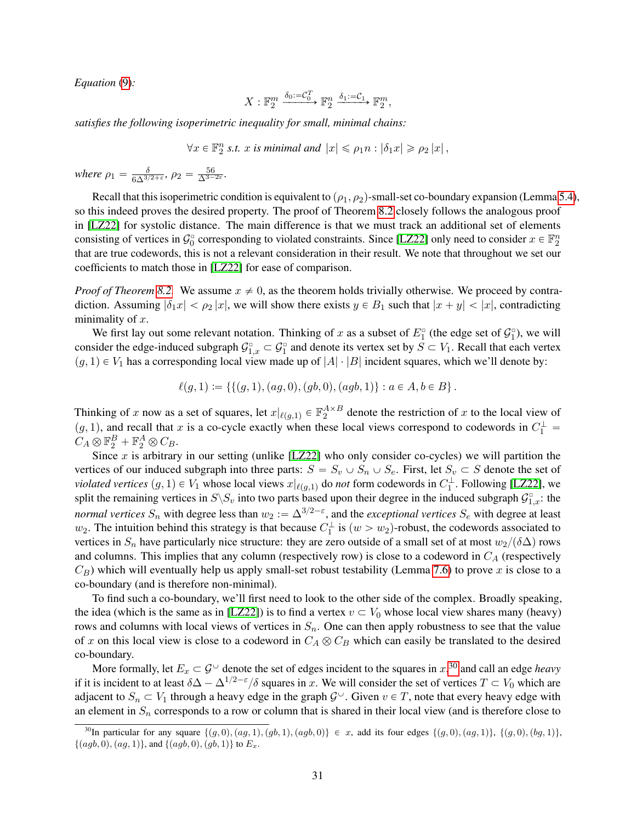*Equation* [\(9\)](#page-29-3)*:*

$$
X: \mathbb{F}_2^m \xrightarrow{\delta_0:=\mathcal{C}_0^T} \mathbb{F}_2^n \xrightarrow{\delta_1:=\mathcal{C}_1} \mathbb{F}_2^m,
$$

*satisfies the following isoperimetric inequality for small, minimal chains:*

 $\forall x \in \mathbb{F}_2^n$  s.t. x is minimal and  $|x| \leq \rho_1 n : |\delta_1 x| \geq \rho_2 |x|$ ,

*where*  $\rho_1 = \frac{\delta}{6\Delta^{3/2}}$  $\frac{\delta}{6\Delta^{3/2+\varepsilon}},\, \rho_2 = \frac{56}{\Delta^{3-2\varepsilon}}.$ 

Recall that this isoperimetric condition is equivalent to  $(\rho_1, \rho_2)$ -small-set co-boundary expansion (Lemma [5.4\)](#page-16-0), so this indeed proves the desired property. The proof of Theorem [8.2](#page-29-4) closely follows the analogous proof in [\[LZ22\]](#page-39-6) for systolic distance. The main difference is that we must track an additional set of elements consisting of vertices in  $\mathcal{G}_0^{\circ}$  corresponding to violated constraints. Since [\[LZ22\]](#page-39-6) only need to consider  $x \in \mathbb{F}_2^n$ that are true codewords, this is not a relevant consideration in their result. We note that throughout we set our coefficients to match those in [\[LZ22\]](#page-39-6) for ease of comparison.

*Proof of Theorem [8.2.](#page-29-4)* We assume  $x \neq 0$ , as the theorem holds trivially otherwise. We proceed by contradiction. Assuming  $|\delta_1 x| < \rho_2 |x|$ , we will show there exists  $y \in B_1$  such that  $|x + y| < |x|$ , contradicting minimality of  $x$ .

We first lay out some relevant notation. Thinking of x as a subset of  $E_1^{\circ}$  (the edge set of  $\mathcal{G}_1^{\circ}$ ), we will consider the edge-induced subgraph  $\mathcal{G}^{\square}_{1,x} \subset \mathcal{G}^{\square}_1$  and denote its vertex set by  $S \subset V_1$ . Recall that each vertex  $(g, 1) \in V_1$  has a corresponding local view made up of  $|A| \cdot |B|$  incident squares, which we'll denote by:

$$
\ell(g,1) := \left\{ \{ (g,1), (ag,0), (gb,0), (agb,1) \} : a \in A, b \in B \right\}.
$$

Thinking of x now as a set of squares, let  $x|_{\ell(g,1)} \in \mathbb{F}_2^{A \times B}$  denote the restriction of x to the local view of  $(g, 1)$ , and recall that x is a co-cycle exactly when these local views correspond to codewords in  $C_1^{\perp}$  =  $C_A \otimes \mathbb{F}_2^B + \mathbb{F}_2^A \otimes C_B.$ 

Since  $x$  is arbitrary in our setting (unlike [\[LZ22\]](#page-39-6) who only consider co-cycles) we will partition the vertices of our induced subgraph into three parts:  $S = S_v \cup S_n \cup S_e$ . First, let  $S_v \subset S$  denote the set of *violated vertices*  $(g, 1) \in V_1$  whose local views  $x|_{\ell(g,1)}$  do *not* form codewords in  $C_1^{\perp}$ . Following [\[LZ22\]](#page-39-6), we split the remaining vertices in  $S \backslash S_v$  into two parts based upon their degree in the induced subgraph  $\mathcal{G}_{1,x}^{\circ}$ : the *normal vertices*  $S_n$  with degree less than  $w_2 := \Delta^{3/2-\epsilon}$ , and the *exceptional vertices*  $S_e$  with degree at least  $w_2$ . The intuition behind this strategy is that because  $C_1^{\perp}$  is  $(w > w_2)$ -robust, the codewords associated to vertices in  $S_n$  have particularly nice structure: they are zero outside of a small set of at most  $w_2/(\delta\Delta)$  rows and columns. This implies that any column (respectively row) is close to a codeword in  $C_A$  (respectively  $C_B$ ) which will eventually help us apply small-set robust testability (Lemma [7.6\)](#page-27-2) to prove x is close to a co-boundary (and is therefore non-minimal).

To find such a co-boundary, we'll first need to look to the other side of the complex. Broadly speaking, the idea (which is the same as in [\[LZ22\]](#page-39-6)) is to find a vertex  $v \subset V_0$  whose local view shares many (heavy) rows and columns with local views of vertices in  $S_n$ . One can then apply robustness to see that the value of x on this local view is close to a codeword in  $C_A \otimes C_B$  which can easily be translated to the desired co-boundary.

More formally, let  $E_x \subset \mathcal{G}^{\cup}$  denote the set of edges incident to the squares in  $x,^{30}$  $x,^{30}$  $x,^{30}$  and call an edge *heavy* if it is incident to at least  $\delta\Delta - \Delta^{1/2-\epsilon}/\delta$  squares in x. We will consider the set of vertices  $T \subset V_0$  which are adjacent to  $S_n \subset V_1$  through a heavy edge in the graph  $\mathcal{G}^{\cup}$ . Given  $v \in T$ , note that every heavy edge with an element in  $S_n$  corresponds to a row or column that is shared in their local view (and is therefore close to

<span id="page-30-0"></span><sup>&</sup>lt;sup>30</sup>In particular for any square  $\{(g,0),(ag,1),(agb, 1),(agb, 0)\}\in x$ , add its four edges  $\{(g,0),(ag,1)\}, \{(g,0),(bg,1)\},$  $\{(agb, 0), (ag, 1)\}$ , and  $\{(agb, 0), (gb, 1)\}$  to  $E_x$ .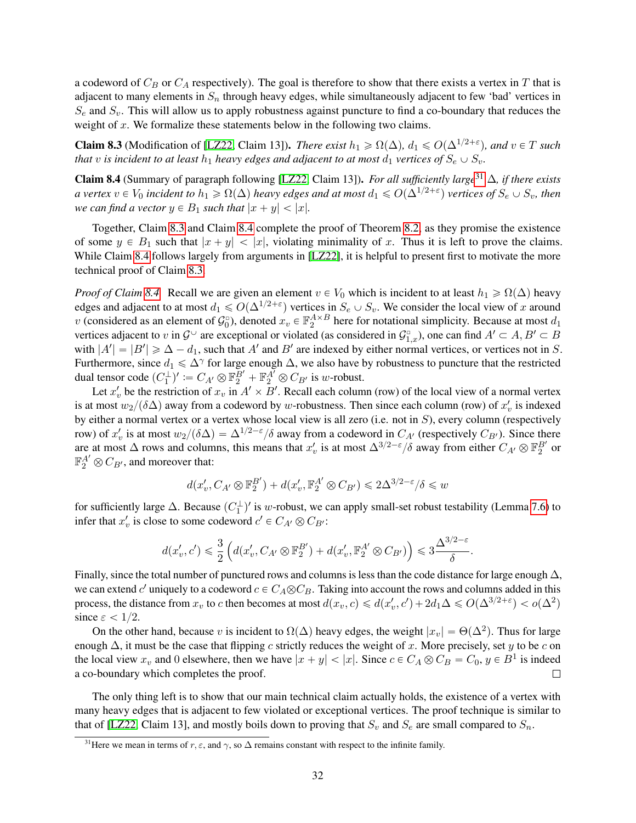a codeword of  $C_B$  or  $C_A$  respectively). The goal is therefore to show that there exists a vertex in T that is adjacent to many elements in  $S_n$  through heavy edges, while simultaneously adjacent to few 'bad' vertices in  $S_e$  and  $S_v$ . This will allow us to apply robustness against puncture to find a co-boundary that reduces the weight of  $x$ . We formalize these statements below in the following two claims.

<span id="page-31-1"></span>**Claim 8.3** (Modification of [\[LZ22,](#page-39-6) Claim 13]). *There exist*  $h_1 \ge \Omega(\Delta)$ ,  $d_1 \le O(\Delta^{1/2+\epsilon})$ , and  $v \in T$  *such that* v *is incident to at least*  $h_1$  *heavy edges and adjacent to at most*  $d_1$  *vertices of*  $S_e \cup S_v$ *.* 

<span id="page-31-2"></span>Claim 8.4 (Summary of paragraph following [\[LZ22,](#page-39-6) Claim 13]). *For all sufficiently large*[31](#page-31-0) ∆*, if there exists*  $a$  vertex  $v\in V_0$  incident to  $h_1\geqslant\Omega(\Delta)$  heavy edges and at most  $d_1\leqslant O(\Delta^{1/2+\varepsilon})$  vertices of  $S_e\cup S_v$ , then *we can find a vector*  $y \in B_1$  *such that*  $|x + y| < |x|$ *.* 

Together, Claim [8.3](#page-31-1) and Claim [8.4](#page-31-2) complete the proof of Theorem [8.2,](#page-29-4) as they promise the existence of some  $y \in B_1$  such that  $|x + y| < |x|$ , violating minimality of x. Thus it is left to prove the claims. While Claim [8.4](#page-31-2) follows largely from arguments in [\[LZ22\]](#page-39-6), it is helpful to present first to motivate the more technical proof of Claim [8.3.](#page-31-1)

*Proof of Claim [8.4.](#page-31-2)* Recall we are given an element  $v \in V_0$  which is incident to at least  $h_1 \ge \Omega(\Delta)$  heavy edges and adjacent to at most  $d_1 \leqslant O(\Delta^{1/2+\varepsilon})$  vertices in  $S_e \cup S_v$ . We consider the local view of x around v (considered as an element of  $\mathcal{G}_0^D$ ), denoted  $x_v \in \mathbb{F}_2^{A \times B}$  here for notational simplicity. Because at most  $d_1$ vertices adjacent to v in  $\mathcal{G}^{\cup}$  are exceptional or violated (as considered in  $\mathcal{G}^{\square}_{1,x}$ ), one can find  $A'\subset A, B'\subset B$ with  $|A'| = |B'| \ge \Delta - d_1$ , such that A' and B' are indexed by either normal vertices, or vertices not in S. Furthermore, since  $d_1 \le \Delta^{\gamma}$  for large enough  $\Delta$ , we also have by robustness to puncture that the restricted dual tensor code  $(C_1^{\perp})' := C_{A'} \otimes \mathbb{F}_2^{B'} + \mathbb{F}_2^{A'} \otimes C_{B'}$  is w-robust.

Let  $x'_v$  be the restriction of  $x_v$  in  $A' \times B'$ . Recall each column (row) of the local view of a normal vertex is at most  $w_2/(\delta \Delta)$  away from a codeword by w-robustness. Then since each column (row) of  $x'_v$  is indexed by either a normal vertex or a vertex whose local view is all zero (i.e. not in S), every column (respectively row) of  $x'_v$  is at most  $w_2/(\delta \Delta) = \Delta^{1/2-\epsilon}/\delta$  away from a codeword in  $C_{A'}$  (respectively  $C_{B'}$ ). Since there are at most  $\Delta$  rows and columns, this means that  $x'_v$  is at most  $\Delta^{3/2-\epsilon}/\delta$  away from either  $C_{A'} \otimes \mathbb{F}_2^{B'}$  or  $\mathbb{F}_2^{A'} \otimes C_{B'}$ , and moreover that:

$$
d(x'_v, C_{A'} \otimes \mathbb{F}_2^{B'}) + d(x'_v, \mathbb{F}_2^{A'} \otimes C_{B'}) \leq 2\Delta^{3/2 - \varepsilon}/\delta \leq w
$$

for sufficiently large  $\Delta$ . Because  $(C_1^{\perp})'$  is w-robust, we can apply small-set robust testability (Lemma [7.6\)](#page-27-2) to infer that  $x'_v$  is close to some codeword  $c' \in C_{A'} \otimes C_{B'}$ :

$$
d(x'_v,c')\leqslant \frac{3}{2}\left(d(x'_v,C_{A'}\otimes \mathbb{F}_2^{B'})+d(x'_v,\mathbb{F}_2^{A'}\otimes C_{B'})\right)\leqslant 3\frac{\Delta^{3/2-\varepsilon}}{\delta}.
$$

Finally, since the total number of punctured rows and columns is less than the code distance for large enough  $\Delta$ , we can extend c'uniquely to a codeword  $c \in C_A \otimes C_B$ . Taking into account the rows and columns added in this process, the distance from  $x_v$  to c then becomes at most  $d(x_v, c) \leq d(x'_v, c') + 2d_1\Delta \leq O(\Delta^{3/2+\varepsilon}) < o(\Delta^2)$ since  $\varepsilon < 1/2$ .

On the other hand, because v is incident to  $\Omega(\Delta)$  heavy edges, the weight  $|x_v| = \Theta(\Delta^2)$ . Thus for large enough  $\Delta$ , it must be the case that flipping c strictly reduces the weight of x. More precisely, set y to be c on the local view  $x_v$  and 0 elsewhere, then we have  $|x + y| < |x|$ . Since  $c \in C_A \otimes C_B = C_0$ ,  $y \in B^1$  is indeed a co-boundary which completes the proof.  $\Box$ 

The only thing left is to show that our main technical claim actually holds, the existence of a vertex with many heavy edges that is adjacent to few violated or exceptional vertices. The proof technique is similar to that of [\[LZ22,](#page-39-6) Claim 13], and mostly boils down to proving that  $S_v$  and  $S_e$  are small compared to  $S_n$ .

<span id="page-31-0"></span><sup>&</sup>lt;sup>31</sup>Here we mean in terms of  $r, \varepsilon$ , and  $\gamma$ , so  $\Delta$  remains constant with respect to the infinite family.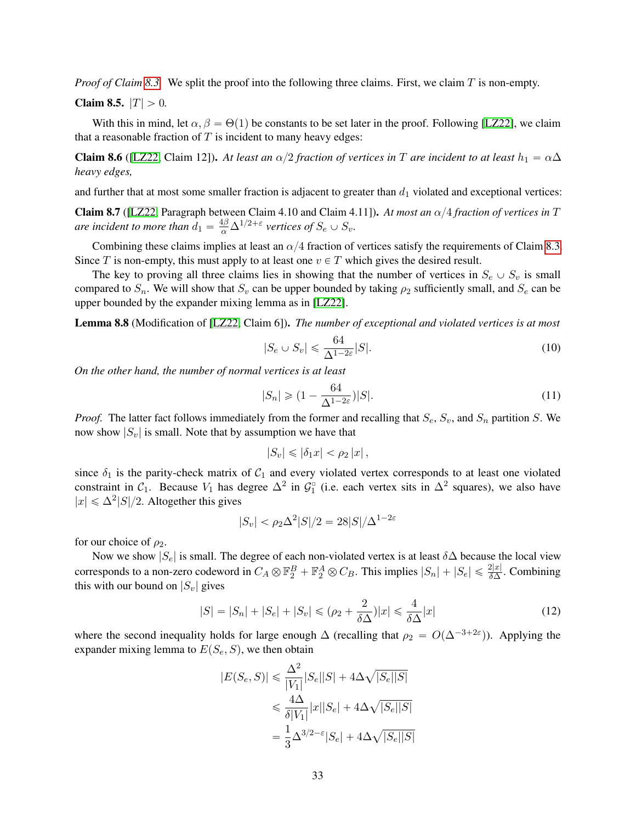*Proof of Claim [8.3.](#page-31-1)* We split the proof into the following three claims. First, we claim T is non-empty.

<span id="page-32-0"></span>**Claim 8.5.**  $|T| > 0$ .

With this in mind, let  $\alpha$ ,  $\beta = \Theta(1)$  be constants to be set later in the proof. Following [\[LZ22\]](#page-39-6), we claim that a reasonable fraction of  $T$  is incident to many heavy edges:

<span id="page-32-1"></span>**Claim 8.6** ([\[LZ22,](#page-39-6) Claim 12]). *At least an*  $\alpha/2$  *fraction of vertices in* T *are incident to at least*  $h_1 = \alpha \Delta$ *heavy edges,*

and further that at most some smaller fraction is adjacent to greater than  $d_1$  violated and exceptional vertices:

<span id="page-32-2"></span>Claim 8.7 ([\[LZ22,](#page-39-6) Paragraph between Claim 4.10 and Claim 4.11]). At most an  $\alpha/4$  fraction of vertices in T *are incident to more than*  $d_1 = \frac{4\beta}{\alpha} \Delta^{1/2+\varepsilon}$  vertices of  $S_e \cup S_v$ .

Combining these claims implies at least an  $\alpha/4$  fraction of vertices satisfy the requirements of Claim [8.3.](#page-31-1) Since T is non-empty, this must apply to at least one  $v \in T$  which gives the desired result.

The key to proving all three claims lies in showing that the number of vertices in  $S_e \cup S_v$  is small compared to  $S_n$ . We will show that  $S_v$  can be upper bounded by taking  $\rho_2$  sufficiently small, and  $S_e$  can be upper bounded by the expander mixing lemma as in [\[LZ22\]](#page-39-6).

<span id="page-32-3"></span>Lemma 8.8 (Modification of [\[LZ22,](#page-39-6) Claim 6]). *The number of exceptional and violated vertices is at most*

$$
|S_e \cup S_v| \leq \frac{64}{\Delta^{1-2\varepsilon}} |S|.
$$
\n(10)

*On the other hand, the number of normal vertices is at least*

$$
|S_n| \geqslant (1 - \frac{64}{\Delta^{1 - 2\varepsilon}})|S|.
$$
\n<sup>(11)</sup>

*Proof.* The latter fact follows immediately from the former and recalling that  $S_e$ ,  $S_v$ , and  $S_n$  partition S. We now show  $|S_v|$  is small. Note that by assumption we have that

$$
|S_v| \leqslant |\delta_1 x| < \rho_2 |x| \,,
$$

since  $\delta_1$  is the parity-check matrix of  $C_1$  and every violated vertex corresponds to at least one violated constraint in  $C_1$ . Because  $V_1$  has degree  $\Delta^2$  in  $\mathcal{G}_1^{\circ}$  (i.e. each vertex sits in  $\Delta^2$  squares), we also have  $|x| \leq \Delta^2 |S|/2$ . Altogether this gives

$$
|S_v| < \rho_2 \Delta^2 |S| / 2 = 28 |S| / \Delta^{1 - 2\varepsilon}
$$

for our choice of  $\rho_2$ .

Now we show  $|S_e|$  is small. The degree of each non-violated vertex is at least  $\delta\Delta$  because the local view corresponds to a non-zero codeword in  $C_A \otimes \mathbb{F}_2^B + \mathbb{F}_2^A \otimes C_B$ . This implies  $|S_n| + |S_e| \leq \frac{2|x|}{\delta \Delta}$ . Combining this with our bound on  $|S_v|$  gives

$$
|S| = |S_n| + |S_e| + |S_v| \le (\rho_2 + \frac{2}{\delta \Delta}) |x| \le \frac{4}{\delta \Delta} |x| \tag{12}
$$

where the second inequality holds for large enough  $\Delta$  (recalling that  $\rho_2 = O(\Delta^{-3+2\varepsilon})$ ). Applying the expander mixing lemma to  $E(S_e, S)$ , we then obtain

$$
\begin{aligned} |E(S_e, S)| &\leqslant \frac{\Delta^2}{|V_1|} |S_e||S| + 4 \Delta \sqrt{|S_e||S|} \\ &\leqslant \frac{4 \Delta}{\delta |V_1|} |x||S_e| + 4 \Delta \sqrt{|S_e||S|} \\ &= \frac{1}{3} \Delta^{3/2-\varepsilon} |S_e| + 4 \Delta \sqrt{|S_e||S|} \end{aligned}
$$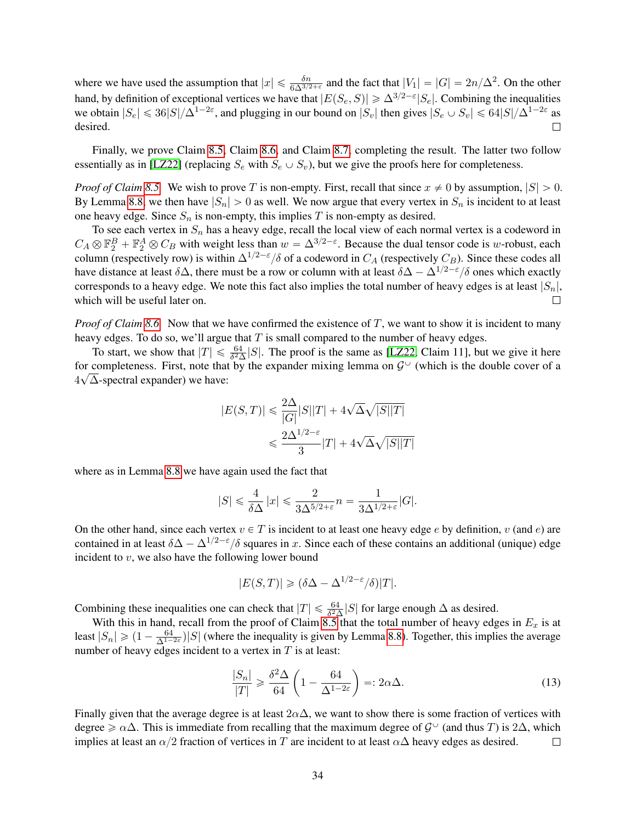where we have used the assumption that  $|x| \le \frac{\delta n}{6\Delta^{3/2+\epsilon}}$  and the fact that  $|V_1| = |G| = 2n/\Delta^2$ . On the other hand, by definition of exceptional vertices we have that  $|E(S_e, S)| \geq \Delta^{3/2 - \varepsilon} |S_e|$ . Combining the inequalities we obtain  $|S_e| \le 36|S|/\Delta^{1-2\varepsilon}$ , and plugging in our bound on  $|S_v|$  then gives  $|S_e \cup S_v| \le 64|S|/\Delta^{1-2\varepsilon}$  as desired.  $\Box$ 

Finally, we prove Claim [8.5,](#page-32-0) Claim [8.6,](#page-32-1) and Claim [8.7,](#page-32-2) completing the result. The latter two follow essentially as in [\[LZ22\]](#page-39-6) (replacing  $S_e$  with  $S_e \cup S_v$ ), but we give the proofs here for completeness.

*Proof of Claim [8.5.](#page-32-0)* We wish to prove T is non-empty. First, recall that since  $x \neq 0$  by assumption,  $|S| > 0$ . By Lemma [8.8,](#page-32-3) we then have  $|S_n| > 0$  as well. We now argue that every vertex in  $S_n$  is incident to at least one heavy edge. Since  $S_n$  is non-empty, this implies T is non-empty as desired.

To see each vertex in  $S_n$  has a heavy edge, recall the local view of each normal vertex is a codeword in  $C_A \otimes \mathbb{F}_2^B + \mathbb{F}_2^A \otimes C_B$  with weight less than  $w = \Delta^{3/2-\epsilon}$ . Because the dual tensor code is w-robust, each column (respectively row) is within  $\Delta^{1/2-\epsilon}/\delta$  of a codeword in  $C_A$  (respectively  $C_B$ ). Since these codes all have distance at least  $\delta\Delta$ , there must be a row or column with at least  $\delta\Delta - \Delta^{1/2 - \epsilon}/\delta$  ones which exactly corresponds to a heavy edge. We note this fact also implies the total number of heavy edges is at least  $|S_n|$ , which will be useful later on.  $\Box$ 

*Proof of Claim [8.6.](#page-32-1)* Now that we have confirmed the existence of T, we want to show it is incident to many heavy edges. To do so, we'll argue that  $T$  is small compared to the number of heavy edges.

To start, we show that  $|T| \le \frac{64}{\delta^2 \Delta} |S|$ . The proof is the same as [\[LZ22,](#page-39-6) Claim 11], but we give it here for completeness. First, note that by the expander mixing lemma on  $\mathcal{G}^{\cup}$  (which is the double cover of a  $4\sqrt{\Delta}$ -spectral expander) we have:

$$
|E(S,T)| \leqslant \frac{2\Delta}{|G|}|S||T| + 4\sqrt{\Delta}\sqrt{|S||T|}
$$
  

$$
\leqslant \frac{2\Delta^{1/2-\varepsilon}}{3}|T| + 4\sqrt{\Delta}\sqrt{|S||T|}
$$

where as in Lemma [8.8](#page-32-3) we have again used the fact that

$$
|S|\leqslant \frac{4}{\delta \Delta} \,|x|\leqslant \frac{2}{3\Delta^{5/2+\varepsilon}}n=\frac{1}{3\Delta^{1/2+\varepsilon}}|G|.
$$

On the other hand, since each vertex  $v \in T$  is incident to at least one heavy edge e by definition, v (and e) are contained in at least  $\delta\Delta - \Delta^{1/2-\epsilon}/\delta$  squares in x. Since each of these contains an additional (unique) edge incident to  $v$ , we also have the following lower bound

$$
|E(S,T)| \ge (\delta \Delta - \Delta^{1/2 - \varepsilon}/\delta)|T|.
$$

Combining these inequalities one can check that  $|T| \le \frac{64}{\delta^2 \Delta} |S|$  for large enough  $\Delta$  as desired.

With this in hand, recall from the proof of Claim [8.5](#page-32-0) that the total number of heavy edges in  $E_x$  is at least  $|S_n| \geq (1 - \frac{64}{\Delta^{1-2\varepsilon}})|S|$  (where the inequality is given by Lemma [8.8\)](#page-32-3). Together, this implies the average number of heavy edges incident to a vertex in  $T$  is at least:

$$
\frac{|S_n|}{|T|} \ge \frac{\delta^2 \Delta}{64} \left( 1 - \frac{64}{\Delta^{1-2\varepsilon}} \right) =: 2\alpha \Delta. \tag{13}
$$

Finally given that the average degree is at least  $2\alpha\Delta$ , we want to show there is some fraction of vertices with degree  $\ge \alpha\Delta$ . This is immediate from recalling that the maximum degree of  $\mathcal{G}^{\cup}$  (and thus T) is 2 $\Delta$ , which implies at least an  $\alpha/2$  fraction of vertices in T are incident to at least  $\alpha\Delta$  heavy edges as desired.  $\Box$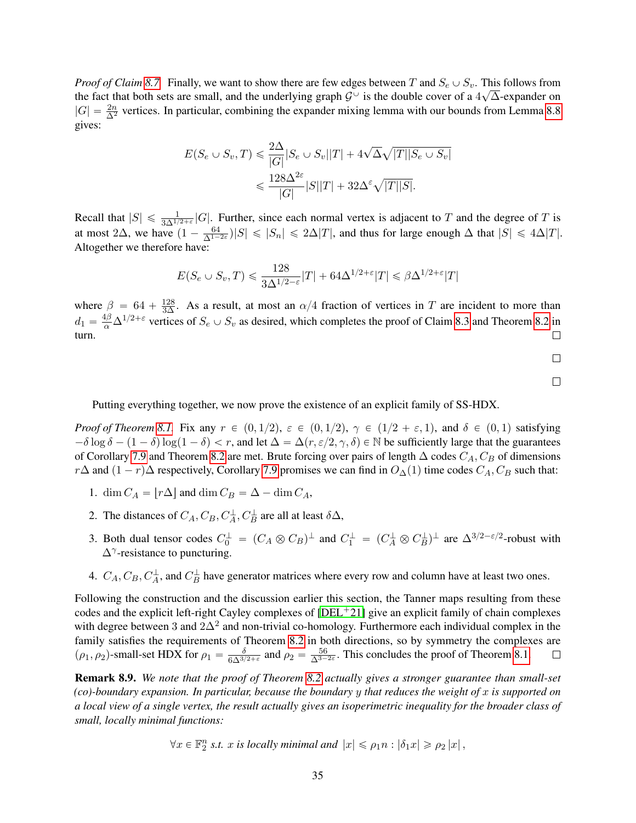*Proof of Claim [8.7.](#page-32-2)* Finally, we want to show there are few edges between T and  $S_e \cup S_v$ . This follows from the fact that both sets are small, and the underlying graph  $\mathcal{G}^{\cup}$  is the double cover of a  $4\sqrt{\Delta}$ -expander on  $|G| = \frac{2n}{\Delta^2}$  vertices. In particular, combining the expander mixing lemma with our bounds from Lemma [8.8](#page-32-3) gives:

$$
E(S_e \cup S_v, T) \leq \frac{2\Delta}{|G|} |S_e \cup S_v||T| + 4\sqrt{\Delta}\sqrt{|T||S_e \cup S_v|}
$$
  

$$
\leq \frac{128\Delta^{2\varepsilon}}{|G|} |S||T| + 32\Delta^{\varepsilon}\sqrt{|T||S|}.
$$

Recall that  $|S| \le \frac{1}{3\Delta^{1/2+\epsilon}} |G|$ . Further, since each normal vertex is adjacent to T and the degree of T is at most 2 $\Delta$ , we have  $(1 - \frac{64}{\Delta^{1-2\epsilon}})|S| \leq |S_n| \leq 2\Delta |T|$ , and thus for large enough  $\Delta$  that  $|S| \leq 4\Delta |T|$ . Altogether we therefore have:

$$
E(S_e \cup S_v, T) \leq \frac{128}{3\Delta^{1/2-\varepsilon}}|T| + 64\Delta^{1/2+\varepsilon}|T| \leq \beta \Delta^{1/2+\varepsilon}|T|
$$

where  $\beta = 64 + \frac{128}{3\Delta}$ . As a result, at most an  $\alpha/4$  fraction of vertices in T are incident to more than  $d_1 = \frac{4\beta}{\alpha} \Delta^{1/2+\epsilon}$  vertices of  $S_e \cup S_v$  as desired, which completes the proof of Claim [8.3](#page-31-1) and Theorem [8.2](#page-29-4) in turn.

 $\Box$ 

 $\Box$ 

Putting everything together, we now prove the existence of an explicit family of SS-HDX.

*Proof of Theorem [8.1.](#page-28-0)* Fix any  $r \in (0, 1/2)$ ,  $\varepsilon \in (0, 1/2)$ ,  $\gamma \in (1/2 + \varepsilon, 1)$ , and  $\delta \in (0, 1)$  satisfying  $-\delta \log \delta - (1 - \delta) \log(1 - \delta) < r$ , and let  $\Delta = \Delta(r, \varepsilon/2, \gamma, \delta) \in \mathbb{N}$  be sufficiently large that the guarantees of Corollary [7.9](#page-27-1) and Theorem [8.2](#page-29-4) are met. Brute forcing over pairs of length  $\Delta$  codes  $C_A$ ,  $C_B$  of dimensions  $r\Delta$  and  $(1 - r)\Delta$  respectively, Corollary [7.9](#page-27-1) promises we can find in  $O_\Delta(1)$  time codes  $C_A, C_B$  such that:

- 1. dim  $C_A = |r\Delta|$  and dim  $C_B = \Delta \dim C_A$ ,
- 2. The distances of  $C_A$ ,  $C_B$ ,  $C_A^{\perp}$ ,  $C_B^{\perp}$  are all at least  $\delta \Delta$ ,
- 3. Both dual tensor codes  $C_0^{\perp} = (C_A \otimes C_B)^{\perp}$  and  $C_1^{\perp} = (C_A^{\perp} \otimes C_B^{\perp})^{\perp}$  are  $\Delta^{3/2 \epsilon/2}$ -robust with  $\Delta^{\gamma}$ -resistance to puncturing.
- 4.  $C_A, C_B, C_A^{\perp}$ , and  $C_B^{\perp}$  have generator matrices where every row and column have at least two ones.

Following the construction and the discussion earlier this section, the Tanner maps resulting from these codes and the explicit left-right Cayley complexes of  $[DEL+21]$  $[DEL+21]$  give an explicit family of chain complexes with degree between 3 and  $2\Delta^2$  and non-trivial co-homology. Furthermore each individual complex in the family satisfies the requirements of Theorem [8.2](#page-29-4) in both directions, so by symmetry the complexes are  $(\rho_1, \rho_2)$ -small-set HDX for  $\rho_1 = \frac{\delta}{6\Delta^{3/2+\epsilon}}$  and  $\rho_2 = \frac{56}{\Delta^{3-2\epsilon}}$ . This concludes the proof of Theorem [8.1.](#page-28-0)

<span id="page-34-0"></span>Remark 8.9. *We note that the proof of Theorem [8.2](#page-29-4) actually gives a stronger guarantee than small-set (co)-boundary expansion. In particular, because the boundary* y *that reduces the weight of* x *is supported on a local view of a single vertex, the result actually gives an isoperimetric inequality for the broader class of small, locally minimal functions:*

 $\forall x \in \mathbb{F}_2^n$  s.t. x is locally minimal and  $|x| \leq \rho_1 n : |\delta_1 x| \geq \rho_2 |x|$ ,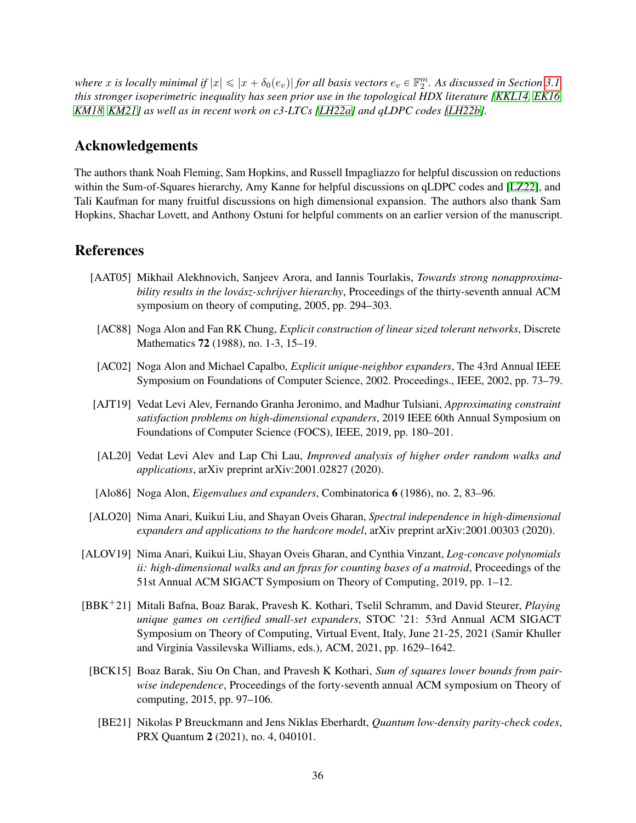where x is locally minimal if  $|x| \leqslant |x+\delta_0(e_v)|$  for all basis vectors  $e_v \in \mathbb{F}_2^m$ . As discussed in Section [3.1,](#page-10-0) *this stronger isoperimetric inequality has seen prior use in the topological HDX literature [\[KKL14,](#page-38-5) [EK16,](#page-37-6) [KM18,](#page-38-6) [KM21\]](#page-38-7) as well as in recent work on c3-LTCs [\[LH22a\]](#page-39-4) and qLDPC codes [\[LH22b\]](#page-39-14).*

### Acknowledgements

The authors thank Noah Fleming, Sam Hopkins, and Russell Impagliazzo for helpful discussion on reductions within the Sum-of-Squares hierarchy, Amy Kanne for helpful discussions on qLDPC codes and [\[LZ22\]](#page-39-6), and Tali Kaufman for many fruitful discussions on high dimensional expansion. The authors also thank Sam Hopkins, Shachar Lovett, and Anthony Ostuni for helpful comments on an earlier version of the manuscript.

### References

- <span id="page-35-6"></span>[AAT05] Mikhail Alekhnovich, Sanjeev Arora, and Iannis Tourlakis, *Towards strong nonapproximability results in the lovász-schrijver hierarchy*, Proceedings of the thirty-seventh annual ACM symposium on theory of computing, 2005, pp. 294–303.
- <span id="page-35-10"></span>[AC88] Noga Alon and Fan RK Chung, *Explicit construction of linear sized tolerant networks*, Discrete Mathematics 72 (1988), no. 1-3, 15–19.
- <span id="page-35-1"></span>[AC02] Noga Alon and Michael Capalbo, *Explicit unique-neighbor expanders*, The 43rd Annual IEEE Symposium on Foundations of Computer Science, 2002. Proceedings., IEEE, 2002, pp. 73–79.
- <span id="page-35-5"></span>[AJT19] Vedat Levi Alev, Fernando Granha Jeronimo, and Madhur Tulsiani, *Approximating constraint satisfaction problems on high-dimensional expanders*, 2019 IEEE 60th Annual Symposium on Foundations of Computer Science (FOCS), IEEE, 2019, pp. 180–201.
- <span id="page-35-3"></span>[AL20] Vedat Levi Alev and Lap Chi Lau, *Improved analysis of higher order random walks and applications*, arXiv preprint arXiv:2001.02827 (2020).
- <span id="page-35-9"></span>[Alo86] Noga Alon, *Eigenvalues and expanders*, Combinatorica 6 (1986), no. 2, 83–96.
- <span id="page-35-4"></span>[ALO20] Nima Anari, Kuikui Liu, and Shayan Oveis Gharan, *Spectral independence in high-dimensional expanders and applications to the hardcore model*, arXiv preprint arXiv:2001.00303 (2020).
- <span id="page-35-2"></span>[ALOV19] Nima Anari, Kuikui Liu, Shayan Oveis Gharan, and Cynthia Vinzant, *Log-concave polynomials ii: high-dimensional walks and an fpras for counting bases of a matroid*, Proceedings of the 51st Annual ACM SIGACT Symposium on Theory of Computing, 2019, pp. 1–12.
- <span id="page-35-8"></span><span id="page-35-7"></span><span id="page-35-0"></span>[BBK`21] Mitali Bafna, Boaz Barak, Pravesh K. Kothari, Tselil Schramm, and David Steurer, *Playing unique games on certified small-set expanders*, STOC '21: 53rd Annual ACM SIGACT Symposium on Theory of Computing, Virtual Event, Italy, June 21-25, 2021 (Samir Khuller and Virginia Vassilevska Williams, eds.), ACM, 2021, pp. 1629–1642.
	- [BCK15] Boaz Barak, Siu On Chan, and Pravesh K Kothari, *Sum of squares lower bounds from pairwise independence*, Proceedings of the forty-seventh annual ACM symposium on Theory of computing, 2015, pp. 97–106.
		- [BE21] Nikolas P Breuckmann and Jens Niklas Eberhardt, *Quantum low-density parity-check codes*, PRX Quantum 2 (2021), no. 4, 040101.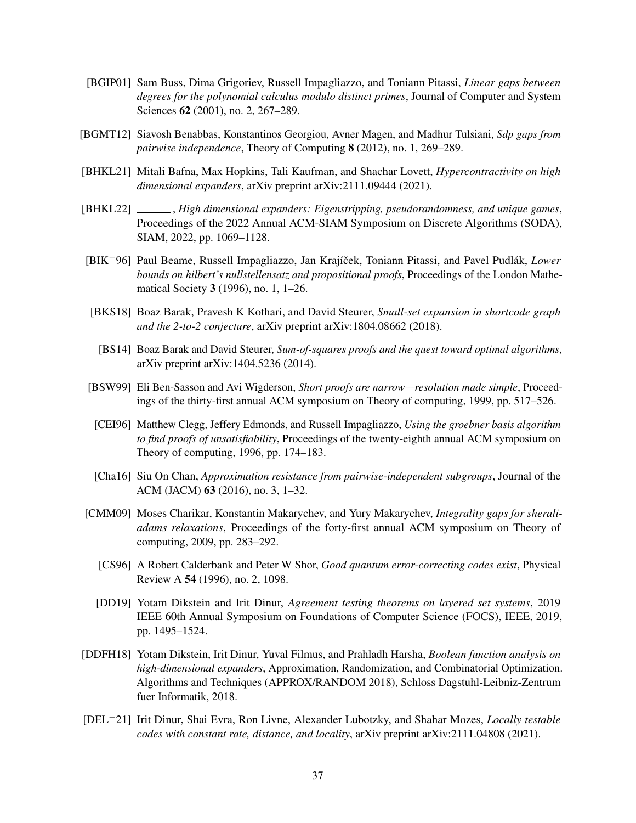- <span id="page-36-10"></span>[BGIP01] Sam Buss, Dima Grigoriev, Russell Impagliazzo, and Toniann Pitassi, *Linear gaps between degrees for the polynomial calculus modulo distinct primes*, Journal of Computer and System Sciences **62** (2001), no. 2, 267–289.
- <span id="page-36-12"></span>[BGMT12] Siavosh Benabbas, Konstantinos Georgiou, Avner Magen, and Madhur Tulsiani, *Sdp gaps from pairwise independence*, Theory of Computing 8 (2012), no. 1, 269–289.
- <span id="page-36-4"></span>[BHKL21] Mitali Bafna, Max Hopkins, Tali Kaufman, and Shachar Lovett, *Hypercontractivity on high dimensional expanders*, arXiv preprint arXiv:2111.09444 (2021).
- <span id="page-36-2"></span>[BHKL22] , *High dimensional expanders: Eigenstripping, pseudorandomness, and unique games*, Proceedings of the 2022 Annual ACM-SIAM Symposium on Discrete Algorithms (SODA), SIAM, 2022, pp. 1069–1128.
- <span id="page-36-8"></span>[BIK<sup>+96</sup>] Paul Beame, Russell Impagliazzo, Jan Krajíček, Toniann Pitassi, and Pavel Pudlák, *Lower bounds on hilbert's nullstellensatz and propositional proofs*, Proceedings of the London Mathematical Society 3 (1996), no. 1, 1–26.
- <span id="page-36-14"></span><span id="page-36-13"></span>[BKS18] Boaz Barak, Pravesh K Kothari, and David Steurer, *Small-set expansion in shortcode graph and the 2-to-2 conjecture*, arXiv preprint arXiv:1804.08662 (2018).
	- [BS14] Boaz Barak and David Steurer, *Sum-of-squares proofs and the quest toward optimal algorithms*, arXiv preprint arXiv:1404.5236 (2014).
- <span id="page-36-6"></span>[BSW99] Eli Ben-Sasson and Avi Wigderson, *Short proofs are narrow—resolution made simple*, Proceedings of the thirty-first annual ACM symposium on Theory of computing, 1999, pp. 517–526.
- <span id="page-36-9"></span>[CEI96] Matthew Clegg, Jeffery Edmonds, and Russell Impagliazzo, *Using the groebner basis algorithm to find proofs of unsatisfiability*, Proceedings of the twenty-eighth annual ACM symposium on Theory of computing, 1996, pp. 174–183.
- <span id="page-36-0"></span>[Cha16] Siu On Chan, *Approximation resistance from pairwise-independent subgroups*, Journal of the ACM (JACM) 63 (2016), no. 3, 1–32.
- <span id="page-36-11"></span><span id="page-36-7"></span>[CMM09] Moses Charikar, Konstantin Makarychev, and Yury Makarychev, *Integrality gaps for sheraliadams relaxations*, Proceedings of the forty-first annual ACM symposium on Theory of computing, 2009, pp. 283–292.
	- [CS96] A Robert Calderbank and Peter W Shor, *Good quantum error-correcting codes exist*, Physical Review A 54 (1996), no. 2, 1098.
	- [DD19] Yotam Dikstein and Irit Dinur, *Agreement testing theorems on layered set systems*, 2019 IEEE 60th Annual Symposium on Foundations of Computer Science (FOCS), IEEE, 2019, pp. 1495–1524.
- <span id="page-36-5"></span><span id="page-36-3"></span>[DDFH18] Yotam Dikstein, Irit Dinur, Yuval Filmus, and Prahladh Harsha, *Boolean function analysis on high-dimensional expanders*, Approximation, Randomization, and Combinatorial Optimization. Algorithms and Techniques (APPROX/RANDOM 2018), Schloss Dagstuhl-Leibniz-Zentrum fuer Informatik, 2018.
- <span id="page-36-1"></span>[DEL`21] Irit Dinur, Shai Evra, Ron Livne, Alexander Lubotzky, and Shahar Mozes, *Locally testable codes with constant rate, distance, and locality*, arXiv preprint arXiv:2111.04808 (2021).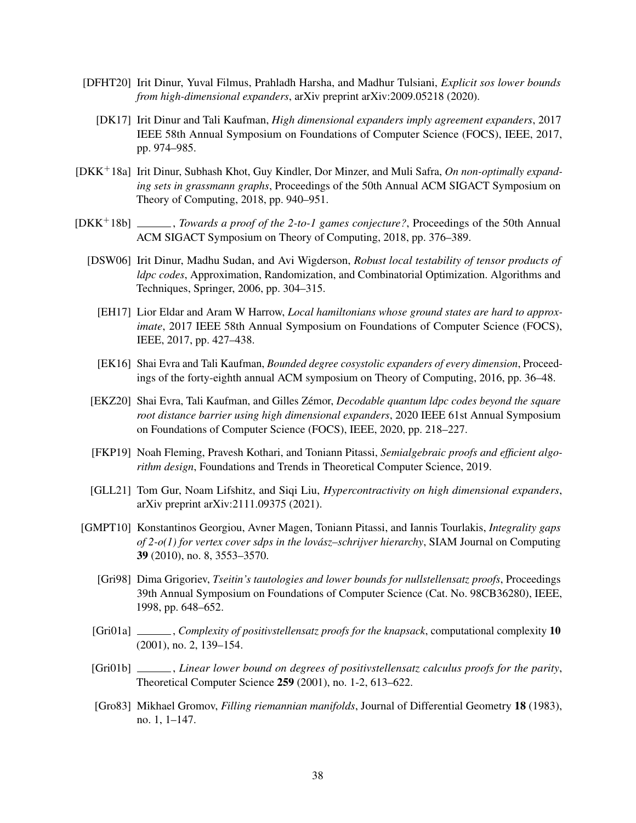- <span id="page-37-5"></span><span id="page-37-1"></span>[DFHT20] Irit Dinur, Yuval Filmus, Prahladh Harsha, and Madhur Tulsiani, *Explicit sos lower bounds from high-dimensional expanders*, arXiv preprint arXiv:2009.05218 (2020).
	- [DK17] Irit Dinur and Tali Kaufman, *High dimensional expanders imply agreement expanders*, 2017 IEEE 58th Annual Symposium on Foundations of Computer Science (FOCS), IEEE, 2017, pp. 974–985.
- <span id="page-37-12"></span>[DKK<sup>+</sup>18a] Irit Dinur, Subhash Khot, Guy Kindler, Dor Minzer, and Muli Safra, *On non-optimally expanding sets in grassmann graphs*, Proceedings of the 50th Annual ACM SIGACT Symposium on Theory of Computing, 2018, pp. 940–951.
- <span id="page-37-14"></span><span id="page-37-11"></span><span id="page-37-7"></span><span id="page-37-6"></span>[DKK<sup>+</sup>18b] \_\_\_\_\_, *Towards a proof of the 2-to-1 games conjecture?*, Proceedings of the 50th Annual ACM SIGACT Symposium on Theory of Computing, 2018, pp. 376–389.
	- [DSW06] Irit Dinur, Madhu Sudan, and Avi Wigderson, *Robust local testability of tensor products of ldpc codes*, Approximation, Randomization, and Combinatorial Optimization. Algorithms and Techniques, Springer, 2006, pp. 304–315.
		- [EH17] Lior Eldar and Aram W Harrow, *Local hamiltonians whose ground states are hard to approximate*, 2017 IEEE 58th Annual Symposium on Foundations of Computer Science (FOCS), IEEE, 2017, pp. 427–438.
		- [EK16] Shai Evra and Tali Kaufman, *Bounded degree cosystolic expanders of every dimension*, Proceedings of the forty-eighth annual ACM symposium on Theory of Computing, 2016, pp. 36–48.
	- [EKZ20] Shai Evra, Tali Kaufman, and Gilles Zémor, *Decodable quantum ldpc codes beyond the square root distance barrier using high dimensional expanders*, 2020 IEEE 61st Annual Symposium on Foundations of Computer Science (FOCS), IEEE, 2020, pp. 218–227.
	- [FKP19] Noah Fleming, Pravesh Kothari, and Toniann Pitassi, *Semialgebraic proofs and efficient algorithm design*, Foundations and Trends in Theoretical Computer Science, 2019.
	- [GLL21] Tom Gur, Noam Lifshitz, and Siqi Liu, *Hypercontractivity on high dimensional expanders*, arXiv preprint arXiv:2111.09375 (2021).
- <span id="page-37-13"></span><span id="page-37-10"></span><span id="page-37-9"></span><span id="page-37-8"></span><span id="page-37-4"></span><span id="page-37-3"></span><span id="page-37-2"></span><span id="page-37-0"></span>[GMPT10] Konstantinos Georgiou, Avner Magen, Toniann Pitassi, and Iannis Tourlakis, *Integrality gaps of 2-o(1) for vertex cover sdps in the lovász–schrijver hierarchy*, SIAM Journal on Computing 39 (2010), no. 8, 3553–3570.
	- [Gri98] Dima Grigoriev, *Tseitin's tautologies and lower bounds for nullstellensatz proofs*, Proceedings 39th Annual Symposium on Foundations of Computer Science (Cat. No. 98CB36280), IEEE, 1998, pp. 648–652.
	- [Gri01a] , *Complexity of positivstellensatz proofs for the knapsack*, computational complexity 10 (2001), no. 2, 139–154.
	- [Gri01b] , *Linear lower bound on degrees of positivstellensatz calculus proofs for the parity*, Theoretical Computer Science 259 (2001), no. 1-2, 613–622.
	- [Gro83] Mikhael Gromov, *Filling riemannian manifolds*, Journal of Differential Geometry 18 (1983), no. 1, 1–147.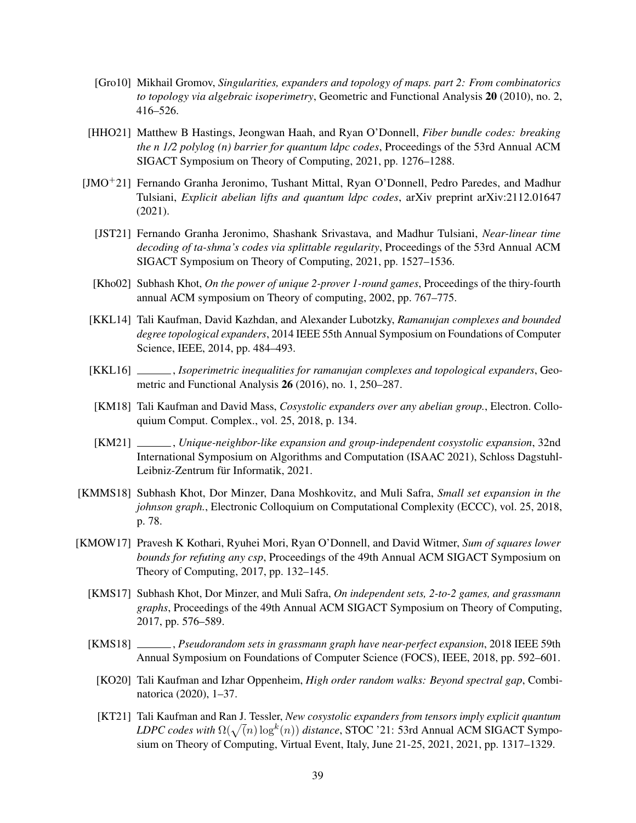- <span id="page-38-8"></span>[Gro10] Mikhail Gromov, *Singularities, expanders and topology of maps. part 2: From combinatorics to topology via algebraic isoperimetry*, Geometric and Functional Analysis 20 (2010), no. 2, 416–526.
- <span id="page-38-10"></span>[HHO21] Matthew B Hastings, Jeongwan Haah, and Ryan O'Donnell, *Fiber bundle codes: breaking the n 1/2 polylog (n) barrier for quantum ldpc codes*, Proceedings of the 53rd Annual ACM SIGACT Symposium on Theory of Computing, 2021, pp. 1276–1288.
- <span id="page-38-11"></span><span id="page-38-1"></span>[JMO<sup>+</sup>21] Fernando Granha Jeronimo, Tushant Mittal, Ryan O'Donnell, Pedro Paredes, and Madhur Tulsiani, *Explicit abelian lifts and quantum ldpc codes*, arXiv preprint arXiv:2112.01647 (2021).
	- [JST21] Fernando Granha Jeronimo, Shashank Srivastava, and Madhur Tulsiani, *Near-linear time decoding of ta-shma's codes via splittable regularity*, Proceedings of the 53rd Annual ACM SIGACT Symposium on Theory of Computing, 2021, pp. 1527–1536.
	- [Kho02] Subhash Khot, *On the power of unique 2-prover 1-round games*, Proceedings of the thiry-fourth annual ACM symposium on Theory of computing, 2002, pp. 767–775.
- <span id="page-38-5"></span><span id="page-38-3"></span>[KKL14] Tali Kaufman, David Kazhdan, and Alexander Lubotzky, *Ramanujan complexes and bounded degree topological expanders*, 2014 IEEE 55th Annual Symposium on Foundations of Computer Science, IEEE, 2014, pp. 484–493.
- <span id="page-38-14"></span>[KKL16] , *Isoperimetric inequalities for ramanujan complexes and topological expanders*, Geometric and Functional Analysis 26 (2016), no. 1, 250–287.
- <span id="page-38-6"></span>[KM18] Tali Kaufman and David Mass, *Cosystolic expanders over any abelian group.*, Electron. Colloquium Comput. Complex., vol. 25, 2018, p. 134.
- <span id="page-38-7"></span>[KM21] , *Unique-neighbor-like expansion and group-independent cosystolic expansion*, 32nd International Symposium on Algorithms and Computation (ISAAC 2021), Schloss Dagstuhl-Leibniz-Zentrum für Informatik, 2021.
- <span id="page-38-13"></span>[KMMS18] Subhash Khot, Dor Minzer, Dana Moshkovitz, and Muli Safra, *Small set expansion in the johnson graph.*, Electronic Colloquium on Computational Complexity (ECCC), vol. 25, 2018, p. 78.
- <span id="page-38-12"></span><span id="page-38-9"></span><span id="page-38-4"></span><span id="page-38-2"></span><span id="page-38-0"></span>[KMOW17] Pravesh K Kothari, Ryuhei Mori, Ryan O'Donnell, and David Witmer, *Sum of squares lower bounds for refuting any csp*, Proceedings of the 49th Annual ACM SIGACT Symposium on Theory of Computing, 2017, pp. 132–145.
	- [KMS17] Subhash Khot, Dor Minzer, and Muli Safra, *On independent sets, 2-to-2 games, and grassmann graphs*, Proceedings of the 49th Annual ACM SIGACT Symposium on Theory of Computing, 2017, pp. 576–589.
	- [KMS18] , *Pseudorandom sets in grassmann graph have near-perfect expansion*, 2018 IEEE 59th Annual Symposium on Foundations of Computer Science (FOCS), IEEE, 2018, pp. 592–601.
		- [KO20] Tali Kaufman and Izhar Oppenheim, *High order random walks: Beyond spectral gap*, Combinatorica (2020), 1–37.
		- [KT21] Tali Kaufman and Ran J. Tessler, *New cosystolic expanders from tensors imply explicit quantum* a  $LDPC$  codes with  $\Omega(\sqrt(n)\log^k(n))$  distance, STOC '21: 53rd Annual ACM SIGACT Symposium on Theory of Computing, Virtual Event, Italy, June 21-25, 2021, 2021, pp. 1317–1329.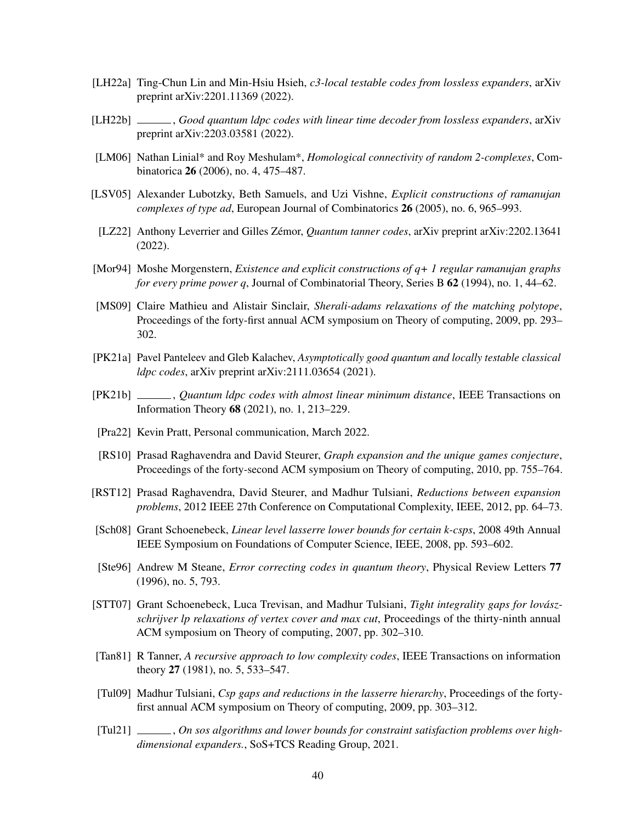- <span id="page-39-4"></span>[LH22a] Ting-Chun Lin and Min-Hsiu Hsieh, *c3-local testable codes from lossless expanders*, arXiv preprint arXiv:2201.11369 (2022).
- <span id="page-39-14"></span>[LH22b] , *Good quantum ldpc codes with linear time decoder from lossless expanders*, arXiv preprint arXiv:2203.03581 (2022).
- <span id="page-39-7"></span>[LM06] Nathan Linial\* and Roy Meshulam\*, *Homological connectivity of random 2-complexes*, Combinatorica 26 (2006), no. 4, 475–487.
- <span id="page-39-9"></span>[LSV05] Alexander Lubotzky, Beth Samuels, and Uzi Vishne, *Explicit constructions of ramanujan complexes of type ad*, European Journal of Combinatorics 26 (2005), no. 6, 965–993.
- <span id="page-39-6"></span>[LZ22] Anthony Leverrier and Gilles Zémor, *Quantum tanner codes*, arXiv preprint arXiv:2202.13641 (2022).
- <span id="page-39-17"></span>[Mor94] Moshe Morgenstern, *Existence and explicit constructions of q+ 1 regular ramanujan graphs for every prime power q*, Journal of Combinatorial Theory, Series B 62 (1994), no. 1, 44–62.
- <span id="page-39-12"></span>[MS09] Claire Mathieu and Alistair Sinclair, *Sherali-adams relaxations of the matching polytope*, Proceedings of the forty-first annual ACM symposium on Theory of computing, 2009, pp. 293– 302.
- <span id="page-39-5"></span>[PK21a] Pavel Panteleev and Gleb Kalachev, *Asymptotically good quantum and locally testable classical ldpc codes*, arXiv preprint arXiv:2111.03654 (2021).
- <span id="page-39-15"></span>[PK21b] , *Quantum ldpc codes with almost linear minimum distance*, IEEE Transactions on Information Theory 68 (2021), no. 1, 213–229.
- <span id="page-39-3"></span>[Pra22] Kevin Pratt, Personal communication, March 2022.
- <span id="page-39-16"></span>[RS10] Prasad Raghavendra and David Steurer, *Graph expansion and the unique games conjecture*, Proceedings of the forty-second ACM symposium on Theory of computing, 2010, pp. 755–764.
- <span id="page-39-8"></span>[RST12] Prasad Raghavendra, David Steurer, and Madhur Tulsiani, *Reductions between expansion problems*, 2012 IEEE 27th Conference on Computational Complexity, IEEE, 2012, pp. 64–73.
- <span id="page-39-0"></span>[Sch08] Grant Schoenebeck, *Linear level lasserre lower bounds for certain k-csps*, 2008 49th Annual IEEE Symposium on Foundations of Computer Science, IEEE, 2008, pp. 593–602.
- <span id="page-39-10"></span>[Ste96] Andrew M Steane, *Error correcting codes in quantum theory*, Physical Review Letters 77 (1996), no. 5, 793.
- <span id="page-39-13"></span>[STT07] Grant Schoenebeck, Luca Trevisan, and Madhur Tulsiani, *Tight integrality gaps for lovászschrijver lp relaxations of vertex cover and max cut*, Proceedings of the thirty-ninth annual ACM symposium on Theory of computing, 2007, pp. 302–310.
- <span id="page-39-11"></span>[Tan81] R Tanner, *A recursive approach to low complexity codes*, IEEE Transactions on information theory 27 (1981), no. 5, 533–547.
- <span id="page-39-1"></span>[Tul09] Madhur Tulsiani, *Csp gaps and reductions in the lasserre hierarchy*, Proceedings of the fortyfirst annual ACM symposium on Theory of computing, 2009, pp. 303–312.
- <span id="page-39-2"></span>[Tul21] \_\_\_\_\_, *On sos algorithms and lower bounds for constraint satisfaction problems over highdimensional expanders.*, SoS+TCS Reading Group, 2021.